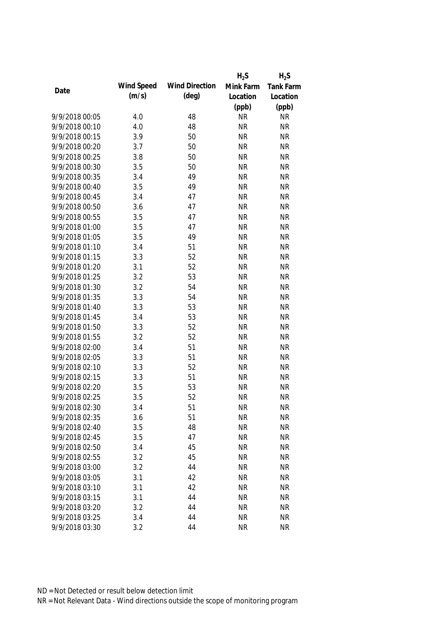|                |            |                       | $H_2S$    | $H_2S$           |
|----------------|------------|-----------------------|-----------|------------------|
| Date           | Wind Speed | <b>Wind Direction</b> | Mink Farm | <b>Tank Farm</b> |
|                | (m/s)      | $(\text{deg})$        | Location  | Location         |
|                |            |                       | (ppb)     | (ppb)            |
| 9/9/2018 00:05 | 4.0        | 48                    | <b>NR</b> | <b>NR</b>        |
| 9/9/2018 00:10 | 4.0        | 48                    | <b>NR</b> | <b>NR</b>        |
| 9/9/2018 00:15 | 3.9        | 50                    | <b>NR</b> | <b>NR</b>        |
| 9/9/2018 00:20 | 3.7        | 50                    | <b>NR</b> | <b>NR</b>        |
| 9/9/2018 00:25 | 3.8        | 50                    | <b>NR</b> | <b>NR</b>        |
| 9/9/2018 00:30 | 3.5        | 50                    | <b>NR</b> | <b>NR</b>        |
| 9/9/2018 00:35 | 3.4        | 49                    | <b>NR</b> | <b>NR</b>        |
| 9/9/2018 00:40 | 3.5        | 49                    | <b>NR</b> | <b>NR</b>        |
| 9/9/2018 00:45 | 3.4        | 47                    | <b>NR</b> | <b>NR</b>        |
| 9/9/2018 00:50 | 3.6        | 47                    | <b>NR</b> | <b>NR</b>        |
| 9/9/2018 00:55 | 3.5        | 47                    | <b>NR</b> | <b>NR</b>        |
| 9/9/2018 01:00 | 3.5        | 47                    | <b>NR</b> | <b>NR</b>        |
| 9/9/2018 01:05 | 3.5        | 49                    | <b>NR</b> | <b>NR</b>        |
| 9/9/2018 01:10 | 3.4        | 51                    | <b>NR</b> | <b>NR</b>        |
| 9/9/2018 01:15 | 3.3        | 52                    | <b>NR</b> | <b>NR</b>        |
| 9/9/2018 01:20 | 3.1        | 52                    | <b>NR</b> | <b>NR</b>        |
| 9/9/2018 01:25 | 3.2        | 53                    | <b>NR</b> | <b>NR</b>        |
| 9/9/2018 01:30 | 3.2        | 54                    | <b>NR</b> | <b>NR</b>        |
| 9/9/2018 01:35 | 3.3        | 54                    | <b>NR</b> | <b>NR</b>        |
| 9/9/2018 01:40 | 3.3        | 53                    | <b>NR</b> | <b>NR</b>        |
| 9/9/2018 01:45 | 3.4        | 53                    | <b>NR</b> | <b>NR</b>        |
| 9/9/2018 01:50 | 3.3        | 52                    | <b>NR</b> | <b>NR</b>        |
| 9/9/2018 01:55 | 3.2        | 52                    | <b>NR</b> | <b>NR</b>        |
| 9/9/2018 02:00 | 3.4        | 51                    | <b>NR</b> | <b>NR</b>        |
| 9/9/2018 02:05 | 3.3        | 51                    | <b>NR</b> | <b>NR</b>        |
| 9/9/2018 02:10 | 3.3        | 52                    | <b>NR</b> | <b>NR</b>        |
| 9/9/2018 02:15 | 3.3        | 51                    | <b>NR</b> | <b>NR</b>        |
| 9/9/2018 02:20 | 3.5        | 53                    | <b>NR</b> | <b>NR</b>        |
| 9/9/2018 02:25 | 3.5        | 52                    | <b>NR</b> | <b>NR</b>        |
| 9/9/2018 02:30 | 3.4        | 51                    | <b>NR</b> | <b>NR</b>        |
| 9/9/2018 02:35 | 3.6        | 51                    | <b>NR</b> | <b>NR</b>        |
| 9/9/2018 02:40 | 3.5        | 48                    | <b>NR</b> | <b>NR</b>        |
| 9/9/2018 02:45 | 3.5        | 47                    | <b>NR</b> | <b>NR</b>        |
| 9/9/2018 02:50 | 3.4        | 45                    | <b>NR</b> | <b>NR</b>        |
| 9/9/2018 02:55 | 3.2        | 45                    | <b>NR</b> | <b>NR</b>        |
| 9/9/2018 03:00 | 3.2        | 44                    | <b>NR</b> | <b>NR</b>        |
| 9/9/2018 03:05 | 3.1        | 42                    | <b>NR</b> | <b>NR</b>        |
| 9/9/2018 03:10 | 3.1        | 42                    | <b>NR</b> | <b>NR</b>        |
| 9/9/2018 03:15 | 3.1        | 44                    | <b>NR</b> | <b>NR</b>        |
| 9/9/2018 03:20 | 3.2        | 44                    | <b>NR</b> | <b>NR</b>        |
| 9/9/2018 03:25 | 3.4        | 44                    | <b>NR</b> | <b>NR</b>        |
| 9/9/2018 03:30 | 3.2        | 44                    | <b>NR</b> | <b>NR</b>        |
|                |            |                       |           |                  |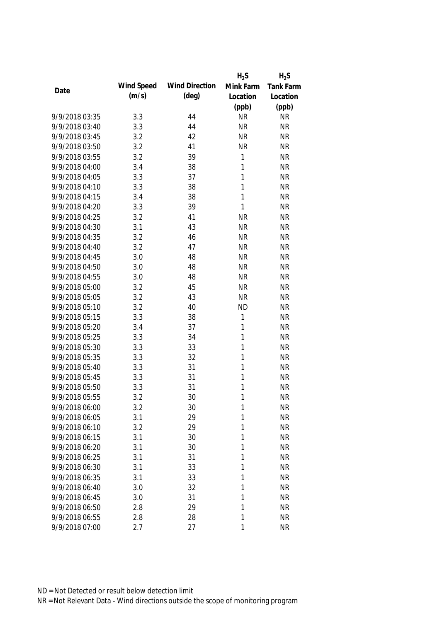|                |            |                       | $H_2S$       | $H_2S$    |
|----------------|------------|-----------------------|--------------|-----------|
|                | Wind Speed | <b>Wind Direction</b> | Mink Farm    | Tank Farm |
| Date           | (m/s)      | $(\text{deg})$        | Location     | Location  |
|                |            |                       | (ppb)        | (ppb)     |
| 9/9/2018 03:35 | 3.3        | 44                    | <b>NR</b>    | <b>NR</b> |
| 9/9/2018 03:40 | 3.3        | 44                    | <b>NR</b>    | <b>NR</b> |
| 9/9/2018 03:45 | 3.2        | 42                    | <b>NR</b>    | <b>NR</b> |
| 9/9/2018 03:50 | 3.2        | 41                    | <b>NR</b>    | <b>NR</b> |
| 9/9/2018 03:55 | 3.2        | 39                    | 1            | <b>NR</b> |
| 9/9/2018 04:00 | 3.4        | 38                    | 1            | <b>NR</b> |
| 9/9/2018 04:05 | 3.3        | 37                    | 1            | <b>NR</b> |
| 9/9/2018 04:10 | 3.3        | 38                    | $\mathbf{1}$ | <b>NR</b> |
| 9/9/2018 04:15 | 3.4        | 38                    | $\mathbf{1}$ | <b>NR</b> |
| 9/9/2018 04:20 | 3.3        | 39                    | $\mathbf{1}$ | <b>NR</b> |
| 9/9/2018 04:25 | 3.2        | 41                    | <b>NR</b>    | <b>NR</b> |
| 9/9/2018 04:30 | 3.1        | 43                    | <b>NR</b>    | <b>NR</b> |
| 9/9/2018 04:35 | 3.2        | 46                    | <b>NR</b>    | <b>NR</b> |
| 9/9/2018 04:40 | 3.2        | 47                    | <b>NR</b>    | <b>NR</b> |
| 9/9/2018 04:45 | 3.0        | 48                    | <b>NR</b>    | <b>NR</b> |
| 9/9/2018 04:50 | 3.0        | 48                    | <b>NR</b>    | <b>NR</b> |
| 9/9/2018 04:55 | 3.0        | 48                    | <b>NR</b>    | <b>NR</b> |
| 9/9/2018 05:00 | 3.2        | 45                    | <b>NR</b>    | <b>NR</b> |
| 9/9/2018 05:05 | 3.2        | 43                    | <b>NR</b>    | <b>NR</b> |
| 9/9/2018 05:10 | 3.2        | 40                    | <b>ND</b>    | <b>NR</b> |
| 9/9/2018 05:15 | 3.3        | 38                    | 1            | <b>NR</b> |
| 9/9/2018 05:20 | 3.4        | 37                    | 1            | <b>NR</b> |
| 9/9/2018 05:25 | 3.3        | 34                    | 1            | <b>NR</b> |
| 9/9/2018 05:30 | 3.3        | 33                    | 1            | <b>NR</b> |
| 9/9/2018 05:35 | 3.3        | 32                    | 1            | <b>NR</b> |
| 9/9/2018 05:40 | 3.3        | 31                    | 1            | <b>NR</b> |
| 9/9/2018 05:45 | 3.3        | 31                    | 1            | <b>NR</b> |
| 9/9/2018 05:50 | 3.3        | 31                    | 1            | <b>NR</b> |
| 9/9/2018 05:55 | 3.2        | 30                    | $\mathbf{1}$ | <b>NR</b> |
| 9/9/2018 06:00 | 3.2        | 30                    | 1            | <b>NR</b> |
| 9/9/2018 06:05 | 3.1        | 29                    | 1            | <b>NR</b> |
| 9/9/2018 06:10 | 3.2        | 29                    | 1            | <b>NR</b> |
| 9/9/2018 06:15 | 3.1        | 30                    | 1            | <b>NR</b> |
| 9/9/2018 06:20 | 3.1        | 30                    | 1            | <b>NR</b> |
| 9/9/2018 06:25 | 3.1        | 31                    | 1            | <b>NR</b> |
| 9/9/2018 06:30 | 3.1        | 33                    | 1            | <b>NR</b> |
| 9/9/2018 06:35 | 3.1        | 33                    | 1            | <b>NR</b> |
| 9/9/2018 06:40 | 3.0        | 32                    | 1            | <b>NR</b> |
| 9/9/2018 06:45 | 3.0        | 31                    | 1            | <b>NR</b> |
| 9/9/2018 06:50 | 2.8        | 29                    | 1            | <b>NR</b> |
| 9/9/2018 06:55 | 2.8        | 28                    | 1            | <b>NR</b> |
| 9/9/2018 07:00 | 2.7        | 27                    | 1            | <b>NR</b> |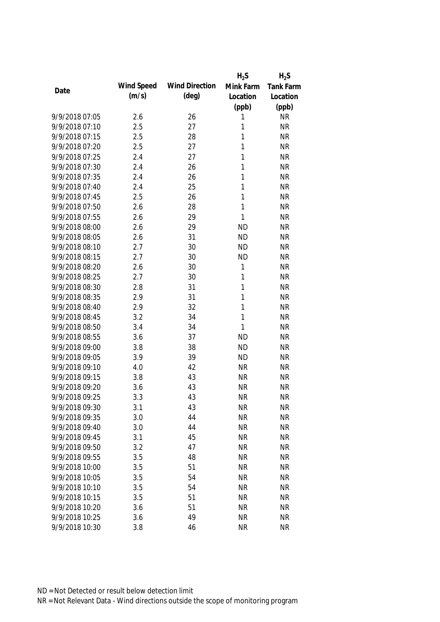|                |            |                       | $H_2S$       | $H_2S$           |
|----------------|------------|-----------------------|--------------|------------------|
|                | Wind Speed | <b>Wind Direction</b> | Mink Farm    | <b>Tank Farm</b> |
| Date           | (m/s)      | $(\text{deg})$        | Location     | Location         |
|                |            |                       | (ppb)        | (ppb)            |
| 9/9/2018 07:05 | 2.6        | 26                    | 1            | <b>NR</b>        |
| 9/9/2018 07:10 | 2.5        | 27                    | 1            | <b>NR</b>        |
| 9/9/2018 07:15 | 2.5        | 28                    | 1            | <b>NR</b>        |
| 9/9/2018 07:20 | 2.5        | 27                    | 1            | <b>NR</b>        |
| 9/9/2018 07:25 | 2.4        | 27                    | 1            | <b>NR</b>        |
| 9/9/2018 07:30 | 2.4        | 26                    | 1            | <b>NR</b>        |
| 9/9/2018 07:35 | 2.4        | 26                    | $\mathbf{1}$ | <b>NR</b>        |
| 9/9/2018 07:40 | 2.4        | 25                    | 1            | <b>NR</b>        |
| 9/9/2018 07:45 | 2.5        | 26                    | $\mathbf{1}$ | <b>NR</b>        |
| 9/9/2018 07:50 | 2.6        | 28                    | 1            | <b>NR</b>        |
| 9/9/2018 07:55 | 2.6        | 29                    | $\mathbf{1}$ | <b>NR</b>        |
| 9/9/2018 08:00 | 2.6        | 29                    | <b>ND</b>    | <b>NR</b>        |
| 9/9/2018 08:05 | 2.6        | 31                    | <b>ND</b>    | <b>NR</b>        |
| 9/9/2018 08:10 | 2.7        | 30                    | <b>ND</b>    | <b>NR</b>        |
| 9/9/2018 08:15 | 2.7        | 30                    | <b>ND</b>    | <b>NR</b>        |
| 9/9/2018 08:20 | 2.6        | 30                    | 1            | <b>NR</b>        |
| 9/9/2018 08:25 | 2.7        | 30                    | 1            | <b>NR</b>        |
| 9/9/2018 08:30 | 2.8        | 31                    | $\mathbf{1}$ | <b>NR</b>        |
| 9/9/2018 08:35 | 2.9        | 31                    | $\mathbf{1}$ | <b>NR</b>        |
| 9/9/2018 08:40 | 2.9        | 32                    | $\mathbf{1}$ | <b>NR</b>        |
| 9/9/2018 08:45 | 3.2        | 34                    | $\mathbf{1}$ | <b>NR</b>        |
| 9/9/2018 08:50 | 3.4        | 34                    | $\mathbf{1}$ | <b>NR</b>        |
| 9/9/2018 08:55 | 3.6        | 37                    | <b>ND</b>    | <b>NR</b>        |
| 9/9/2018 09:00 | 3.8        | 38                    | <b>ND</b>    | <b>NR</b>        |
| 9/9/2018 09:05 | 3.9        | 39                    | <b>ND</b>    | <b>NR</b>        |
| 9/9/2018 09:10 | 4.0        | 42                    | <b>NR</b>    | <b>NR</b>        |
| 9/9/2018 09:15 | 3.8        | 43                    | <b>NR</b>    | <b>NR</b>        |
| 9/9/2018 09:20 | 3.6        | 43                    | <b>NR</b>    | <b>NR</b>        |
| 9/9/2018 09:25 | 3.3        | 43                    | <b>NR</b>    | <b>NR</b>        |
| 9/9/2018 09:30 | 3.1        | 43                    | <b>NR</b>    | <b>NR</b>        |
| 9/9/2018 09:35 | 3.0        | 44                    | <b>NR</b>    | <b>NR</b>        |
| 9/9/2018 09:40 | 3.0        | 44                    | <b>NR</b>    | <b>NR</b>        |
| 9/9/2018 09:45 | 3.1        | 45                    | <b>NR</b>    | <b>NR</b>        |
| 9/9/2018 09:50 | 3.2        | 47                    | <b>NR</b>    | <b>NR</b>        |
| 9/9/2018 09:55 | 3.5        | 48                    | <b>NR</b>    | <b>NR</b>        |
| 9/9/2018 10:00 | 3.5        | 51                    | <b>NR</b>    | <b>NR</b>        |
| 9/9/2018 10:05 | 3.5        | 54                    | <b>NR</b>    | <b>NR</b>        |
| 9/9/2018 10:10 | 3.5        | 54                    | <b>NR</b>    | <b>NR</b>        |
| 9/9/2018 10:15 | 3.5        | 51                    | <b>NR</b>    | <b>NR</b>        |
| 9/9/2018 10:20 | 3.6        | 51                    | <b>NR</b>    | <b>NR</b>        |
| 9/9/2018 10:25 | 3.6        | 49                    | <b>NR</b>    | <b>NR</b>        |
| 9/9/2018 10:30 | 3.8        | 46                    | <b>NR</b>    | <b>NR</b>        |
|                |            |                       |              |                  |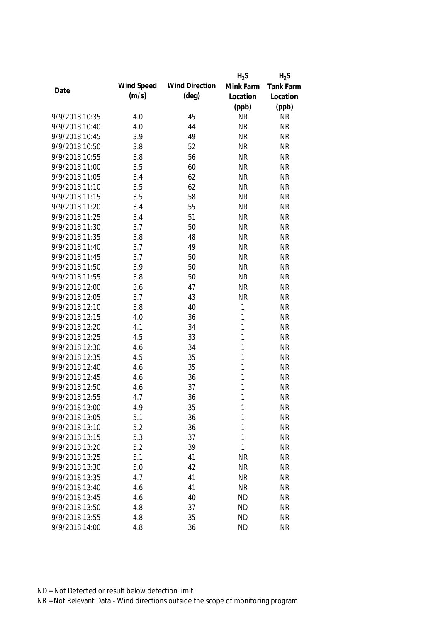|                |            |                       | $H_2S$       | $H_2S$    |
|----------------|------------|-----------------------|--------------|-----------|
| Date           | Wind Speed | <b>Wind Direction</b> | Mink Farm    | Tank Farm |
|                | (m/s)      | $(\text{deg})$        | Location     | Location  |
|                |            |                       | (ppb)        | (ppb)     |
| 9/9/2018 10:35 | 4.0        | 45                    | <b>NR</b>    | <b>NR</b> |
| 9/9/2018 10:40 | 4.0        | 44                    | <b>NR</b>    | <b>NR</b> |
| 9/9/2018 10:45 | 3.9        | 49                    | <b>NR</b>    | <b>NR</b> |
| 9/9/2018 10:50 | 3.8        | 52                    | <b>NR</b>    | <b>NR</b> |
| 9/9/2018 10:55 | 3.8        | 56                    | <b>NR</b>    | <b>NR</b> |
| 9/9/2018 11:00 | 3.5        | 60                    | <b>NR</b>    | <b>NR</b> |
| 9/9/2018 11:05 | 3.4        | 62                    | <b>NR</b>    | <b>NR</b> |
| 9/9/2018 11:10 | 3.5        | 62                    | <b>NR</b>    | <b>NR</b> |
| 9/9/2018 11:15 | 3.5        | 58                    | <b>NR</b>    | <b>NR</b> |
| 9/9/2018 11:20 | 3.4        | 55                    | <b>NR</b>    | <b>NR</b> |
| 9/9/2018 11:25 | 3.4        | 51                    | <b>NR</b>    | <b>NR</b> |
| 9/9/2018 11:30 | 3.7        | 50                    | <b>NR</b>    | <b>NR</b> |
| 9/9/2018 11:35 | 3.8        | 48                    | <b>NR</b>    | <b>NR</b> |
| 9/9/2018 11:40 | 3.7        | 49                    | <b>NR</b>    | <b>NR</b> |
| 9/9/2018 11:45 | 3.7        | 50                    | <b>NR</b>    | <b>NR</b> |
| 9/9/2018 11:50 | 3.9        | 50                    | <b>NR</b>    | <b>NR</b> |
| 9/9/2018 11:55 | 3.8        | 50                    | <b>NR</b>    | <b>NR</b> |
| 9/9/2018 12:00 | 3.6        | 47                    | <b>NR</b>    | <b>NR</b> |
| 9/9/2018 12:05 | 3.7        | 43                    | <b>NR</b>    | <b>NR</b> |
| 9/9/2018 12:10 | 3.8        | 40                    | 1            | <b>NR</b> |
| 9/9/2018 12:15 | 4.0        | 36                    | 1            | <b>NR</b> |
| 9/9/2018 12:20 | 4.1        | 34                    | 1            | <b>NR</b> |
| 9/9/2018 12:25 | 4.5        | 33                    | 1            | <b>NR</b> |
| 9/9/2018 12:30 | 4.6        | 34                    | $\mathbf{1}$ | <b>NR</b> |
| 9/9/2018 12:35 | 4.5        | 35                    | 1            | <b>NR</b> |
| 9/9/2018 12:40 | 4.6        | 35                    | 1            | <b>NR</b> |
| 9/9/2018 12:45 | 4.6        | 36                    | 1            | <b>NR</b> |
| 9/9/2018 12:50 | 4.6        | 37                    | 1            | <b>NR</b> |
| 9/9/2018 12:55 | 4.7        | 36                    | 1            | <b>NR</b> |
| 9/9/2018 13:00 | 4.9        | 35                    | 1            | <b>NR</b> |
| 9/9/2018 13:05 | 5.1        | 36                    | 1            | <b>NR</b> |
| 9/9/2018 13:10 | 5.2        | 36                    | 1            | <b>NR</b> |
| 9/9/2018 13:15 | 5.3        | 37                    | 1            | <b>NR</b> |
| 9/9/2018 13:20 | 5.2        | 39                    | 1            | <b>NR</b> |
| 9/9/2018 13:25 | 5.1        | 41                    | <b>NR</b>    | <b>NR</b> |
| 9/9/2018 13:30 | 5.0        | 42                    | <b>NR</b>    | <b>NR</b> |
| 9/9/2018 13:35 | 4.7        | 41                    | <b>NR</b>    | <b>NR</b> |
| 9/9/2018 13:40 | 4.6        | 41                    | <b>NR</b>    | <b>NR</b> |
| 9/9/2018 13:45 | 4.6        | 40                    | <b>ND</b>    | <b>NR</b> |
| 9/9/2018 13:50 | 4.8        | 37                    | <b>ND</b>    | <b>NR</b> |
| 9/9/2018 13:55 | 4.8        | 35                    | <b>ND</b>    | <b>NR</b> |
| 9/9/2018 14:00 | 4.8        | 36                    | <b>ND</b>    | <b>NR</b> |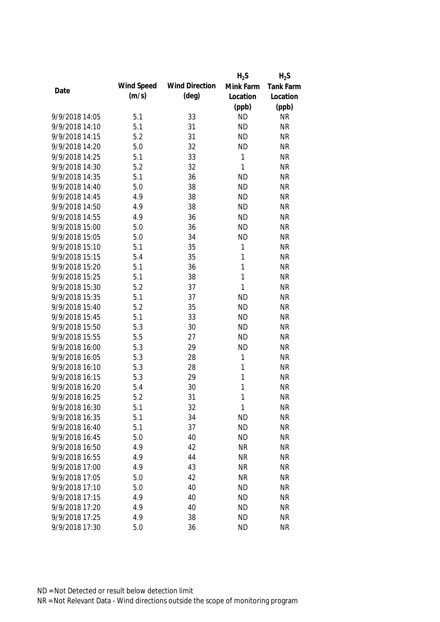|                |            |                       | $H_2S$       | $H_2S$    |
|----------------|------------|-----------------------|--------------|-----------|
|                | Wind Speed | <b>Wind Direction</b> | Mink Farm    | Tank Farm |
| Date           | (m/s)      | $(\text{deg})$        | Location     | Location  |
|                |            |                       | (ppb)        | (ppb)     |
| 9/9/2018 14:05 | 5.1        | 33                    | <b>ND</b>    | <b>NR</b> |
| 9/9/2018 14:10 | 5.1        | 31                    | <b>ND</b>    | <b>NR</b> |
| 9/9/2018 14:15 | 5.2        | 31                    | <b>ND</b>    | <b>NR</b> |
| 9/9/2018 14:20 | 5.0        | 32                    | <b>ND</b>    | <b>NR</b> |
| 9/9/2018 14:25 | 5.1        | 33                    | 1            | <b>NR</b> |
| 9/9/2018 14:30 | 5.2        | 32                    | $\mathbf{1}$ | <b>NR</b> |
| 9/9/2018 14:35 | 5.1        | 36                    | <b>ND</b>    | <b>NR</b> |
| 9/9/2018 14:40 | 5.0        | 38                    | <b>ND</b>    | <b>NR</b> |
| 9/9/2018 14:45 | 4.9        | 38                    | <b>ND</b>    | <b>NR</b> |
| 9/9/2018 14:50 | 4.9        | 38                    | <b>ND</b>    | <b>NR</b> |
| 9/9/2018 14:55 | 4.9        | 36                    | <b>ND</b>    | <b>NR</b> |
| 9/9/2018 15:00 | 5.0        | 36                    | <b>ND</b>    | <b>NR</b> |
| 9/9/2018 15:05 | 5.0        | 34                    | <b>ND</b>    | <b>NR</b> |
| 9/9/2018 15:10 | 5.1        | 35                    | 1            | <b>NR</b> |
| 9/9/2018 15:15 | 5.4        | 35                    | $\mathbf{1}$ | <b>NR</b> |
| 9/9/2018 15:20 | 5.1        | 36                    | $\mathbf{1}$ | <b>NR</b> |
| 9/9/2018 15:25 | 5.1        | 38                    | $\mathbf{1}$ | <b>NR</b> |
| 9/9/2018 15:30 | 5.2        | 37                    | $\mathbf{1}$ | <b>NR</b> |
| 9/9/2018 15:35 | 5.1        | 37                    | <b>ND</b>    | <b>NR</b> |
| 9/9/2018 15:40 | 5.2        | 35                    | <b>ND</b>    | <b>NR</b> |
| 9/9/2018 15:45 | 5.1        | 33                    | <b>ND</b>    | <b>NR</b> |
| 9/9/2018 15:50 | 5.3        | 30                    | <b>ND</b>    | <b>NR</b> |
| 9/9/2018 15:55 | 5.5        | 27                    | <b>ND</b>    | <b>NR</b> |
| 9/9/2018 16:00 | 5.3        | 29                    | <b>ND</b>    | <b>NR</b> |
| 9/9/2018 16:05 | 5.3        | 28                    | $\mathbf{1}$ | <b>NR</b> |
| 9/9/2018 16:10 | 5.3        | 28                    | 1            | <b>NR</b> |
| 9/9/2018 16:15 | 5.3        | 29                    | 1            | <b>NR</b> |
| 9/9/2018 16:20 | 5.4        | 30                    | 1            | <b>NR</b> |
| 9/9/2018 16:25 | 5.2        | 31                    | $\mathbf{1}$ | <b>NR</b> |
| 9/9/2018 16:30 | 5.1        | 32                    | 1            | <b>NR</b> |
| 9/9/2018 16:35 | 5.1        | 34                    | <b>ND</b>    | <b>NR</b> |
| 9/9/2018 16:40 | 5.1        | 37                    | <b>ND</b>    | <b>NR</b> |
| 9/9/2018 16:45 | 5.0        | 40                    | <b>ND</b>    | <b>NR</b> |
| 9/9/2018 16:50 | 4.9        | 42                    | <b>NR</b>    | <b>NR</b> |
| 9/9/2018 16:55 | 4.9        | 44                    | <b>NR</b>    | <b>NR</b> |
| 9/9/2018 17:00 | 4.9        | 43                    | <b>NR</b>    | <b>NR</b> |
| 9/9/2018 17:05 | 5.0        | 42                    | <b>NR</b>    | <b>NR</b> |
| 9/9/2018 17:10 | 5.0        | 40                    | <b>ND</b>    | <b>NR</b> |
| 9/9/2018 17:15 | 4.9        | 40                    | <b>ND</b>    | <b>NR</b> |
| 9/9/2018 17:20 | 4.9        | 40                    | <b>ND</b>    | <b>NR</b> |
| 9/9/2018 17:25 | 4.9        | 38                    | <b>ND</b>    | <b>NR</b> |
| 9/9/2018 17:30 | 5.0        | 36                    | <b>ND</b>    | <b>NR</b> |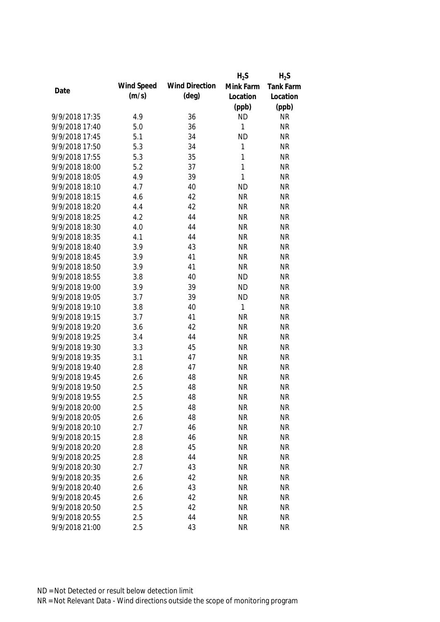|                |            |                       | $H_2S$       | $H_2S$           |
|----------------|------------|-----------------------|--------------|------------------|
|                | Wind Speed | <b>Wind Direction</b> | Mink Farm    | <b>Tank Farm</b> |
| Date           | (m/s)      | $(\text{deg})$        | Location     | Location         |
|                |            |                       | (ppb)        | (ppb)            |
| 9/9/2018 17:35 | 4.9        | 36                    | <b>ND</b>    | <b>NR</b>        |
| 9/9/2018 17:40 | 5.0        | 36                    | 1            | <b>NR</b>        |
| 9/9/2018 17:45 | 5.1        | 34                    | <b>ND</b>    | <b>NR</b>        |
| 9/9/2018 17:50 | 5.3        | 34                    | 1            | <b>NR</b>        |
| 9/9/2018 17:55 | 5.3        | 35                    | 1            | <b>NR</b>        |
| 9/9/2018 18:00 | 5.2        | 37                    | $\mathbf{1}$ | <b>NR</b>        |
| 9/9/2018 18:05 | 4.9        | 39                    | $\mathbf{1}$ | <b>NR</b>        |
| 9/9/2018 18:10 | 4.7        | 40                    | <b>ND</b>    | <b>NR</b>        |
| 9/9/2018 18:15 | 4.6        | 42                    | <b>NR</b>    | <b>NR</b>        |
| 9/9/2018 18:20 | 4.4        | 42                    | <b>NR</b>    | <b>NR</b>        |
| 9/9/2018 18:25 | 4.2        | 44                    | <b>NR</b>    | <b>NR</b>        |
| 9/9/2018 18:30 | 4.0        | 44                    | <b>NR</b>    | <b>NR</b>        |
| 9/9/2018 18:35 | 4.1        | 44                    | <b>NR</b>    | <b>NR</b>        |
| 9/9/2018 18:40 | 3.9        | 43                    | <b>NR</b>    | <b>NR</b>        |
| 9/9/2018 18:45 | 3.9        | 41                    | <b>NR</b>    | <b>NR</b>        |
| 9/9/2018 18:50 | 3.9        | 41                    | <b>NR</b>    | <b>NR</b>        |
| 9/9/2018 18:55 | 3.8        | 40                    | <b>ND</b>    | <b>NR</b>        |
| 9/9/2018 19:00 | 3.9        | 39                    | <b>ND</b>    | <b>NR</b>        |
| 9/9/2018 19:05 | 3.7        | 39                    | <b>ND</b>    | <b>NR</b>        |
| 9/9/2018 19:10 | 3.8        | 40                    | 1            | <b>NR</b>        |
| 9/9/2018 19:15 | 3.7        | 41                    | <b>NR</b>    | <b>NR</b>        |
| 9/9/2018 19:20 | 3.6        | 42                    | <b>NR</b>    | <b>NR</b>        |
| 9/9/2018 19:25 | 3.4        | 44                    | <b>NR</b>    | <b>NR</b>        |
| 9/9/2018 19:30 | 3.3        | 45                    | <b>NR</b>    | <b>NR</b>        |
| 9/9/2018 19:35 | 3.1        | 47                    | <b>NR</b>    | <b>NR</b>        |
| 9/9/2018 19:40 | 2.8        | 47                    | <b>NR</b>    | <b>NR</b>        |
| 9/9/2018 19:45 | 2.6        | 48                    | <b>NR</b>    | <b>NR</b>        |
| 9/9/2018 19:50 | 2.5        | 48                    | <b>NR</b>    | <b>NR</b>        |
| 9/9/2018 19:55 | 2.5        | 48                    | <b>NR</b>    | <b>NR</b>        |
| 9/9/2018 20:00 | 2.5        | 48                    | <b>NR</b>    | <b>NR</b>        |
| 9/9/2018 20:05 | 2.6        | 48                    | <b>NR</b>    | <b>NR</b>        |
| 9/9/2018 20:10 | 2.7        | 46                    | <b>NR</b>    | <b>NR</b>        |
| 9/9/2018 20:15 | 2.8        | 46                    | <b>NR</b>    | <b>NR</b>        |
| 9/9/2018 20:20 | 2.8        | 45                    | <b>NR</b>    | <b>NR</b>        |
| 9/9/2018 20:25 | 2.8        | 44                    | <b>NR</b>    | <b>NR</b>        |
| 9/9/2018 20:30 | 2.7        | 43                    | <b>NR</b>    | <b>NR</b>        |
| 9/9/2018 20:35 | 2.6        | 42                    | <b>NR</b>    | <b>NR</b>        |
| 9/9/2018 20:40 | 2.6        | 43                    | <b>NR</b>    | <b>NR</b>        |
| 9/9/2018 20:45 | 2.6        | 42                    | <b>NR</b>    | <b>NR</b>        |
| 9/9/2018 20:50 | 2.5        | 42                    | <b>NR</b>    | <b>NR</b>        |
| 9/9/2018 20:55 | 2.5        | 44                    | <b>NR</b>    | <b>NR</b>        |
| 9/9/2018 21:00 | 2.5        | 43                    | <b>NR</b>    | <b>NR</b>        |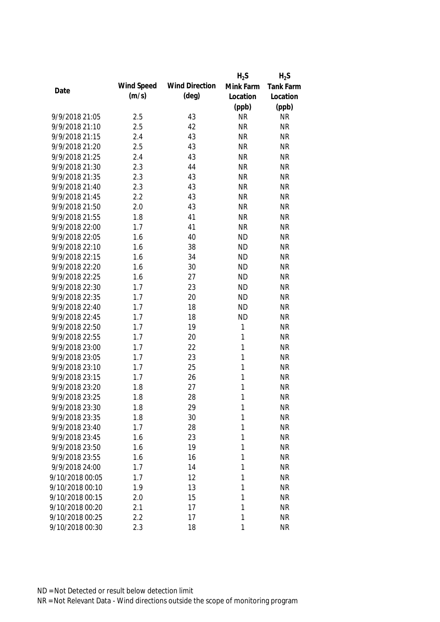|                 |            |                       | $H_2S$       | $H_2S$           |
|-----------------|------------|-----------------------|--------------|------------------|
| Date            | Wind Speed | <b>Wind Direction</b> | Mink Farm    | <b>Tank Farm</b> |
|                 | (m/s)      | $(\text{deg})$        | Location     | Location         |
|                 |            |                       | (ppb)        | (ppb)            |
| 9/9/2018 21:05  | 2.5        | 43                    | <b>NR</b>    | <b>NR</b>        |
| 9/9/2018 21:10  | 2.5        | 42                    | <b>NR</b>    | <b>NR</b>        |
| 9/9/2018 21:15  | 2.4        | 43                    | <b>NR</b>    | <b>NR</b>        |
| 9/9/2018 21:20  | 2.5        | 43                    | <b>NR</b>    | <b>NR</b>        |
| 9/9/2018 21:25  | 2.4        | 43                    | <b>NR</b>    | <b>NR</b>        |
| 9/9/2018 21:30  | 2.3        | 44                    | <b>NR</b>    | <b>NR</b>        |
| 9/9/2018 21:35  | 2.3        | 43                    | <b>NR</b>    | <b>NR</b>        |
| 9/9/2018 21:40  | 2.3        | 43                    | <b>NR</b>    | <b>NR</b>        |
| 9/9/2018 21:45  | 2.2        | 43                    | <b>NR</b>    | <b>NR</b>        |
| 9/9/2018 21:50  | 2.0        | 43                    | <b>NR</b>    | <b>NR</b>        |
| 9/9/2018 21:55  | 1.8        | 41                    | <b>NR</b>    | <b>NR</b>        |
| 9/9/2018 22:00  | 1.7        | 41                    | <b>NR</b>    | <b>NR</b>        |
| 9/9/2018 22:05  | 1.6        | 40                    | <b>ND</b>    | <b>NR</b>        |
| 9/9/2018 22:10  | 1.6        | 38                    | <b>ND</b>    | <b>NR</b>        |
| 9/9/2018 22:15  | 1.6        | 34                    | <b>ND</b>    | <b>NR</b>        |
| 9/9/2018 22:20  | 1.6        | 30                    | <b>ND</b>    | <b>NR</b>        |
| 9/9/2018 22:25  | 1.6        | 27                    | <b>ND</b>    | <b>NR</b>        |
| 9/9/2018 22:30  | 1.7        | 23                    | <b>ND</b>    | <b>NR</b>        |
| 9/9/2018 22:35  | 1.7        | 20                    | <b>ND</b>    | <b>NR</b>        |
| 9/9/2018 22:40  | 1.7        | 18                    | <b>ND</b>    | <b>NR</b>        |
| 9/9/2018 22:45  | 1.7        | 18                    | <b>ND</b>    | <b>NR</b>        |
| 9/9/2018 22:50  | 1.7        | 19                    | 1            | <b>NR</b>        |
| 9/9/2018 22:55  | 1.7        | 20                    | 1            | <b>NR</b>        |
| 9/9/2018 23:00  | 1.7        | 22                    | $\mathbf{1}$ | <b>NR</b>        |
| 9/9/2018 23:05  | 1.7        | 23                    | 1            | <b>NR</b>        |
| 9/9/2018 23:10  | 1.7        | 25                    | 1            | <b>NR</b>        |
| 9/9/2018 23:15  | 1.7        | 26                    | 1            | <b>NR</b>        |
| 9/9/2018 23:20  | 1.8        | 27                    | 1            | <b>NR</b>        |
| 9/9/2018 23:25  | 1.8        | 28                    | 1            | <b>NR</b>        |
| 9/9/2018 23:30  | 1.8        | 29                    | 1            | <b>NR</b>        |
| 9/9/2018 23:35  | 1.8        | 30                    | 1            | <b>NR</b>        |
| 9/9/2018 23:40  | 1.7        | 28                    | 1            | <b>NR</b>        |
| 9/9/2018 23:45  | 1.6        | 23                    | 1            | <b>NR</b>        |
| 9/9/2018 23:50  | 1.6        | 19                    | 1            | <b>NR</b>        |
| 9/9/2018 23:55  | 1.6        | 16                    | 1            | <b>NR</b>        |
| 9/9/2018 24:00  | 1.7        | 14                    | 1            | <b>NR</b>        |
| 9/10/2018 00:05 | 1.7        | 12                    | 1            | <b>NR</b>        |
| 9/10/2018 00:10 | 1.9        | 13                    | 1            | <b>NR</b>        |
| 9/10/2018 00:15 | 2.0        | 15                    | 1            | <b>NR</b>        |
| 9/10/2018 00:20 | 2.1        | 17                    | 1            | <b>NR</b>        |
| 9/10/2018 00:25 | 2.2        | 17                    | 1            | <b>NR</b>        |
| 9/10/2018 00:30 | 2.3        | 18                    | 1            | <b>NR</b>        |
|                 |            |                       |              |                  |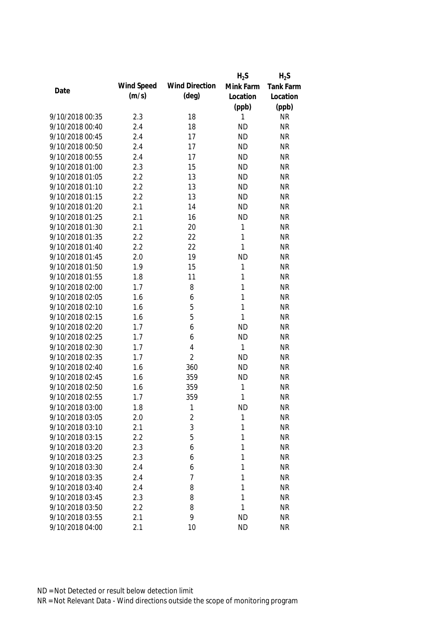|                 |            |                       | $H_2S$       | $H_2S$    |
|-----------------|------------|-----------------------|--------------|-----------|
|                 | Wind Speed | <b>Wind Direction</b> | Mink Farm    | Tank Farm |
| Date            | (m/s)      | $(\text{deg})$        | Location     | Location  |
|                 |            |                       | (ppb)        | (ppb)     |
| 9/10/2018 00:35 | 2.3        | 18                    | 1            | <b>NR</b> |
| 9/10/2018 00:40 | 2.4        | 18                    | <b>ND</b>    | <b>NR</b> |
| 9/10/2018 00:45 | 2.4        | 17                    | <b>ND</b>    | <b>NR</b> |
| 9/10/2018 00:50 | 2.4        | 17                    | <b>ND</b>    | <b>NR</b> |
| 9/10/2018 00:55 | 2.4        | 17                    | <b>ND</b>    | <b>NR</b> |
| 9/10/2018 01:00 | 2.3        | 15                    | <b>ND</b>    | <b>NR</b> |
| 9/10/2018 01:05 | 2.2        | 13                    | <b>ND</b>    | <b>NR</b> |
| 9/10/2018 01:10 | 2.2        | 13                    | <b>ND</b>    | <b>NR</b> |
| 9/10/2018 01:15 | 2.2        | 13                    | <b>ND</b>    | <b>NR</b> |
| 9/10/2018 01:20 | 2.1        | 14                    | <b>ND</b>    | <b>NR</b> |
| 9/10/2018 01:25 | 2.1        | 16                    | <b>ND</b>    | <b>NR</b> |
| 9/10/2018 01:30 | 2.1        | 20                    | 1            | <b>NR</b> |
| 9/10/2018 01:35 | 2.2        | 22                    | $\mathbf{1}$ | <b>NR</b> |
| 9/10/2018 01:40 | 2.2        | 22                    | 1            | <b>NR</b> |
| 9/10/2018 01:45 | 2.0        | 19                    | <b>ND</b>    | <b>NR</b> |
| 9/10/2018 01:50 | 1.9        | 15                    | 1            | <b>NR</b> |
| 9/10/2018 01:55 | 1.8        | 11                    | 1            | <b>NR</b> |
| 9/10/2018 02:00 | 1.7        | 8                     | 1            | <b>NR</b> |
| 9/10/2018 02:05 | 1.6        | 6                     | 1            | <b>NR</b> |
| 9/10/2018 02:10 | 1.6        | 5                     | 1            | <b>NR</b> |
| 9/10/2018 02:15 | 1.6        | 5                     | 1            | <b>NR</b> |
| 9/10/2018 02:20 | 1.7        | 6                     | <b>ND</b>    | <b>NR</b> |
| 9/10/2018 02:25 | 1.7        | 6                     | <b>ND</b>    | <b>NR</b> |
| 9/10/2018 02:30 | 1.7        | 4                     | 1            | <b>NR</b> |
| 9/10/2018 02:35 | 1.7        | $\overline{2}$        | <b>ND</b>    | <b>NR</b> |
| 9/10/2018 02:40 | 1.6        | 360                   | <b>ND</b>    | <b>NR</b> |
| 9/10/2018 02:45 | 1.6        | 359                   | <b>ND</b>    | <b>NR</b> |
| 9/10/2018 02:50 | 1.6        | 359                   | 1            | <b>NR</b> |
| 9/10/2018 02:55 | 1.7        | 359                   | 1            | <b>NR</b> |
| 9/10/2018 03:00 | 1.8        | 1                     | <b>ND</b>    | <b>NR</b> |
| 9/10/2018 03:05 | 2.0        | $\sqrt{2}$            | 1            | <b>NR</b> |
| 9/10/2018 03:10 | 2.1        | 3                     | 1            | <b>NR</b> |
| 9/10/2018 03:15 | 2.2        | 5                     | 1            | <b>NR</b> |
| 9/10/2018 03:20 | 2.3        | 6                     | 1            | <b>NR</b> |
| 9/10/2018 03:25 | 2.3        | 6                     | 1            | <b>NR</b> |
| 9/10/2018 03:30 | 2.4        | 6                     | 1            | <b>NR</b> |
| 9/10/2018 03:35 | 2.4        | 7                     | 1            | <b>NR</b> |
| 9/10/2018 03:40 | 2.4        | 8                     | 1            | <b>NR</b> |
| 9/10/2018 03:45 | 2.3        | 8                     | 1            | <b>NR</b> |
| 9/10/2018 03:50 | 2.2        | 8                     | 1            | <b>NR</b> |
| 9/10/2018 03:55 | 2.1        | 9                     | <b>ND</b>    | <b>NR</b> |
| 9/10/2018 04:00 | 2.1        | 10                    | <b>ND</b>    | <b>NR</b> |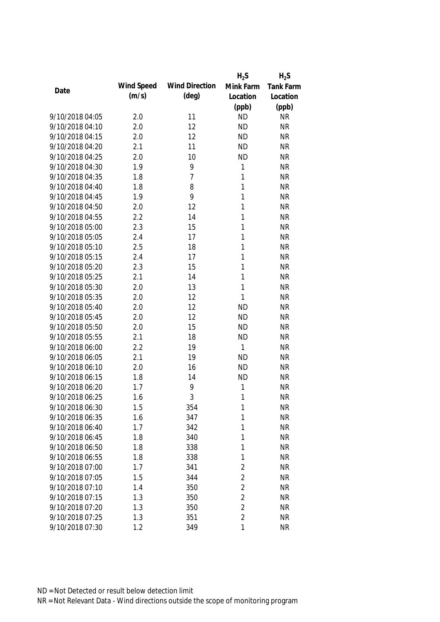|                 |            |                       | $H_2S$         | $H_2S$           |
|-----------------|------------|-----------------------|----------------|------------------|
|                 | Wind Speed | <b>Wind Direction</b> | Mink Farm      | <b>Tank Farm</b> |
| Date            | (m/s)      | $(\text{deg})$        | Location       | Location         |
|                 |            |                       | (ppb)          | (ppb)            |
| 9/10/2018 04:05 | 2.0        | 11                    | <b>ND</b>      | <b>NR</b>        |
| 9/10/2018 04:10 | 2.0        | 12                    | <b>ND</b>      | <b>NR</b>        |
| 9/10/2018 04:15 | 2.0        | 12                    | <b>ND</b>      | <b>NR</b>        |
| 9/10/2018 04:20 | 2.1        | 11                    | <b>ND</b>      | <b>NR</b>        |
| 9/10/2018 04:25 | 2.0        | 10                    | <b>ND</b>      | <b>NR</b>        |
| 9/10/2018 04:30 | 1.9        | 9                     | 1              | <b>NR</b>        |
| 9/10/2018 04:35 | 1.8        | $\overline{7}$        | 1              | <b>NR</b>        |
| 9/10/2018 04:40 | 1.8        | 8                     | 1              | <b>NR</b>        |
| 9/10/2018 04:45 | 1.9        | 9                     | $\mathbf{1}$   | <b>NR</b>        |
| 9/10/2018 04:50 | 2.0        | 12                    | 1              | <b>NR</b>        |
| 9/10/2018 04:55 | 2.2        | 14                    | 1              | <b>NR</b>        |
| 9/10/2018 05:00 | 2.3        | 15                    | 1              | <b>NR</b>        |
| 9/10/2018 05:05 | 2.4        | 17                    | 1              | <b>NR</b>        |
| 9/10/2018 05:10 | 2.5        | 18                    | 1              | <b>NR</b>        |
| 9/10/2018 05:15 | 2.4        | 17                    | 1              | <b>NR</b>        |
| 9/10/2018 05:20 | 2.3        | 15                    | $\mathbf{1}$   | <b>NR</b>        |
| 9/10/2018 05:25 | 2.1        | 14                    | 1              | <b>NR</b>        |
| 9/10/2018 05:30 | 2.0        | 13                    | 1              | <b>NR</b>        |
| 9/10/2018 05:35 | 2.0        | 12                    | 1              | <b>NR</b>        |
| 9/10/2018 05:40 | 2.0        | 12                    | <b>ND</b>      | <b>NR</b>        |
| 9/10/2018 05:45 | 2.0        | 12                    | <b>ND</b>      | <b>NR</b>        |
| 9/10/2018 05:50 | 2.0        | 15                    | <b>ND</b>      | <b>NR</b>        |
| 9/10/2018 05:55 | 2.1        | 18                    | <b>ND</b>      | <b>NR</b>        |
| 9/10/2018 06:00 | 2.2        | 19                    | 1              | <b>NR</b>        |
| 9/10/2018 06:05 | 2.1        | 19                    | <b>ND</b>      | <b>NR</b>        |
| 9/10/2018 06:10 | 2.0        | 16                    | <b>ND</b>      | <b>NR</b>        |
| 9/10/2018 06:15 | 1.8        | 14                    | <b>ND</b>      | <b>NR</b>        |
| 9/10/2018 06:20 | 1.7        | 9                     | 1              | <b>NR</b>        |
| 9/10/2018 06:25 | 1.6        | 3                     | 1              | <b>NR</b>        |
| 9/10/2018 06:30 | 1.5        | 354                   | 1              | <b>NR</b>        |
| 9/10/2018 06:35 | 1.6        | 347                   | 1              | <b>NR</b>        |
| 9/10/2018 06:40 | 1.7        | 342                   | 1              | <b>NR</b>        |
| 9/10/2018 06:45 | 1.8        | 340                   | 1              | <b>NR</b>        |
| 9/10/2018 06:50 | 1.8        | 338                   | 1              | <b>NR</b>        |
| 9/10/2018 06:55 | 1.8        | 338                   | $\mathbf{1}$   | <b>NR</b>        |
| 9/10/2018 07:00 | 1.7        | 341                   | $\overline{2}$ | <b>NR</b>        |
| 9/10/2018 07:05 | 1.5        | 344                   | $\overline{2}$ | <b>NR</b>        |
| 9/10/2018 07:10 | 1.4        | 350                   | $\overline{2}$ | <b>NR</b>        |
| 9/10/2018 07:15 | 1.3        | 350                   | $\overline{2}$ | <b>NR</b>        |
| 9/10/2018 07:20 | 1.3        | 350                   | $\overline{2}$ | <b>NR</b>        |
| 9/10/2018 07:25 | 1.3        | 351                   | $\overline{2}$ | <b>NR</b>        |
| 9/10/2018 07:30 | 1.2        | 349                   | $\mathbf{1}$   | <b>NR</b>        |
|                 |            |                       |                |                  |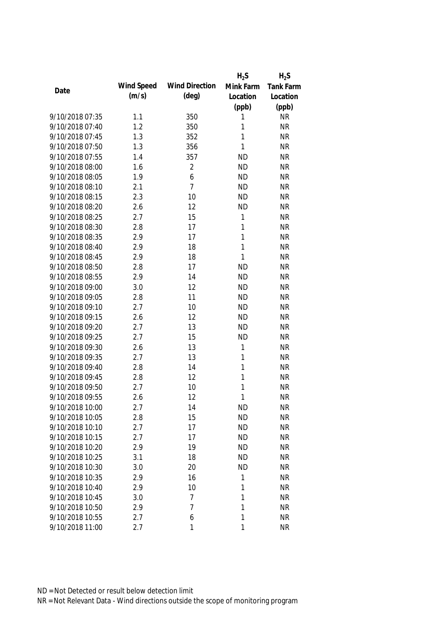|                 |            |                       | $H_2S$       | $H_2S$           |
|-----------------|------------|-----------------------|--------------|------------------|
| Date            | Wind Speed | <b>Wind Direction</b> | Mink Farm    | <b>Tank Farm</b> |
|                 | (m/s)      | $(\text{deg})$        | Location     | Location         |
|                 |            |                       | (ppb)        | (ppb)            |
| 9/10/2018 07:35 | 1.1        | 350                   | 1            | <b>NR</b>        |
| 9/10/2018 07:40 | 1.2        | 350                   | 1            | <b>NR</b>        |
| 9/10/2018 07:45 | 1.3        | 352                   | 1            | <b>NR</b>        |
| 9/10/2018 07:50 | 1.3        | 356                   | 1            | <b>NR</b>        |
| 9/10/2018 07:55 | 1.4        | 357                   | <b>ND</b>    | <b>NR</b>        |
| 9/10/2018 08:00 | 1.6        | $\overline{2}$        | <b>ND</b>    | <b>NR</b>        |
| 9/10/2018 08:05 | 1.9        | 6                     | <b>ND</b>    | <b>NR</b>        |
| 9/10/2018 08:10 | 2.1        | $\overline{7}$        | <b>ND</b>    | <b>NR</b>        |
| 9/10/2018 08:15 | 2.3        | 10                    | <b>ND</b>    | <b>NR</b>        |
| 9/10/2018 08:20 | 2.6        | 12                    | <b>ND</b>    | <b>NR</b>        |
| 9/10/2018 08:25 | 2.7        | 15                    | 1            | <b>NR</b>        |
| 9/10/2018 08:30 | 2.8        | 17                    | 1            | <b>NR</b>        |
| 9/10/2018 08:35 | 2.9        | 17                    | 1            | <b>NR</b>        |
| 9/10/2018 08:40 | 2.9        | 18                    | $\mathbf{1}$ | <b>NR</b>        |
| 9/10/2018 08:45 | 2.9        | 18                    | 1            | <b>NR</b>        |
| 9/10/2018 08:50 | 2.8        | 17                    | <b>ND</b>    | <b>NR</b>        |
| 9/10/2018 08:55 | 2.9        | 14                    | <b>ND</b>    | <b>NR</b>        |
| 9/10/2018 09:00 | 3.0        | 12                    | <b>ND</b>    | <b>NR</b>        |
| 9/10/2018 09:05 | 2.8        | 11                    | <b>ND</b>    | <b>NR</b>        |
| 9/10/2018 09:10 | 2.7        | 10                    | <b>ND</b>    | <b>NR</b>        |
| 9/10/2018 09:15 | 2.6        | 12                    | <b>ND</b>    | <b>NR</b>        |
| 9/10/2018 09:20 | 2.7        | 13                    | <b>ND</b>    | <b>NR</b>        |
| 9/10/2018 09:25 | 2.7        | 15                    | <b>ND</b>    | <b>NR</b>        |
| 9/10/2018 09:30 | 2.6        | 13                    | 1            | <b>NR</b>        |
| 9/10/2018 09:35 | 2.7        | 13                    | 1            | <b>NR</b>        |
| 9/10/2018 09:40 | 2.8        | 14                    | 1            | <b>NR</b>        |
| 9/10/2018 09:45 | 2.8        | 12                    | 1            | <b>NR</b>        |
| 9/10/2018 09:50 | 2.7        | 10                    | 1            | <b>NR</b>        |
| 9/10/2018 09:55 | 2.6        | 12                    | 1            | <b>NR</b>        |
| 9/10/2018 10:00 | 2.7        | 14                    | <b>ND</b>    | NR               |
| 9/10/2018 10:05 | 2.8        | 15                    | <b>ND</b>    | <b>NR</b>        |
| 9/10/2018 10:10 | 2.7        | 17                    | <b>ND</b>    | <b>NR</b>        |
| 9/10/2018 10:15 | 2.7        | 17                    | <b>ND</b>    | <b>NR</b>        |
| 9/10/2018 10:20 | 2.9        | 19                    | <b>ND</b>    | <b>NR</b>        |
| 9/10/2018 10:25 | 3.1        | 18                    | <b>ND</b>    | <b>NR</b>        |
| 9/10/2018 10:30 | 3.0        | 20                    | <b>ND</b>    | <b>NR</b>        |
| 9/10/2018 10:35 | 2.9        | 16                    | 1            | <b>NR</b>        |
| 9/10/2018 10:40 | 2.9        | 10                    | 1            | <b>NR</b>        |
| 9/10/2018 10:45 | 3.0        | 7                     | 1            | <b>NR</b>        |
| 9/10/2018 10:50 | 2.9        | 7                     | 1            | <b>NR</b>        |
| 9/10/2018 10:55 | 2.7        | 6                     | 1            | <b>NR</b>        |
| 9/10/2018 11:00 | 2.7        | 1                     | $\mathbf{1}$ | <b>NR</b>        |
|                 |            |                       |              |                  |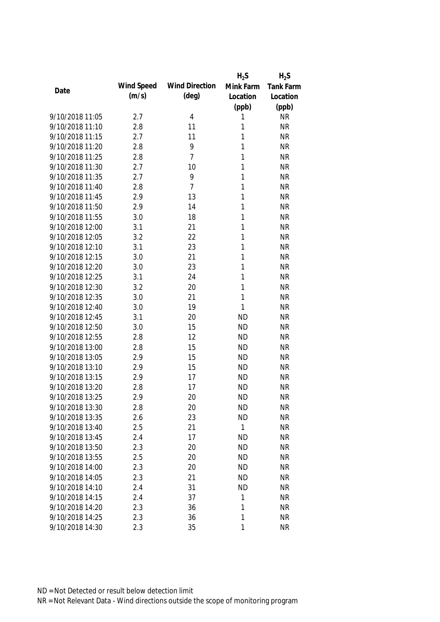|                 |            |                       | $H_2S$    | $H_2S$    |
|-----------------|------------|-----------------------|-----------|-----------|
| Date            | Wind Speed | <b>Wind Direction</b> | Mink Farm | Tank Farm |
|                 | (m/s)      | $(\text{deg})$        | Location  | Location  |
|                 |            |                       | (ppb)     | (ppb)     |
| 9/10/2018 11:05 | 2.7        | 4                     | 1         | <b>NR</b> |
| 9/10/2018 11:10 | 2.8        | 11                    | 1         | <b>NR</b> |
| 9/10/2018 11:15 | 2.7        | 11                    | 1         | <b>NR</b> |
| 9/10/2018 11:20 | 2.8        | 9                     | 1         | <b>NR</b> |
| 9/10/2018 11:25 | 2.8        | $\overline{7}$        | 1         | <b>NR</b> |
| 9/10/2018 11:30 | 2.7        | 10                    | 1         | <b>NR</b> |
| 9/10/2018 11:35 | 2.7        | 9                     | 1         | <b>NR</b> |
| 9/10/2018 11:40 | 2.8        | $\overline{7}$        | 1         | <b>NR</b> |
| 9/10/2018 11:45 | 2.9        | 13                    | 1         | <b>NR</b> |
| 9/10/2018 11:50 | 2.9        | 14                    | 1         | <b>NR</b> |
| 9/10/2018 11:55 | 3.0        | 18                    | 1         | <b>NR</b> |
| 9/10/2018 12:00 | 3.1        | 21                    | 1         | <b>NR</b> |
| 9/10/2018 12:05 | 3.2        | 22                    | 1         | <b>NR</b> |
| 9/10/2018 12:10 | 3.1        | 23                    | 1         | <b>NR</b> |
| 9/10/2018 12:15 | 3.0        | 21                    | 1         | <b>NR</b> |
| 9/10/2018 12:20 | 3.0        | 23                    | 1         | <b>NR</b> |
| 9/10/2018 12:25 | 3.1        | 24                    | 1         | <b>NR</b> |
| 9/10/2018 12:30 | 3.2        | 20                    | 1         | <b>NR</b> |
| 9/10/2018 12:35 | 3.0        | 21                    | 1         | <b>NR</b> |
| 9/10/2018 12:40 | 3.0        | 19                    | 1         | <b>NR</b> |
| 9/10/2018 12:45 | 3.1        | 20                    | <b>ND</b> | <b>NR</b> |
| 9/10/2018 12:50 | 3.0        | 15                    | <b>ND</b> | <b>NR</b> |
| 9/10/2018 12:55 | 2.8        | 12                    | <b>ND</b> | <b>NR</b> |
| 9/10/2018 13:00 | 2.8        | 15                    | <b>ND</b> | <b>NR</b> |
| 9/10/2018 13:05 | 2.9        | 15                    | <b>ND</b> | <b>NR</b> |
| 9/10/2018 13:10 | 2.9        | 15                    | <b>ND</b> | <b>NR</b> |
| 9/10/2018 13:15 | 2.9        | 17                    | <b>ND</b> | <b>NR</b> |
| 9/10/2018 13:20 | 2.8        | 17                    | <b>ND</b> | <b>NR</b> |
| 9/10/2018 13:25 | 2.9        | 20                    | <b>ND</b> | <b>NR</b> |
| 9/10/2018 13:30 | 2.8        | 20                    | <b>ND</b> | <b>NR</b> |
| 9/10/2018 13:35 | 2.6        | 23                    | <b>ND</b> | <b>NR</b> |
| 9/10/2018 13:40 | 2.5        | 21                    | 1         | <b>NR</b> |
| 9/10/2018 13:45 | 2.4        | 17                    | <b>ND</b> | <b>NR</b> |
| 9/10/2018 13:50 | 2.3        | 20                    | <b>ND</b> | <b>NR</b> |
| 9/10/2018 13:55 | 2.5        | 20                    | <b>ND</b> | <b>NR</b> |
| 9/10/2018 14:00 | 2.3        | 20                    | <b>ND</b> | <b>NR</b> |
| 9/10/2018 14:05 | 2.3        | 21                    | <b>ND</b> | <b>NR</b> |
| 9/10/2018 14:10 | 2.4        | 31                    | <b>ND</b> | <b>NR</b> |
| 9/10/2018 14:15 | 2.4        | 37                    | 1         | <b>NR</b> |
| 9/10/2018 14:20 | 2.3        | 36                    | 1         | <b>NR</b> |
| 9/10/2018 14:25 | 2.3        | 36                    | 1         | <b>NR</b> |
| 9/10/2018 14:30 | 2.3        | 35                    | 1         | <b>NR</b> |
|                 |            |                       |           |           |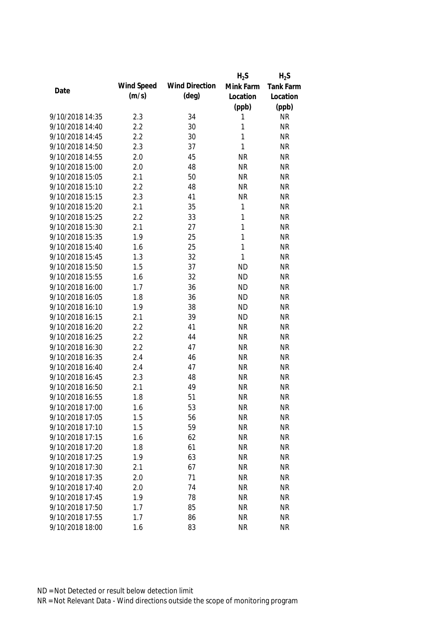|                 |            |                       | $H_2S$       | $H_2S$           |
|-----------------|------------|-----------------------|--------------|------------------|
|                 | Wind Speed | <b>Wind Direction</b> | Mink Farm    | <b>Tank Farm</b> |
| Date            | (m/s)      | $(\text{deg})$        | Location     | Location         |
|                 |            |                       | (ppb)        | (ppb)            |
| 9/10/2018 14:35 | 2.3        | 34                    | 1            | <b>NR</b>        |
| 9/10/2018 14:40 | 2.2        | 30                    | 1            | <b>NR</b>        |
| 9/10/2018 14:45 | 2.2        | 30                    | $\mathbf{1}$ | <b>NR</b>        |
| 9/10/2018 14:50 | 2.3        | 37                    | $\mathbf{1}$ | <b>NR</b>        |
| 9/10/2018 14:55 | 2.0        | 45                    | <b>NR</b>    | <b>NR</b>        |
| 9/10/2018 15:00 | 2.0        | 48                    | <b>NR</b>    | <b>NR</b>        |
| 9/10/2018 15:05 | 2.1        | 50                    | <b>NR</b>    | <b>NR</b>        |
| 9/10/2018 15:10 | 2.2        | 48                    | <b>NR</b>    | <b>NR</b>        |
| 9/10/2018 15:15 | 2.3        | 41                    | <b>NR</b>    | <b>NR</b>        |
| 9/10/2018 15:20 | 2.1        | 35                    | $\mathbf{1}$ | <b>NR</b>        |
| 9/10/2018 15:25 | 2.2        | 33                    | 1            | <b>NR</b>        |
| 9/10/2018 15:30 | 2.1        | 27                    | 1            | <b>NR</b>        |
| 9/10/2018 15:35 | 1.9        | 25                    | $\mathbf{1}$ | <b>NR</b>        |
| 9/10/2018 15:40 | 1.6        | 25                    | $\mathbf{1}$ | <b>NR</b>        |
| 9/10/2018 15:45 | 1.3        | 32                    | $\mathbf{1}$ | <b>NR</b>        |
| 9/10/2018 15:50 | 1.5        | 37                    | <b>ND</b>    | <b>NR</b>        |
| 9/10/2018 15:55 | 1.6        | 32                    | <b>ND</b>    | <b>NR</b>        |
| 9/10/2018 16:00 | 1.7        | 36                    | <b>ND</b>    | <b>NR</b>        |
| 9/10/2018 16:05 | 1.8        | 36                    | <b>ND</b>    | <b>NR</b>        |
| 9/10/2018 16:10 | 1.9        | 38                    | <b>ND</b>    | <b>NR</b>        |
| 9/10/2018 16:15 | 2.1        | 39                    | <b>ND</b>    | <b>NR</b>        |
| 9/10/2018 16:20 | 2.2        | 41                    | <b>NR</b>    | <b>NR</b>        |
| 9/10/2018 16:25 | 2.2        | 44                    | <b>NR</b>    | <b>NR</b>        |
| 9/10/2018 16:30 | 2.2        | 47                    | <b>NR</b>    | <b>NR</b>        |
| 9/10/2018 16:35 | 2.4        | 46                    | <b>NR</b>    | <b>NR</b>        |
| 9/10/2018 16:40 | 2.4        | 47                    | <b>NR</b>    | <b>NR</b>        |
| 9/10/2018 16:45 | 2.3        | 48                    | <b>NR</b>    | <b>NR</b>        |
| 9/10/2018 16:50 | 2.1        | 49                    | <b>NR</b>    | <b>NR</b>        |
| 9/10/2018 16:55 | 1.8        | 51                    | <b>NR</b>    | <b>NR</b>        |
| 9/10/2018 17:00 | 1.6        | 53                    | <b>NR</b>    | <b>NR</b>        |
| 9/10/2018 17:05 | 1.5        | 56                    | <b>NR</b>    | <b>NR</b>        |
| 9/10/2018 17:10 | 1.5        | 59                    | <b>NR</b>    | <b>NR</b>        |
| 9/10/2018 17:15 | 1.6        | 62                    | <b>NR</b>    | <b>NR</b>        |
| 9/10/2018 17:20 | 1.8        | 61                    | <b>NR</b>    | <b>NR</b>        |
| 9/10/2018 17:25 | 1.9        | 63                    | <b>NR</b>    | <b>NR</b>        |
| 9/10/2018 17:30 | 2.1        | 67                    | <b>NR</b>    | <b>NR</b>        |
| 9/10/2018 17:35 | 2.0        | 71                    | <b>NR</b>    | <b>NR</b>        |
| 9/10/2018 17:40 | 2.0        | 74                    | <b>NR</b>    | <b>NR</b>        |
| 9/10/2018 17:45 | 1.9        | 78                    | <b>NR</b>    | <b>NR</b>        |
| 9/10/2018 17:50 | 1.7        | 85                    | <b>NR</b>    | <b>NR</b>        |
| 9/10/2018 17:55 | 1.7        | 86                    | <b>NR</b>    | <b>NR</b>        |
| 9/10/2018 18:00 | 1.6        | 83                    | <b>NR</b>    | <b>NR</b>        |
|                 |            |                       |              |                  |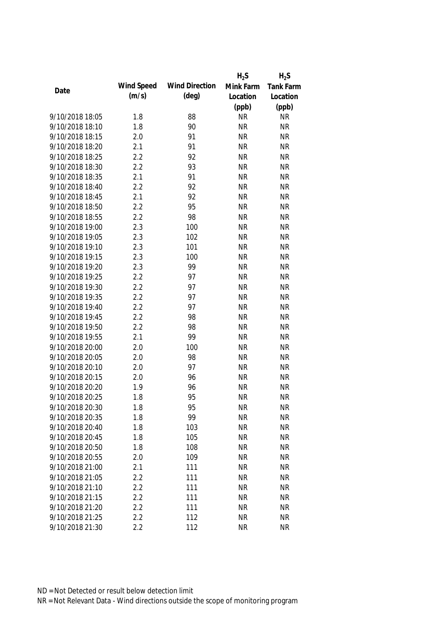|                 |            |                       | $H_2S$    | $H_2S$    |
|-----------------|------------|-----------------------|-----------|-----------|
| Date            | Wind Speed | <b>Wind Direction</b> | Mink Farm | Tank Farm |
|                 | (m/s)      | $(\text{deg})$        | Location  | Location  |
|                 |            |                       | (ppb)     | (ppb)     |
| 9/10/2018 18:05 | 1.8        | 88                    | <b>NR</b> | <b>NR</b> |
| 9/10/2018 18:10 | 1.8        | 90                    | <b>NR</b> | <b>NR</b> |
| 9/10/2018 18:15 | 2.0        | 91                    | <b>NR</b> | <b>NR</b> |
| 9/10/2018 18:20 | 2.1        | 91                    | <b>NR</b> | <b>NR</b> |
| 9/10/2018 18:25 | 2.2        | 92                    | <b>NR</b> | <b>NR</b> |
| 9/10/2018 18:30 | 2.2        | 93                    | <b>NR</b> | <b>NR</b> |
| 9/10/2018 18:35 | 2.1        | 91                    | <b>NR</b> | <b>NR</b> |
| 9/10/2018 18:40 | 2.2        | 92                    | <b>NR</b> | <b>NR</b> |
| 9/10/2018 18:45 | 2.1        | 92                    | <b>NR</b> | <b>NR</b> |
| 9/10/2018 18:50 | 2.2        | 95                    | <b>NR</b> | <b>NR</b> |
| 9/10/2018 18:55 | 2.2        | 98                    | <b>NR</b> | <b>NR</b> |
| 9/10/2018 19:00 | 2.3        | 100                   | <b>NR</b> | <b>NR</b> |
| 9/10/2018 19:05 | 2.3        | 102                   | <b>NR</b> | <b>NR</b> |
| 9/10/2018 19:10 | 2.3        | 101                   | <b>NR</b> | <b>NR</b> |
| 9/10/2018 19:15 | 2.3        | 100                   | <b>NR</b> | <b>NR</b> |
| 9/10/2018 19:20 | 2.3        | 99                    | <b>NR</b> | <b>NR</b> |
| 9/10/2018 19:25 | 2.2        | 97                    | <b>NR</b> | <b>NR</b> |
| 9/10/2018 19:30 | 2.2        | 97                    | <b>NR</b> | <b>NR</b> |
| 9/10/2018 19:35 | 2.2        | 97                    | <b>NR</b> | <b>NR</b> |
| 9/10/2018 19:40 | 2.2        | 97                    | <b>NR</b> | <b>NR</b> |
| 9/10/2018 19:45 | 2.2        | 98                    | <b>NR</b> | <b>NR</b> |
| 9/10/2018 19:50 | 2.2        | 98                    | <b>NR</b> | <b>NR</b> |
| 9/10/2018 19:55 | 2.1        | 99                    | <b>NR</b> | <b>NR</b> |
| 9/10/2018 20:00 | 2.0        | 100                   | <b>NR</b> | <b>NR</b> |
| 9/10/2018 20:05 | 2.0        | 98                    | <b>NR</b> | <b>NR</b> |
| 9/10/2018 20:10 | 2.0        | 97                    | <b>NR</b> | <b>NR</b> |
| 9/10/2018 20:15 | 2.0        | 96                    | <b>NR</b> | <b>NR</b> |
| 9/10/2018 20:20 | 1.9        | 96                    | <b>NR</b> | <b>NR</b> |
| 9/10/2018 20:25 | 1.8        | 95                    | <b>NR</b> | <b>NR</b> |
| 9/10/2018 20:30 | 1.8        | 95                    | <b>NR</b> | <b>NR</b> |
| 9/10/2018 20:35 | 1.8        | 99                    | <b>NR</b> | <b>NR</b> |
| 9/10/2018 20:40 | 1.8        | 103                   | <b>NR</b> | <b>NR</b> |
| 9/10/2018 20:45 | 1.8        | 105                   | <b>NR</b> | <b>NR</b> |
| 9/10/2018 20:50 | 1.8        | 108                   | <b>NR</b> | <b>NR</b> |
| 9/10/2018 20:55 | 2.0        | 109                   | <b>NR</b> | <b>NR</b> |
| 9/10/2018 21:00 | 2.1        | 111                   | <b>NR</b> | <b>NR</b> |
| 9/10/2018 21:05 | 2.2        | 111                   | <b>NR</b> | <b>NR</b> |
| 9/10/2018 21:10 | 2.2        | 111                   | <b>NR</b> | <b>NR</b> |
| 9/10/2018 21:15 | 2.2        | 111                   | <b>NR</b> | <b>NR</b> |
| 9/10/2018 21:20 | 2.2        | 111                   | <b>NR</b> | <b>NR</b> |
| 9/10/2018 21:25 | 2.2        | 112                   | <b>NR</b> | <b>NR</b> |
| 9/10/2018 21:30 | 2.2        | 112                   | <b>NR</b> | <b>NR</b> |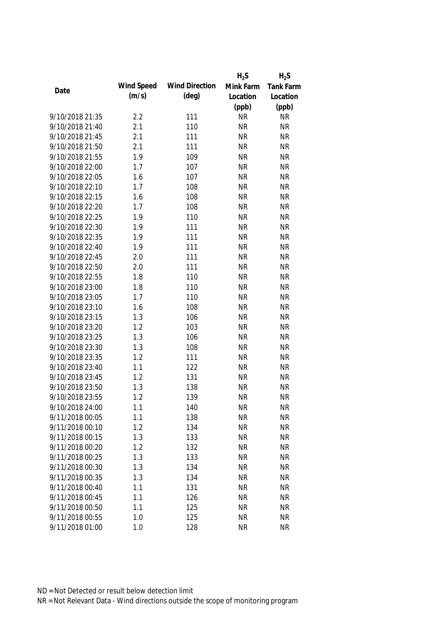|                 |            |                       | $H_2S$    | $H_2S$    |
|-----------------|------------|-----------------------|-----------|-----------|
|                 | Wind Speed | <b>Wind Direction</b> | Mink Farm | Tank Farm |
| Date            | (m/s)      | $(\text{deg})$        | Location  | Location  |
|                 |            |                       | (ppb)     | (ppb)     |
| 9/10/2018 21:35 | 2.2        | 111                   | <b>NR</b> | <b>NR</b> |
| 9/10/2018 21:40 | 2.1        | 110                   | <b>NR</b> | <b>NR</b> |
| 9/10/2018 21:45 | 2.1        | 111                   | <b>NR</b> | <b>NR</b> |
| 9/10/2018 21:50 | 2.1        | 111                   | <b>NR</b> | <b>NR</b> |
| 9/10/2018 21:55 | 1.9        | 109                   | <b>NR</b> | <b>NR</b> |
| 9/10/2018 22:00 | 1.7        | 107                   | <b>NR</b> | <b>NR</b> |
| 9/10/2018 22:05 | 1.6        | 107                   | <b>NR</b> | <b>NR</b> |
| 9/10/2018 22:10 | 1.7        | 108                   | <b>NR</b> | <b>NR</b> |
| 9/10/2018 22:15 | 1.6        | 108                   | <b>NR</b> | <b>NR</b> |
| 9/10/2018 22:20 | 1.7        | 108                   | <b>NR</b> | <b>NR</b> |
| 9/10/2018 22:25 | 1.9        | 110                   | <b>NR</b> | <b>NR</b> |
| 9/10/2018 22:30 | 1.9        | 111                   | <b>NR</b> | <b>NR</b> |
| 9/10/2018 22:35 | 1.9        | 111                   | <b>NR</b> | <b>NR</b> |
| 9/10/2018 22:40 | 1.9        | 111                   | <b>NR</b> | <b>NR</b> |
| 9/10/2018 22:45 | 2.0        | 111                   | <b>NR</b> | <b>NR</b> |
| 9/10/2018 22:50 | 2.0        | 111                   | <b>NR</b> | <b>NR</b> |
| 9/10/2018 22:55 | 1.8        | 110                   | <b>NR</b> | <b>NR</b> |
| 9/10/2018 23:00 | 1.8        | 110                   | <b>NR</b> | <b>NR</b> |
| 9/10/2018 23:05 | 1.7        | 110                   | <b>NR</b> | <b>NR</b> |
| 9/10/2018 23:10 | 1.6        | 108                   | <b>NR</b> | <b>NR</b> |
| 9/10/2018 23:15 | 1.3        | 106                   | <b>NR</b> | <b>NR</b> |
| 9/10/2018 23:20 | 1.2        | 103                   | <b>NR</b> | <b>NR</b> |
| 9/10/2018 23:25 | 1.3        | 106                   | <b>NR</b> | <b>NR</b> |
| 9/10/2018 23:30 | 1.3        | 108                   | <b>NR</b> | <b>NR</b> |
| 9/10/2018 23:35 | 1.2        | 111                   | <b>NR</b> | <b>NR</b> |
| 9/10/2018 23:40 | 1.1        | 122                   | <b>NR</b> | <b>NR</b> |
| 9/10/2018 23:45 | 1.2        | 131                   | <b>NR</b> | <b>NR</b> |
| 9/10/2018 23:50 | 1.3        | 138                   | <b>NR</b> | <b>NR</b> |
| 9/10/2018 23:55 | 1.2        | 139                   | <b>NR</b> | <b>NR</b> |
| 9/10/2018 24:00 | 1.1        | 140                   | <b>NR</b> | <b>NR</b> |
| 9/11/2018 00:05 | 1.1        | 138                   | <b>NR</b> | <b>NR</b> |
| 9/11/2018 00:10 | 1.2        | 134                   | <b>NR</b> | <b>NR</b> |
| 9/11/2018 00:15 | 1.3        | 133                   | <b>NR</b> | <b>NR</b> |
| 9/11/2018 00:20 | 1.2        | 132                   | <b>NR</b> | <b>NR</b> |
| 9/11/2018 00:25 | 1.3        | 133                   | <b>NR</b> | <b>NR</b> |
| 9/11/2018 00:30 | 1.3        | 134                   | <b>NR</b> | <b>NR</b> |
| 9/11/2018 00:35 | 1.3        | 134                   | <b>NR</b> | <b>NR</b> |
| 9/11/2018 00:40 | 1.1        | 131                   | <b>NR</b> | <b>NR</b> |
| 9/11/2018 00:45 | 1.1        | 126                   | <b>NR</b> | <b>NR</b> |
| 9/11/2018 00:50 | 1.1        | 125                   | <b>NR</b> | <b>NR</b> |
| 9/11/2018 00:55 | 1.0        | 125                   | <b>NR</b> | <b>NR</b> |
| 9/11/2018 01:00 | 1.0        | 128                   | <b>NR</b> | <b>NR</b> |
|                 |            |                       |           |           |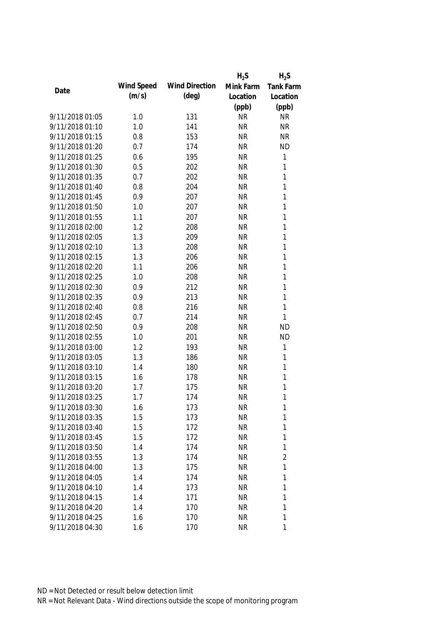|                 |            |                       | $H_2S$    | $H_2S$           |
|-----------------|------------|-----------------------|-----------|------------------|
| Date            | Wind Speed | <b>Wind Direction</b> | Mink Farm | <b>Tank Farm</b> |
|                 | (m/s)      | $(\text{deg})$        | Location  | Location         |
|                 |            |                       | (ppb)     | (ppb)            |
| 9/11/2018 01:05 | 1.0        | 131                   | <b>NR</b> | <b>NR</b>        |
| 9/11/2018 01:10 | 1.0        | 141                   | <b>NR</b> | <b>NR</b>        |
| 9/11/2018 01:15 | 0.8        | 153                   | <b>NR</b> | <b>NR</b>        |
| 9/11/2018 01:20 | 0.7        | 174                   | <b>NR</b> | <b>ND</b>        |
| 9/11/2018 01:25 | 0.6        | 195                   | <b>NR</b> | 1                |
| 9/11/2018 01:30 | 0.5        | 202                   | <b>NR</b> | 1                |
| 9/11/2018 01:35 | 0.7        | 202                   | <b>NR</b> | $\mathbf{1}$     |
| 9/11/2018 01:40 | 0.8        | 204                   | <b>NR</b> | $\mathbf{1}$     |
| 9/11/2018 01:45 | 0.9        | 207                   | <b>NR</b> | $\mathbf{1}$     |
| 9/11/2018 01:50 | 1.0        | 207                   | <b>NR</b> | $\mathbf{1}$     |
| 9/11/2018 01:55 | 1.1        | 207                   | <b>NR</b> | $\mathbf{1}$     |
| 9/11/2018 02:00 | 1.2        | 208                   | <b>NR</b> | $\mathbf{1}$     |
| 9/11/2018 02:05 | 1.3        | 209                   | <b>NR</b> | 1                |
| 9/11/2018 02:10 | 1.3        | 208                   | <b>NR</b> | 1                |
| 9/11/2018 02:15 | 1.3        | 206                   | <b>NR</b> | $\mathbf{1}$     |
| 9/11/2018 02:20 | 1.1        | 206                   | <b>NR</b> | $\mathbf{1}$     |
| 9/11/2018 02:25 | 1.0        | 208                   | <b>NR</b> | 1                |
| 9/11/2018 02:30 | 0.9        | 212                   | <b>NR</b> | 1                |
| 9/11/2018 02:35 | 0.9        | 213                   | <b>NR</b> | $\mathbf{1}$     |
| 9/11/2018 02:40 | 0.8        | 216                   | <b>NR</b> | 1                |
| 9/11/2018 02:45 | 0.7        | 214                   | <b>NR</b> | 1                |
| 9/11/2018 02:50 | 0.9        | 208                   | <b>NR</b> | <b>ND</b>        |
| 9/11/2018 02:55 | 1.0        | 201                   | <b>NR</b> | <b>ND</b>        |
| 9/11/2018 03:00 | 1.2        | 193                   | <b>NR</b> | 1                |
| 9/11/2018 03:05 | 1.3        | 186                   | <b>NR</b> | 1                |
| 9/11/2018 03:10 | 1.4        | 180                   | <b>NR</b> | $\mathbf{1}$     |
| 9/11/2018 03:15 | 1.6        | 178                   | <b>NR</b> | 1                |
| 9/11/2018 03:20 | 1.7        | 175                   | <b>NR</b> | 1                |
| 9/11/2018 03:25 | 1.7        | 174                   | <b>NR</b> | 1                |
| 9/11/2018 03:30 | 1.6        | 173                   | <b>NR</b> | $\mathbf{1}$     |
| 9/11/2018 03:35 | 1.5        | 173                   | <b>NR</b> | $\mathbf{1}$     |
| 9/11/2018 03:40 | 1.5        | 172                   | <b>NR</b> | 1                |
| 9/11/2018 03:45 | 1.5        | 172                   | <b>NR</b> | 1                |
| 9/11/2018 03:50 | 1.4        | 174                   | <b>NR</b> | 1                |
| 9/11/2018 03:55 | 1.3        | 174                   | <b>NR</b> | $\overline{2}$   |
| 9/11/2018 04:00 | 1.3        | 175                   | <b>NR</b> | 1                |
| 9/11/2018 04:05 | 1.4        | 174                   | <b>NR</b> | 1                |
| 9/11/2018 04:10 | 1.4        | 173                   | <b>NR</b> | 1                |
| 9/11/2018 04:15 | 1.4        | 171                   | <b>NR</b> | 1                |
| 9/11/2018 04:20 | 1.4        | 170                   | <b>NR</b> | 1                |
| 9/11/2018 04:25 | 1.6        | 170                   | <b>NR</b> | 1                |
| 9/11/2018 04:30 | 1.6        | 170                   | <b>NR</b> | 1                |
|                 |            |                       |           |                  |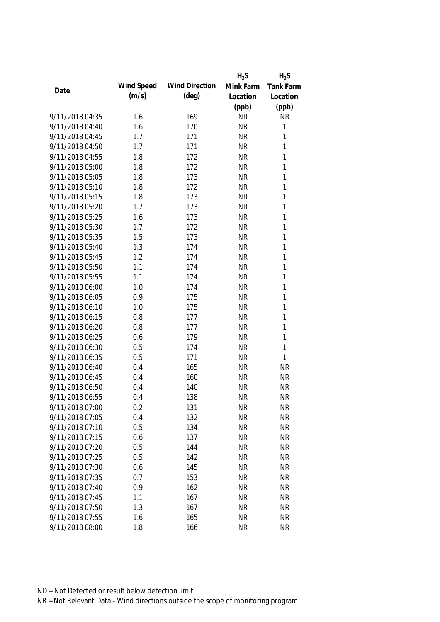|                 |            |                       | $H_2S$    | $H_2S$           |
|-----------------|------------|-----------------------|-----------|------------------|
| Date            | Wind Speed | <b>Wind Direction</b> | Mink Farm | <b>Tank Farm</b> |
|                 | (m/s)      | $(\text{deg})$        | Location  | Location         |
|                 |            |                       | (ppb)     | (ppb)            |
| 9/11/2018 04:35 | 1.6        | 169                   | <b>NR</b> | <b>NR</b>        |
| 9/11/2018 04:40 | 1.6        | 170                   | <b>NR</b> | $\mathbf{1}$     |
| 9/11/2018 04:45 | 1.7        | 171                   | <b>NR</b> | 1                |
| 9/11/2018 04:50 | 1.7        | 171                   | <b>NR</b> | 1                |
| 9/11/2018 04:55 | 1.8        | 172                   | <b>NR</b> | $\mathbf{1}$     |
| 9/11/2018 05:00 | 1.8        | 172                   | <b>NR</b> | $\mathbf{1}$     |
| 9/11/2018 05:05 | 1.8        | 173                   | <b>NR</b> | $\mathbf{1}$     |
| 9/11/2018 05:10 | 1.8        | 172                   | <b>NR</b> | $\mathbf{1}$     |
| 9/11/2018 05:15 | 1.8        | 173                   | <b>NR</b> | $\mathbf{1}$     |
| 9/11/2018 05:20 | 1.7        | 173                   | <b>NR</b> | $\mathbf{1}$     |
| 9/11/2018 05:25 | 1.6        | 173                   | <b>NR</b> | $\mathbf{1}$     |
| 9/11/2018 05:30 | 1.7        | 172                   | <b>NR</b> | $\mathbf{1}$     |
| 9/11/2018 05:35 | 1.5        | 173                   | <b>NR</b> | $\mathbf{1}$     |
| 9/11/2018 05:40 | 1.3        | 174                   | <b>NR</b> | $\mathbf{1}$     |
| 9/11/2018 05:45 | 1.2        | 174                   | <b>NR</b> | $\mathbf{1}$     |
| 9/11/2018 05:50 | 1.1        | 174                   | <b>NR</b> | $\mathbf{1}$     |
| 9/11/2018 05:55 | 1.1        | 174                   | <b>NR</b> | $\mathbf{1}$     |
| 9/11/2018 06:00 | 1.0        | 174                   | <b>NR</b> | $\mathbf{1}$     |
| 9/11/2018 06:05 | 0.9        | 175                   | <b>NR</b> | $\mathbf{1}$     |
| 9/11/2018 06:10 | 1.0        | 175                   | <b>NR</b> | 1                |
| 9/11/2018 06:15 | 0.8        | 177                   | <b>NR</b> | $\mathbf{1}$     |
| 9/11/2018 06:20 | 0.8        | 177                   | <b>NR</b> | $\mathbf{1}$     |
| 9/11/2018 06:25 | 0.6        | 179                   | <b>NR</b> | $\mathbf{1}$     |
| 9/11/2018 06:30 | 0.5        | 174                   | <b>NR</b> | $\mathbf{1}$     |
| 9/11/2018 06:35 | 0.5        | 171                   | <b>NR</b> | 1                |
| 9/11/2018 06:40 | 0.4        | 165                   | <b>NR</b> | <b>NR</b>        |
| 9/11/2018 06:45 | 0.4        | 160                   | <b>NR</b> | <b>NR</b>        |
| 9/11/2018 06:50 | 0.4        | 140                   | <b>NR</b> | <b>NR</b>        |
| 9/11/2018 06:55 | 0.4        | 138                   | <b>NR</b> | <b>NR</b>        |
| 9/11/2018 07:00 | 0.2        | 131                   | <b>NR</b> | NR               |
| 9/11/2018 07:05 | 0.4        | 132                   | <b>NR</b> | <b>NR</b>        |
| 9/11/2018 07:10 | 0.5        | 134                   | <b>NR</b> | <b>NR</b>        |
| 9/11/2018 07:15 | 0.6        | 137                   | <b>NR</b> | <b>NR</b>        |
| 9/11/2018 07:20 | 0.5        | 144                   | <b>NR</b> | <b>NR</b>        |
| 9/11/2018 07:25 | 0.5        | 142                   | <b>NR</b> | <b>NR</b>        |
| 9/11/2018 07:30 | 0.6        | 145                   | <b>NR</b> | <b>NR</b>        |
| 9/11/2018 07:35 | 0.7        | 153                   | <b>NR</b> | <b>NR</b>        |
| 9/11/2018 07:40 | 0.9        | 162                   | <b>NR</b> | <b>NR</b>        |
| 9/11/2018 07:45 | 1.1        | 167                   | <b>NR</b> | <b>NR</b>        |
| 9/11/2018 07:50 | 1.3        | 167                   | <b>NR</b> | <b>NR</b>        |
| 9/11/2018 07:55 | 1.6        | 165                   | <b>NR</b> | <b>NR</b>        |
| 9/11/2018 08:00 | 1.8        | 166                   | <b>NR</b> | <b>NR</b>        |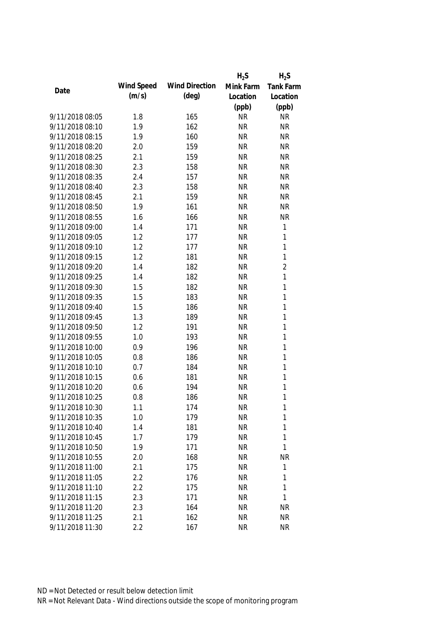|                 |            |                       | $H_2S$    | $H_2S$           |
|-----------------|------------|-----------------------|-----------|------------------|
|                 | Wind Speed | <b>Wind Direction</b> | Mink Farm | <b>Tank Farm</b> |
| Date            | (m/s)      | $(\text{deg})$        | Location  | Location         |
|                 |            |                       | (ppb)     | (ppb)            |
| 9/11/2018 08:05 | 1.8        | 165                   | <b>NR</b> | <b>NR</b>        |
| 9/11/2018 08:10 | 1.9        | 162                   | <b>NR</b> | <b>NR</b>        |
| 9/11/2018 08:15 | 1.9        | 160                   | <b>NR</b> | <b>NR</b>        |
| 9/11/2018 08:20 | 2.0        | 159                   | <b>NR</b> | <b>NR</b>        |
| 9/11/2018 08:25 | 2.1        | 159                   | <b>NR</b> | <b>NR</b>        |
| 9/11/2018 08:30 | 2.3        | 158                   | <b>NR</b> | <b>NR</b>        |
| 9/11/2018 08:35 | 2.4        | 157                   | <b>NR</b> | <b>NR</b>        |
| 9/11/2018 08:40 | 2.3        | 158                   | <b>NR</b> | <b>NR</b>        |
| 9/11/2018 08:45 | 2.1        | 159                   | <b>NR</b> | <b>NR</b>        |
| 9/11/2018 08:50 | 1.9        | 161                   | <b>NR</b> | <b>NR</b>        |
| 9/11/2018 08:55 | 1.6        | 166                   | <b>NR</b> | <b>NR</b>        |
| 9/11/2018 09:00 | 1.4        | 171                   | <b>NR</b> | $\mathbf{1}$     |
| 9/11/2018 09:05 | 1.2        | 177                   | <b>NR</b> | $\mathbf{1}$     |
| 9/11/2018 09:10 | 1.2        | 177                   | <b>NR</b> | $\mathbf{1}$     |
| 9/11/2018 09:15 | 1.2        | 181                   | <b>NR</b> | $\mathbf{1}$     |
| 9/11/2018 09:20 | 1.4        | 182                   | <b>NR</b> | $\overline{2}$   |
| 9/11/2018 09:25 | 1.4        | 182                   | <b>NR</b> | $\mathbf{1}$     |
| 9/11/2018 09:30 | 1.5        | 182                   | <b>NR</b> | $\mathbf{1}$     |
| 9/11/2018 09:35 | 1.5        | 183                   | <b>NR</b> | $\mathbf{1}$     |
| 9/11/2018 09:40 | 1.5        | 186                   | <b>NR</b> | $\mathbf{1}$     |
| 9/11/2018 09:45 | 1.3        | 189                   | <b>NR</b> | $\mathbf{1}$     |
| 9/11/2018 09:50 | 1.2        | 191                   | <b>NR</b> | $\mathbf{1}$     |
| 9/11/2018 09:55 | 1.0        | 193                   | <b>NR</b> | $\mathbf{1}$     |
| 9/11/2018 10:00 | 0.9        | 196                   | <b>NR</b> | $\mathbf{1}$     |
| 9/11/2018 10:05 | 0.8        | 186                   | <b>NR</b> | $\mathbf{1}$     |
| 9/11/2018 10:10 | 0.7        | 184                   | <b>NR</b> | $\mathbf{1}$     |
| 9/11/2018 10:15 | 0.6        | 181                   | <b>NR</b> | $\mathbf{1}$     |
| 9/11/2018 10:20 | 0.6        | 194                   | <b>NR</b> | 1                |
| 9/11/2018 10:25 | 0.8        | 186                   | <b>NR</b> | 1                |
| 9/11/2018 10:30 | 1.1        | 174                   | <b>NR</b> | $\mathbf{1}$     |
| 9/11/2018 10:35 | 1.0        | 179                   | <b>NR</b> | $\mathbf{1}$     |
| 9/11/2018 10:40 | 1.4        | 181                   | <b>NR</b> | 1                |
| 9/11/2018 10:45 | 1.7        | 179                   | <b>NR</b> | 1                |
| 9/11/2018 10:50 | 1.9        | 171                   | <b>NR</b> | $\mathbf{1}$     |
| 9/11/2018 10:55 | 2.0        | 168                   | <b>NR</b> | <b>NR</b>        |
| 9/11/2018 11:00 | 2.1        | 175                   | <b>NR</b> | 1                |
| 9/11/2018 11:05 | 2.2        | 176                   | <b>NR</b> | 1                |
| 9/11/2018 11:10 | 2.2        | 175                   | <b>NR</b> | 1                |
| 9/11/2018 11:15 | 2.3        | 171                   | <b>NR</b> | $\mathbf{1}$     |
| 9/11/2018 11:20 | 2.3        | 164                   | <b>NR</b> | <b>NR</b>        |
| 9/11/2018 11:25 | 2.1        | 162                   | <b>NR</b> | <b>NR</b>        |
| 9/11/2018 11:30 | 2.2        | 167                   | <b>NR</b> | <b>NR</b>        |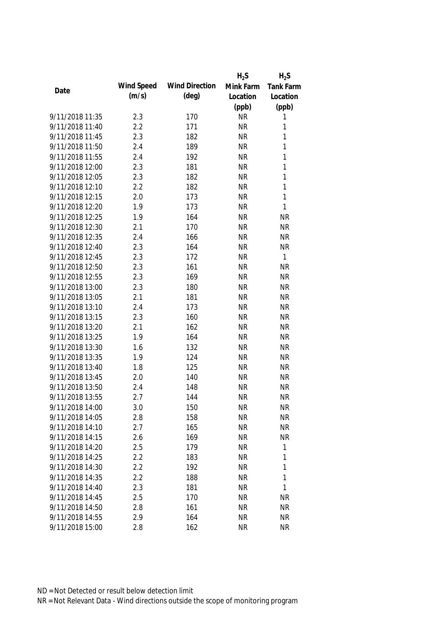|                 |            |                       | $H_2S$    | $H_2S$           |
|-----------------|------------|-----------------------|-----------|------------------|
| Date            | Wind Speed | <b>Wind Direction</b> | Mink Farm | <b>Tank Farm</b> |
|                 | (m/s)      | $(\text{deg})$        | Location  | Location         |
|                 |            |                       | (ppb)     | (ppb)            |
| 9/11/2018 11:35 | 2.3        | 170                   | <b>NR</b> | 1                |
| 9/11/2018 11:40 | 2.2        | 171                   | <b>NR</b> | 1                |
| 9/11/2018 11:45 | 2.3        | 182                   | <b>NR</b> | 1                |
| 9/11/2018 11:50 | 2.4        | 189                   | <b>NR</b> | 1                |
| 9/11/2018 11:55 | 2.4        | 192                   | <b>NR</b> | 1                |
| 9/11/2018 12:00 | 2.3        | 181                   | <b>NR</b> | 1                |
| 9/11/2018 12:05 | 2.3        | 182                   | <b>NR</b> | 1                |
| 9/11/2018 12:10 | 2.2        | 182                   | <b>NR</b> | 1                |
| 9/11/2018 12:15 | 2.0        | 173                   | <b>NR</b> | $\mathbf{1}$     |
| 9/11/2018 12:20 | 1.9        | 173                   | <b>NR</b> | 1                |
| 9/11/2018 12:25 | 1.9        | 164                   | <b>NR</b> | <b>NR</b>        |
| 9/11/2018 12:30 | 2.1        | 170                   | <b>NR</b> | <b>NR</b>        |
| 9/11/2018 12:35 | 2.4        | 166                   | <b>NR</b> | <b>NR</b>        |
| 9/11/2018 12:40 | 2.3        | 164                   | <b>NR</b> | <b>NR</b>        |
| 9/11/2018 12:45 | 2.3        | 172                   | <b>NR</b> | $\mathbf{1}$     |
| 9/11/2018 12:50 | 2.3        | 161                   | <b>NR</b> | <b>NR</b>        |
| 9/11/2018 12:55 | 2.3        | 169                   | <b>NR</b> | <b>NR</b>        |
| 9/11/2018 13:00 | 2.3        | 180                   | <b>NR</b> | <b>NR</b>        |
| 9/11/2018 13:05 | 2.1        | 181                   | <b>NR</b> | <b>NR</b>        |
| 9/11/2018 13:10 | 2.4        | 173                   | <b>NR</b> | <b>NR</b>        |
| 9/11/2018 13:15 | 2.3        | 160                   | <b>NR</b> | <b>NR</b>        |
| 9/11/2018 13:20 | 2.1        | 162                   | <b>NR</b> | <b>NR</b>        |
| 9/11/2018 13:25 | 1.9        | 164                   | <b>NR</b> | <b>NR</b>        |
| 9/11/2018 13:30 | 1.6        | 132                   | <b>NR</b> | <b>NR</b>        |
| 9/11/2018 13:35 | 1.9        | 124                   | <b>NR</b> | <b>NR</b>        |
| 9/11/2018 13:40 | 1.8        | 125                   | <b>NR</b> | <b>NR</b>        |
| 9/11/2018 13:45 | 2.0        | 140                   | <b>NR</b> | <b>NR</b>        |
| 9/11/2018 13:50 | 2.4        | 148                   | <b>NR</b> | <b>NR</b>        |
| 9/11/2018 13:55 | 2.7        | 144                   | <b>NR</b> | <b>NR</b>        |
| 9/11/2018 14:00 | 3.0        | 150                   | <b>NR</b> | NR               |
| 9/11/2018 14:05 | 2.8        | 158                   | <b>NR</b> | <b>NR</b>        |
| 9/11/2018 14:10 | 2.7        | 165                   | <b>NR</b> | <b>NR</b>        |
| 9/11/2018 14:15 | 2.6        | 169                   | <b>NR</b> | <b>NR</b>        |
| 9/11/2018 14:20 | 2.5        | 179                   | <b>NR</b> | 1                |
| 9/11/2018 14:25 | 2.2        | 183                   | <b>NR</b> | 1                |
| 9/11/2018 14:30 | 2.2        | 192                   | <b>NR</b> | 1                |
| 9/11/2018 14:35 | 2.2        | 188                   | <b>NR</b> | 1                |
| 9/11/2018 14:40 | 2.3        | 181                   | <b>NR</b> | 1                |
| 9/11/2018 14:45 | 2.5        | 170                   | <b>NR</b> | <b>NR</b>        |
| 9/11/2018 14:50 | 2.8        | 161                   | <b>NR</b> | <b>NR</b>        |
| 9/11/2018 14:55 | 2.9        | 164                   | <b>NR</b> | <b>NR</b>        |
| 9/11/2018 15:00 | 2.8        | 162                   | <b>NR</b> | <b>NR</b>        |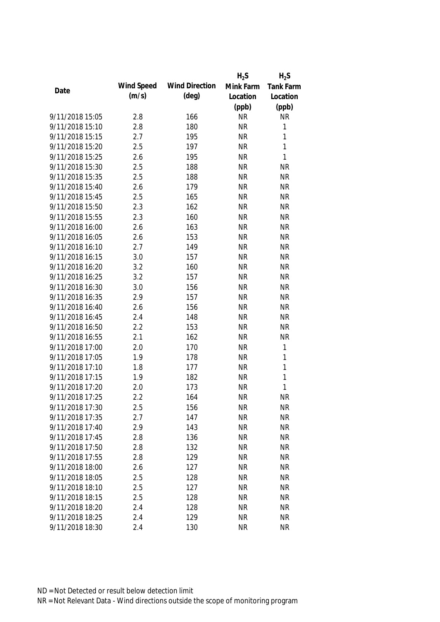|                 |            |                       | $H_2S$    | $H_2S$           |
|-----------------|------------|-----------------------|-----------|------------------|
|                 | Wind Speed | <b>Wind Direction</b> | Mink Farm | <b>Tank Farm</b> |
| Date            | (m/s)      | $(\text{deg})$        | Location  | Location         |
|                 |            |                       | (ppb)     | (ppb)            |
| 9/11/2018 15:05 | 2.8        | 166                   | <b>NR</b> | <b>NR</b>        |
| 9/11/2018 15:10 | 2.8        | 180                   | <b>NR</b> | 1                |
| 9/11/2018 15:15 | 2.7        | 195                   | <b>NR</b> | 1                |
| 9/11/2018 15:20 | 2.5        | 197                   | <b>NR</b> | $\mathbf{1}$     |
| 9/11/2018 15:25 | 2.6        | 195                   | <b>NR</b> | $\mathbf{1}$     |
| 9/11/2018 15:30 | 2.5        | 188                   | <b>NR</b> | <b>NR</b>        |
| 9/11/2018 15:35 | 2.5        | 188                   | <b>NR</b> | <b>NR</b>        |
| 9/11/2018 15:40 | 2.6        | 179                   | <b>NR</b> | <b>NR</b>        |
| 9/11/2018 15:45 | 2.5        | 165                   | <b>NR</b> | <b>NR</b>        |
| 9/11/2018 15:50 | 2.3        | 162                   | <b>NR</b> | <b>NR</b>        |
| 9/11/2018 15:55 | 2.3        | 160                   | <b>NR</b> | <b>NR</b>        |
| 9/11/2018 16:00 | 2.6        | 163                   | <b>NR</b> | <b>NR</b>        |
| 9/11/2018 16:05 | 2.6        | 153                   | <b>NR</b> | <b>NR</b>        |
| 9/11/2018 16:10 | 2.7        | 149                   | <b>NR</b> | <b>NR</b>        |
| 9/11/2018 16:15 | 3.0        | 157                   | <b>NR</b> | <b>NR</b>        |
| 9/11/2018 16:20 | 3.2        | 160                   | <b>NR</b> | <b>NR</b>        |
| 9/11/2018 16:25 | 3.2        | 157                   | <b>NR</b> | <b>NR</b>        |
| 9/11/2018 16:30 | 3.0        | 156                   | <b>NR</b> | <b>NR</b>        |
| 9/11/2018 16:35 | 2.9        | 157                   | <b>NR</b> | <b>NR</b>        |
| 9/11/2018 16:40 | 2.6        | 156                   | <b>NR</b> | <b>NR</b>        |
| 9/11/2018 16:45 | 2.4        | 148                   | <b>NR</b> | <b>NR</b>        |
| 9/11/2018 16:50 | 2.2        | 153                   | <b>NR</b> | <b>NR</b>        |
| 9/11/2018 16:55 | 2.1        | 162                   | <b>NR</b> | <b>NR</b>        |
| 9/11/2018 17:00 | 2.0        | 170                   | <b>NR</b> | 1                |
| 9/11/2018 17:05 | 1.9        | 178                   | <b>NR</b> | 1                |
| 9/11/2018 17:10 | 1.8        | 177                   | <b>NR</b> | $\mathbf{1}$     |
| 9/11/2018 17:15 | 1.9        | 182                   | <b>NR</b> | $\mathbf{1}$     |
| 9/11/2018 17:20 | 2.0        | 173                   | <b>NR</b> | 1                |
| 9/11/2018 17:25 | 2.2        | 164                   | <b>NR</b> | <b>NR</b>        |
| 9/11/2018 17:30 | 2.5        | 156                   | <b>NR</b> | NR               |
| 9/11/2018 17:35 | 2.7        | 147                   | <b>NR</b> | <b>NR</b>        |
| 9/11/2018 17:40 | 2.9        | 143                   | <b>NR</b> | <b>NR</b>        |
| 9/11/2018 17:45 | 2.8        | 136                   | <b>NR</b> | <b>NR</b>        |
| 9/11/2018 17:50 | 2.8        | 132                   | <b>NR</b> | <b>NR</b>        |
| 9/11/2018 17:55 | 2.8        | 129                   | <b>NR</b> | <b>NR</b>        |
| 9/11/2018 18:00 | 2.6        | 127                   | <b>NR</b> | <b>NR</b>        |
| 9/11/2018 18:05 | 2.5        | 128                   | <b>NR</b> | <b>NR</b>        |
| 9/11/2018 18:10 | 2.5        | 127                   | <b>NR</b> | <b>NR</b>        |
| 9/11/2018 18:15 | 2.5        | 128                   | <b>NR</b> | <b>NR</b>        |
| 9/11/2018 18:20 | 2.4        | 128                   | <b>NR</b> | <b>NR</b>        |
| 9/11/2018 18:25 | 2.4        | 129                   | <b>NR</b> | <b>NR</b>        |
| 9/11/2018 18:30 | 2.4        | 130                   | <b>NR</b> | <b>NR</b>        |
|                 |            |                       |           |                  |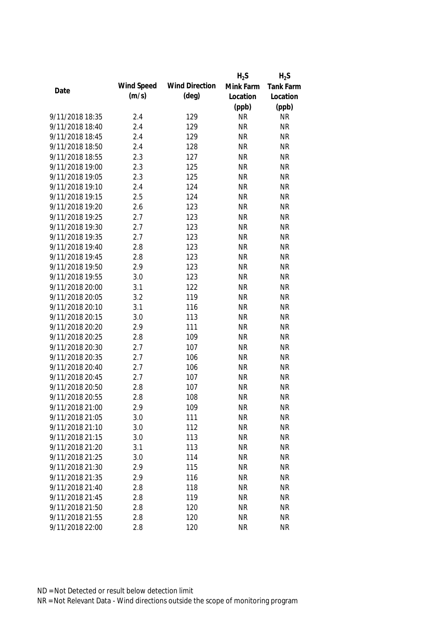|                 |            |                       | $H_2S$    | $H_2S$    |
|-----------------|------------|-----------------------|-----------|-----------|
|                 | Wind Speed | <b>Wind Direction</b> | Mink Farm | Tank Farm |
| Date            | (m/s)      | $(\text{deg})$        | Location  | Location  |
|                 |            |                       | (ppb)     | (ppb)     |
| 9/11/2018 18:35 | 2.4        | 129                   | <b>NR</b> | <b>NR</b> |
| 9/11/2018 18:40 | 2.4        | 129                   | <b>NR</b> | <b>NR</b> |
| 9/11/2018 18:45 | 2.4        | 129                   | <b>NR</b> | <b>NR</b> |
| 9/11/2018 18:50 | 2.4        | 128                   | <b>NR</b> | <b>NR</b> |
| 9/11/2018 18:55 | 2.3        | 127                   | <b>NR</b> | <b>NR</b> |
| 9/11/2018 19:00 | 2.3        | 125                   | <b>NR</b> | <b>NR</b> |
| 9/11/2018 19:05 | 2.3        | 125                   | <b>NR</b> | <b>NR</b> |
| 9/11/2018 19:10 | 2.4        | 124                   | <b>NR</b> | <b>NR</b> |
| 9/11/2018 19:15 | 2.5        | 124                   | <b>NR</b> | <b>NR</b> |
| 9/11/2018 19:20 | 2.6        | 123                   | <b>NR</b> | <b>NR</b> |
| 9/11/2018 19:25 | 2.7        | 123                   | <b>NR</b> | <b>NR</b> |
| 9/11/2018 19:30 | 2.7        | 123                   | <b>NR</b> | <b>NR</b> |
| 9/11/2018 19:35 | 2.7        | 123                   | <b>NR</b> | <b>NR</b> |
| 9/11/2018 19:40 | 2.8        | 123                   | <b>NR</b> | <b>NR</b> |
| 9/11/2018 19:45 | 2.8        | 123                   | <b>NR</b> | <b>NR</b> |
| 9/11/2018 19:50 | 2.9        | 123                   | <b>NR</b> | <b>NR</b> |
| 9/11/2018 19:55 | 3.0        | 123                   | <b>NR</b> | <b>NR</b> |
| 9/11/2018 20:00 | 3.1        | 122                   | <b>NR</b> | <b>NR</b> |
| 9/11/2018 20:05 | 3.2        | 119                   | <b>NR</b> | <b>NR</b> |
| 9/11/2018 20:10 | 3.1        | 116                   | <b>NR</b> | <b>NR</b> |
| 9/11/2018 20:15 | 3.0        | 113                   | <b>NR</b> | <b>NR</b> |
| 9/11/2018 20:20 | 2.9        | 111                   | <b>NR</b> | <b>NR</b> |
| 9/11/2018 20:25 | 2.8        | 109                   | <b>NR</b> | <b>NR</b> |
| 9/11/2018 20:30 | 2.7        | 107                   | <b>NR</b> | <b>NR</b> |
| 9/11/2018 20:35 | 2.7        | 106                   | <b>NR</b> | <b>NR</b> |
| 9/11/2018 20:40 | 2.7        | 106                   | <b>NR</b> | <b>NR</b> |
| 9/11/2018 20:45 | 2.7        | 107                   | <b>NR</b> | <b>NR</b> |
| 9/11/2018 20:50 | 2.8        | 107                   | <b>NR</b> | <b>NR</b> |
| 9/11/2018 20:55 | 2.8        | 108                   | <b>NR</b> | <b>NR</b> |
| 9/11/2018 21:00 | 2.9        | 109                   | <b>NR</b> | <b>NR</b> |
| 9/11/2018 21:05 | 3.0        | 111                   | <b>NR</b> | <b>NR</b> |
| 9/11/2018 21:10 | 3.0        | 112                   | <b>NR</b> | <b>NR</b> |
| 9/11/2018 21:15 | 3.0        | 113                   | <b>NR</b> | <b>NR</b> |
| 9/11/2018 21:20 | 3.1        | 113                   | <b>NR</b> | <b>NR</b> |
| 9/11/2018 21:25 | 3.0        | 114                   | <b>NR</b> | <b>NR</b> |
| 9/11/2018 21:30 | 2.9        | 115                   | <b>NR</b> | <b>NR</b> |
| 9/11/2018 21:35 | 2.9        | 116                   | <b>NR</b> | <b>NR</b> |
| 9/11/2018 21:40 | 2.8        | 118                   | <b>NR</b> | <b>NR</b> |
| 9/11/2018 21:45 | 2.8        | 119                   | <b>NR</b> | <b>NR</b> |
| 9/11/2018 21:50 |            | 120                   | <b>NR</b> | <b>NR</b> |
|                 | 2.8        |                       | <b>NR</b> |           |
| 9/11/2018 21:55 | 2.8        | 120                   |           | <b>NR</b> |
| 9/11/2018 22:00 | 2.8        | 120                   | <b>NR</b> | <b>NR</b> |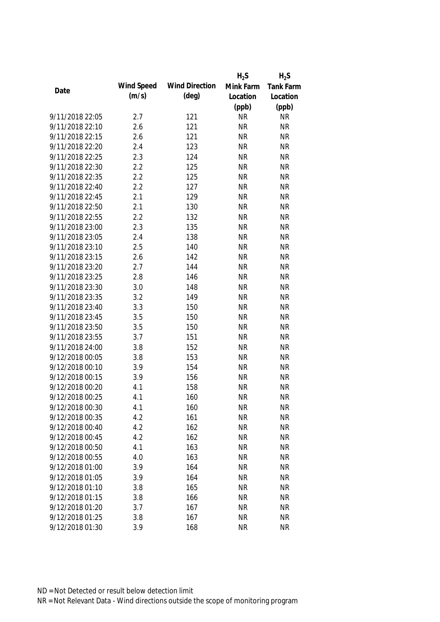|                 |            |                       | $H_2S$    | $H_2S$    |
|-----------------|------------|-----------------------|-----------|-----------|
| Date            | Wind Speed | <b>Wind Direction</b> | Mink Farm | Tank Farm |
|                 | (m/s)      | $(\text{deg})$        | Location  | Location  |
|                 |            |                       | (ppb)     | (ppb)     |
| 9/11/2018 22:05 | 2.7        | 121                   | <b>NR</b> | <b>NR</b> |
| 9/11/2018 22:10 | 2.6        | 121                   | <b>NR</b> | <b>NR</b> |
| 9/11/2018 22:15 | 2.6        | 121                   | <b>NR</b> | <b>NR</b> |
| 9/11/2018 22:20 | 2.4        | 123                   | <b>NR</b> | <b>NR</b> |
| 9/11/2018 22:25 | 2.3        | 124                   | <b>NR</b> | <b>NR</b> |
| 9/11/2018 22:30 | 2.2        | 125                   | <b>NR</b> | <b>NR</b> |
| 9/11/2018 22:35 | 2.2        | 125                   | <b>NR</b> | <b>NR</b> |
| 9/11/2018 22:40 | 2.2        | 127                   | <b>NR</b> | <b>NR</b> |
| 9/11/2018 22:45 | 2.1        | 129                   | <b>NR</b> | <b>NR</b> |
| 9/11/2018 22:50 | 2.1        | 130                   | <b>NR</b> | <b>NR</b> |
| 9/11/2018 22:55 | 2.2        | 132                   | <b>NR</b> | <b>NR</b> |
| 9/11/2018 23:00 | 2.3        | 135                   | <b>NR</b> | <b>NR</b> |
| 9/11/2018 23:05 | 2.4        | 138                   | <b>NR</b> | <b>NR</b> |
| 9/11/2018 23:10 | 2.5        | 140                   | <b>NR</b> | <b>NR</b> |
| 9/11/2018 23:15 | 2.6        | 142                   | <b>NR</b> | <b>NR</b> |
| 9/11/2018 23:20 | 2.7        | 144                   | <b>NR</b> | <b>NR</b> |
| 9/11/2018 23:25 | 2.8        | 146                   | <b>NR</b> | <b>NR</b> |
| 9/11/2018 23:30 | 3.0        | 148                   | <b>NR</b> | <b>NR</b> |
| 9/11/2018 23:35 | 3.2        | 149                   | <b>NR</b> | <b>NR</b> |
| 9/11/2018 23:40 | 3.3        | 150                   | <b>NR</b> | <b>NR</b> |
| 9/11/2018 23:45 | 3.5        | 150                   | <b>NR</b> | <b>NR</b> |
| 9/11/2018 23:50 | 3.5        | 150                   | <b>NR</b> | <b>NR</b> |
| 9/11/2018 23:55 | 3.7        | 151                   | <b>NR</b> | <b>NR</b> |
| 9/11/2018 24:00 | 3.8        | 152                   | <b>NR</b> | <b>NR</b> |
| 9/12/2018 00:05 | 3.8        | 153                   | <b>NR</b> | <b>NR</b> |
| 9/12/2018 00:10 | 3.9        | 154                   | <b>NR</b> | <b>NR</b> |
| 9/12/2018 00:15 | 3.9        | 156                   | <b>NR</b> | <b>NR</b> |
| 9/12/2018 00:20 | 4.1        | 158                   | <b>NR</b> | <b>NR</b> |
| 9/12/2018 00:25 | 4.1        | 160                   | <b>NR</b> | <b>NR</b> |
| 9/12/2018 00:30 | 4.1        | 160                   | <b>NR</b> | <b>NR</b> |
| 9/12/2018 00:35 | 4.2        | 161                   | <b>NR</b> | <b>NR</b> |
| 9/12/2018 00:40 | 4.2        | 162                   | <b>NR</b> | <b>NR</b> |
| 9/12/2018 00:45 | 4.2        | 162                   | <b>NR</b> | <b>NR</b> |
| 9/12/2018 00:50 | 4.1        | 163                   | <b>NR</b> | <b>NR</b> |
| 9/12/2018 00:55 | 4.0        | 163                   | <b>NR</b> | <b>NR</b> |
| 9/12/2018 01:00 | 3.9        | 164                   | <b>NR</b> | <b>NR</b> |
| 9/12/2018 01:05 | 3.9        | 164                   | <b>NR</b> | <b>NR</b> |
| 9/12/2018 01:10 | 3.8        | 165                   | <b>NR</b> | <b>NR</b> |
| 9/12/2018 01:15 | 3.8        | 166                   | <b>NR</b> | <b>NR</b> |
| 9/12/2018 01:20 | 3.7        | 167                   | <b>NR</b> | <b>NR</b> |
| 9/12/2018 01:25 | 3.8        | 167                   | <b>NR</b> | <b>NR</b> |
| 9/12/2018 01:30 | 3.9        | 168                   | <b>NR</b> | <b>NR</b> |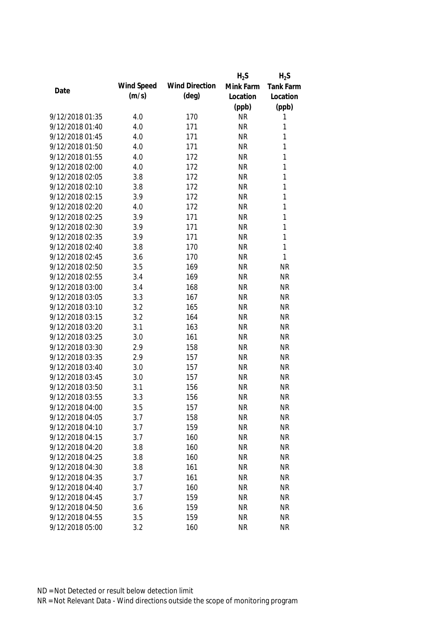|                 |            |                       | $H_2S$    | $H_2S$           |
|-----------------|------------|-----------------------|-----------|------------------|
| Date            | Wind Speed | <b>Wind Direction</b> | Mink Farm | <b>Tank Farm</b> |
|                 | (m/s)      | $(\text{deg})$        | Location  | Location         |
|                 |            |                       | (ppb)     | (ppb)            |
| 9/12/2018 01:35 | 4.0        | 170                   | <b>NR</b> | 1                |
| 9/12/2018 01:40 | 4.0        | 171                   | <b>NR</b> | 1                |
| 9/12/2018 01:45 | 4.0        | 171                   | <b>NR</b> | 1                |
| 9/12/2018 01:50 | 4.0        | 171                   | <b>NR</b> | 1                |
| 9/12/2018 01:55 | 4.0        | 172                   | <b>NR</b> | 1                |
| 9/12/2018 02:00 | 4.0        | 172                   | <b>NR</b> | 1                |
| 9/12/2018 02:05 | 3.8        | 172                   | <b>NR</b> | 1                |
| 9/12/2018 02:10 | 3.8        | 172                   | <b>NR</b> | 1                |
| 9/12/2018 02:15 | 3.9        | 172                   | <b>NR</b> | 1                |
| 9/12/2018 02:20 | 4.0        | 172                   | <b>NR</b> | 1                |
| 9/12/2018 02:25 | 3.9        | 171                   | <b>NR</b> | 1                |
| 9/12/2018 02:30 | 3.9        | 171                   | <b>NR</b> | 1                |
| 9/12/2018 02:35 | 3.9        | 171                   | <b>NR</b> | 1                |
| 9/12/2018 02:40 | 3.8        | 170                   | <b>NR</b> | 1                |
| 9/12/2018 02:45 | 3.6        | 170                   | <b>NR</b> | $\mathbf{1}$     |
| 9/12/2018 02:50 | 3.5        | 169                   | <b>NR</b> | <b>NR</b>        |
| 9/12/2018 02:55 | 3.4        | 169                   | <b>NR</b> | <b>NR</b>        |
| 9/12/2018 03:00 | 3.4        | 168                   | <b>NR</b> | <b>NR</b>        |
| 9/12/2018 03:05 | 3.3        | 167                   | <b>NR</b> | <b>NR</b>        |
| 9/12/2018 03:10 | 3.2        | 165                   | <b>NR</b> | <b>NR</b>        |
| 9/12/2018 03:15 | 3.2        | 164                   | <b>NR</b> | <b>NR</b>        |
| 9/12/2018 03:20 | 3.1        | 163                   | <b>NR</b> | <b>NR</b>        |
| 9/12/2018 03:25 | 3.0        | 161                   | <b>NR</b> | <b>NR</b>        |
| 9/12/2018 03:30 | 2.9        | 158                   | <b>NR</b> | <b>NR</b>        |
| 9/12/2018 03:35 | 2.9        | 157                   | <b>NR</b> | <b>NR</b>        |
| 9/12/2018 03:40 | 3.0        | 157                   | <b>NR</b> | <b>NR</b>        |
| 9/12/2018 03:45 | 3.0        | 157                   | <b>NR</b> | <b>NR</b>        |
| 9/12/2018 03:50 | 3.1        | 156                   | <b>NR</b> | <b>NR</b>        |
| 9/12/2018 03:55 | 3.3        | 156                   | <b>NR</b> | <b>NR</b>        |
| 9/12/2018 04:00 | 3.5        | 157                   | <b>NR</b> | <b>NR</b>        |
| 9/12/2018 04:05 | 3.7        | 158                   | <b>NR</b> | <b>NR</b>        |
| 9/12/2018 04:10 | 3.7        | 159                   | <b>NR</b> | <b>NR</b>        |
| 9/12/2018 04:15 | 3.7        | 160                   | <b>NR</b> | <b>NR</b>        |
| 9/12/2018 04:20 | 3.8        | 160                   | <b>NR</b> | <b>NR</b>        |
| 9/12/2018 04:25 | 3.8        | 160                   | <b>NR</b> | <b>NR</b>        |
| 9/12/2018 04:30 | 3.8        | 161                   | <b>NR</b> | <b>NR</b>        |
| 9/12/2018 04:35 | 3.7        | 161                   | <b>NR</b> | <b>NR</b>        |
| 9/12/2018 04:40 | 3.7        | 160                   | <b>NR</b> | <b>NR</b>        |
| 9/12/2018 04:45 | 3.7        | 159                   | <b>NR</b> | <b>NR</b>        |
| 9/12/2018 04:50 | 3.6        | 159                   | <b>NR</b> | <b>NR</b>        |
| 9/12/2018 04:55 | 3.5        | 159                   | <b>NR</b> | <b>NR</b>        |
| 9/12/2018 05:00 | 3.2        | 160                   | <b>NR</b> | <b>NR</b>        |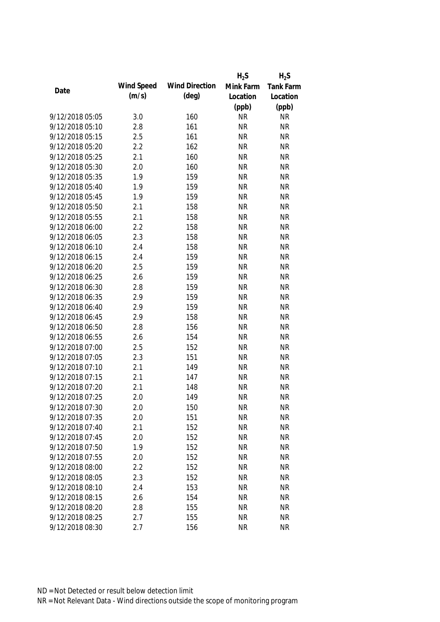|                 |            |                       | $H_2S$    | $H_2S$    |
|-----------------|------------|-----------------------|-----------|-----------|
|                 | Wind Speed | <b>Wind Direction</b> | Mink Farm | Tank Farm |
| Date            | (m/s)      | $(\text{deg})$        | Location  | Location  |
|                 |            |                       | (ppb)     | (ppb)     |
| 9/12/2018 05:05 | 3.0        | 160                   | <b>NR</b> | <b>NR</b> |
| 9/12/2018 05:10 | 2.8        | 161                   | <b>NR</b> | <b>NR</b> |
| 9/12/2018 05:15 | 2.5        | 161                   | <b>NR</b> | <b>NR</b> |
| 9/12/2018 05:20 | 2.2        | 162                   | <b>NR</b> | <b>NR</b> |
| 9/12/2018 05:25 | 2.1        | 160                   | <b>NR</b> | <b>NR</b> |
| 9/12/2018 05:30 | 2.0        | 160                   | <b>NR</b> | <b>NR</b> |
| 9/12/2018 05:35 | 1.9        | 159                   | <b>NR</b> | <b>NR</b> |
| 9/12/2018 05:40 | 1.9        | 159                   | <b>NR</b> | <b>NR</b> |
| 9/12/2018 05:45 | 1.9        | 159                   | <b>NR</b> | <b>NR</b> |
| 9/12/2018 05:50 | 2.1        | 158                   | <b>NR</b> | <b>NR</b> |
| 9/12/2018 05:55 | 2.1        | 158                   | <b>NR</b> | <b>NR</b> |
| 9/12/2018 06:00 | 2.2        | 158                   | <b>NR</b> | <b>NR</b> |
| 9/12/2018 06:05 | 2.3        | 158                   | <b>NR</b> | <b>NR</b> |
| 9/12/2018 06:10 | 2.4        | 158                   | <b>NR</b> | <b>NR</b> |
| 9/12/2018 06:15 | 2.4        | 159                   | <b>NR</b> | <b>NR</b> |
| 9/12/2018 06:20 | 2.5        | 159                   | <b>NR</b> | <b>NR</b> |
| 9/12/2018 06:25 | 2.6        | 159                   | <b>NR</b> | <b>NR</b> |
| 9/12/2018 06:30 | 2.8        | 159                   | <b>NR</b> | <b>NR</b> |
| 9/12/2018 06:35 | 2.9        | 159                   | <b>NR</b> | <b>NR</b> |
| 9/12/2018 06:40 | 2.9        | 159                   | <b>NR</b> | <b>NR</b> |
| 9/12/2018 06:45 | 2.9        | 158                   | <b>NR</b> | <b>NR</b> |
| 9/12/2018 06:50 | 2.8        | 156                   | <b>NR</b> | <b>NR</b> |
| 9/12/2018 06:55 | 2.6        | 154                   | <b>NR</b> | <b>NR</b> |
| 9/12/2018 07:00 | 2.5        | 152                   | <b>NR</b> | <b>NR</b> |
| 9/12/2018 07:05 | 2.3        | 151                   | <b>NR</b> | <b>NR</b> |
| 9/12/2018 07:10 | 2.1        | 149                   | <b>NR</b> | <b>NR</b> |
| 9/12/2018 07:15 | 2.1        | 147                   | <b>NR</b> | <b>NR</b> |
| 9/12/2018 07:20 | 2.1        | 148                   | <b>NR</b> | <b>NR</b> |
| 9/12/2018 07:25 | 2.0        | 149                   | <b>NR</b> | <b>NR</b> |
| 9/12/2018 07:30 | 2.0        | 150                   | <b>NR</b> | <b>NR</b> |
| 9/12/2018 07:35 | 2.0        | 151                   | <b>NR</b> | <b>NR</b> |
| 9/12/2018 07:40 | 2.1        | 152                   | <b>NR</b> | <b>NR</b> |
| 9/12/2018 07:45 | 2.0        | 152                   | <b>NR</b> | <b>NR</b> |
| 9/12/2018 07:50 | 1.9        | 152                   | <b>NR</b> | <b>NR</b> |
| 9/12/2018 07:55 | 2.0        | 152                   | <b>NR</b> | <b>NR</b> |
| 9/12/2018 08:00 | 2.2        | 152                   | <b>NR</b> | <b>NR</b> |
| 9/12/2018 08:05 | 2.3        | 152                   | <b>NR</b> | <b>NR</b> |
| 9/12/2018 08:10 | 2.4        | 153                   | <b>NR</b> | <b>NR</b> |
| 9/12/2018 08:15 | 2.6        | 154                   | <b>NR</b> | <b>NR</b> |
| 9/12/2018 08:20 | 2.8        | 155                   | <b>NR</b> | <b>NR</b> |
| 9/12/2018 08:25 | 2.7        | 155                   | <b>NR</b> | <b>NR</b> |
| 9/12/2018 08:30 | 2.7        | 156                   | <b>NR</b> | <b>NR</b> |
|                 |            |                       |           |           |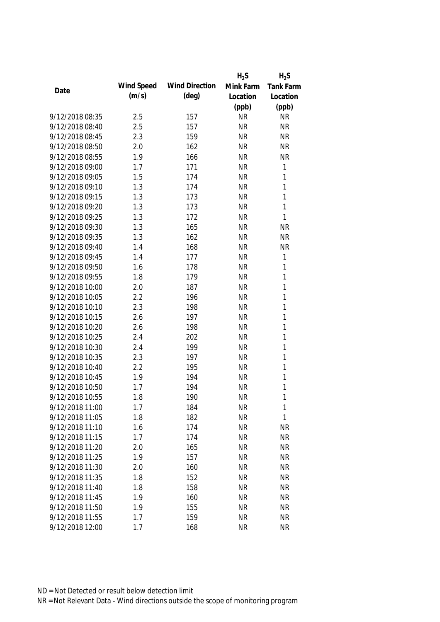|                 |            |                       | $H_2S$    | $H_2S$       |
|-----------------|------------|-----------------------|-----------|--------------|
| Date            | Wind Speed | <b>Wind Direction</b> | Mink Farm | Tank Farm    |
|                 | (m/s)      | $(\text{deg})$        | Location  | Location     |
|                 |            |                       | (ppb)     | (ppb)        |
| 9/12/2018 08:35 | 2.5        | 157                   | <b>NR</b> | <b>NR</b>    |
| 9/12/2018 08:40 | 2.5        | 157                   | <b>NR</b> | <b>NR</b>    |
| 9/12/2018 08:45 | 2.3        | 159                   | <b>NR</b> | <b>NR</b>    |
| 9/12/2018 08:50 | 2.0        | 162                   | <b>NR</b> | <b>NR</b>    |
| 9/12/2018 08:55 | 1.9        | 166                   | <b>NR</b> | <b>NR</b>    |
| 9/12/2018 09:00 | 1.7        | 171                   | <b>NR</b> | $\mathbf 1$  |
| 9/12/2018 09:05 | 1.5        | 174                   | <b>NR</b> | $\mathbf{1}$ |
| 9/12/2018 09:10 | 1.3        | 174                   | <b>NR</b> | $\mathbf{1}$ |
| 9/12/2018 09:15 | 1.3        | 173                   | <b>NR</b> | $\mathbf{1}$ |
| 9/12/2018 09:20 | 1.3        | 173                   | <b>NR</b> | $\mathbf{1}$ |
| 9/12/2018 09:25 | 1.3        | 172                   | <b>NR</b> | $\mathbf{1}$ |
| 9/12/2018 09:30 | 1.3        | 165                   | <b>NR</b> | <b>NR</b>    |
| 9/12/2018 09:35 | 1.3        | 162                   | <b>NR</b> | <b>NR</b>    |
| 9/12/2018 09:40 | 1.4        | 168                   | <b>NR</b> | <b>NR</b>    |
| 9/12/2018 09:45 | 1.4        | 177                   | <b>NR</b> | $\mathbf{1}$ |
| 9/12/2018 09:50 | 1.6        | 178                   | <b>NR</b> | $\mathbf{1}$ |
| 9/12/2018 09:55 | 1.8        | 179                   | <b>NR</b> | $\mathbf{1}$ |
| 9/12/2018 10:00 | 2.0        | 187                   | <b>NR</b> | $\mathbf{1}$ |
| 9/12/2018 10:05 | 2.2        | 196                   | <b>NR</b> | $\mathbf{1}$ |
| 9/12/2018 10:10 | 2.3        | 198                   | <b>NR</b> | $\mathbf{1}$ |
| 9/12/2018 10:15 | 2.6        | 197                   | <b>NR</b> | $\mathbf{1}$ |
| 9/12/2018 10:20 | 2.6        | 198                   | <b>NR</b> | $\mathbf{1}$ |
| 9/12/2018 10:25 | 2.4        | 202                   | <b>NR</b> | $\mathbf{1}$ |
| 9/12/2018 10:30 | 2.4        | 199                   | <b>NR</b> | $\mathbf{1}$ |
| 9/12/2018 10:35 | 2.3        | 197                   | <b>NR</b> | $\mathbf{1}$ |
| 9/12/2018 10:40 | 2.2        | 195                   | <b>NR</b> | 1            |
| 9/12/2018 10:45 | 1.9        | 194                   | <b>NR</b> | 1            |
| 9/12/2018 10:50 | 1.7        | 194                   | <b>NR</b> | 1            |
| 9/12/2018 10:55 | 1.8        | 190                   | <b>NR</b> | 1            |
| 9/12/2018 11:00 | 1.7        | 184                   | <b>NR</b> | 1            |
| 9/12/2018 11:05 | 1.8        | 182                   | <b>NR</b> | $\mathbf{1}$ |
| 9/12/2018 11:10 | 1.6        | 174                   | <b>NR</b> | <b>NR</b>    |
| 9/12/2018 11:15 | 1.7        | 174                   | <b>NR</b> | <b>NR</b>    |
| 9/12/2018 11:20 | 2.0        | 165                   | <b>NR</b> | <b>NR</b>    |
| 9/12/2018 11:25 | 1.9        | 157                   | <b>NR</b> | <b>NR</b>    |
| 9/12/2018 11:30 | 2.0        | 160                   | <b>NR</b> | <b>NR</b>    |
| 9/12/2018 11:35 | 1.8        | 152                   | <b>NR</b> | <b>NR</b>    |
| 9/12/2018 11:40 | 1.8        | 158                   | <b>NR</b> | <b>NR</b>    |
| 9/12/2018 11:45 | 1.9        | 160                   | <b>NR</b> | <b>NR</b>    |
| 9/12/2018 11:50 | 1.9        | 155                   | <b>NR</b> | <b>NR</b>    |
| 9/12/2018 11:55 | 1.7        | 159                   | <b>NR</b> | <b>NR</b>    |
| 9/12/2018 12:00 | 1.7        | 168                   | <b>NR</b> | <b>NR</b>    |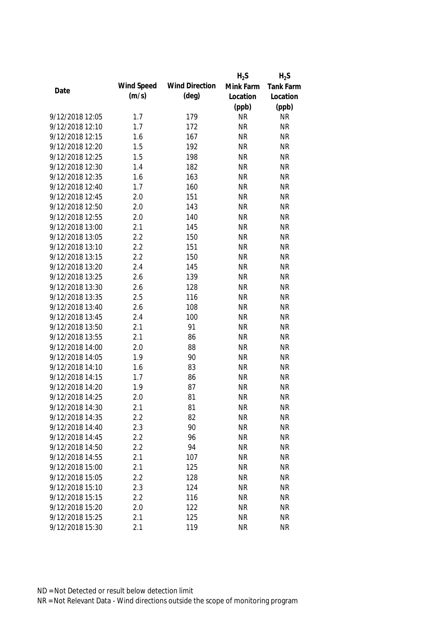|                 |            |                       | $H_2S$    | $H_2S$    |
|-----------------|------------|-----------------------|-----------|-----------|
| Date            | Wind Speed | <b>Wind Direction</b> | Mink Farm | Tank Farm |
|                 | (m/s)      | $(\text{deg})$        | Location  | Location  |
|                 |            |                       | (ppb)     | (ppb)     |
| 9/12/2018 12:05 | 1.7        | 179                   | <b>NR</b> | <b>NR</b> |
| 9/12/2018 12:10 | 1.7        | 172                   | <b>NR</b> | <b>NR</b> |
| 9/12/2018 12:15 | 1.6        | 167                   | <b>NR</b> | <b>NR</b> |
| 9/12/2018 12:20 | 1.5        | 192                   | <b>NR</b> | <b>NR</b> |
| 9/12/2018 12:25 | 1.5        | 198                   | <b>NR</b> | <b>NR</b> |
| 9/12/2018 12:30 | 1.4        | 182                   | <b>NR</b> | <b>NR</b> |
| 9/12/2018 12:35 | 1.6        | 163                   | <b>NR</b> | <b>NR</b> |
| 9/12/2018 12:40 | 1.7        | 160                   | <b>NR</b> | <b>NR</b> |
| 9/12/2018 12:45 | 2.0        | 151                   | <b>NR</b> | <b>NR</b> |
| 9/12/2018 12:50 | 2.0        | 143                   | <b>NR</b> | <b>NR</b> |
| 9/12/2018 12:55 | 2.0        | 140                   | <b>NR</b> | <b>NR</b> |
| 9/12/2018 13:00 | 2.1        | 145                   | <b>NR</b> | <b>NR</b> |
| 9/12/2018 13:05 | 2.2        | 150                   | <b>NR</b> | <b>NR</b> |
| 9/12/2018 13:10 | 2.2        | 151                   | <b>NR</b> | <b>NR</b> |
| 9/12/2018 13:15 | 2.2        | 150                   | <b>NR</b> | <b>NR</b> |
| 9/12/2018 13:20 | 2.4        | 145                   | <b>NR</b> | <b>NR</b> |
| 9/12/2018 13:25 | 2.6        | 139                   | <b>NR</b> | <b>NR</b> |
| 9/12/2018 13:30 | 2.6        | 128                   | <b>NR</b> | <b>NR</b> |
| 9/12/2018 13:35 | 2.5        | 116                   | <b>NR</b> | <b>NR</b> |
| 9/12/2018 13:40 | 2.6        | 108                   | <b>NR</b> | <b>NR</b> |
| 9/12/2018 13:45 | 2.4        | 100                   | <b>NR</b> | <b>NR</b> |
| 9/12/2018 13:50 | 2.1        | 91                    | <b>NR</b> | <b>NR</b> |
| 9/12/2018 13:55 | 2.1        | 86                    | <b>NR</b> | <b>NR</b> |
| 9/12/2018 14:00 | 2.0        | 88                    | <b>NR</b> | <b>NR</b> |
| 9/12/2018 14:05 | 1.9        | 90                    | <b>NR</b> | <b>NR</b> |
| 9/12/2018 14:10 | 1.6        | 83                    | <b>NR</b> | <b>NR</b> |
| 9/12/2018 14:15 | 1.7        | 86                    | <b>NR</b> | <b>NR</b> |
| 9/12/2018 14:20 | 1.9        | 87                    | <b>NR</b> | <b>NR</b> |
| 9/12/2018 14:25 | 2.0        | 81                    | <b>NR</b> | <b>NR</b> |
| 9/12/2018 14:30 | 2.1        | 81                    | <b>NR</b> | <b>NR</b> |
| 9/12/2018 14:35 | 2.2        | 82                    | <b>NR</b> | <b>NR</b> |
| 9/12/2018 14:40 | 2.3        | 90                    | <b>NR</b> | <b>NR</b> |
| 9/12/2018 14:45 | 2.2        | 96                    | <b>NR</b> | <b>NR</b> |
| 9/12/2018 14:50 | 2.2        | 94                    | <b>NR</b> | <b>NR</b> |
| 9/12/2018 14:55 | 2.1        | 107                   | <b>NR</b> | <b>NR</b> |
| 9/12/2018 15:00 | 2.1        | 125                   | <b>NR</b> | <b>NR</b> |
| 9/12/2018 15:05 | 2.2        | 128                   | <b>NR</b> | <b>NR</b> |
| 9/12/2018 15:10 | 2.3        | 124                   | <b>NR</b> | <b>NR</b> |
| 9/12/2018 15:15 | 2.2        | 116                   | <b>NR</b> | <b>NR</b> |
| 9/12/2018 15:20 | 2.0        | 122                   | <b>NR</b> | <b>NR</b> |
| 9/12/2018 15:25 | 2.1        |                       |           | <b>NR</b> |
|                 |            | 125                   | <b>NR</b> |           |
| 9/12/2018 15:30 | 2.1        | 119                   | <b>NR</b> | <b>NR</b> |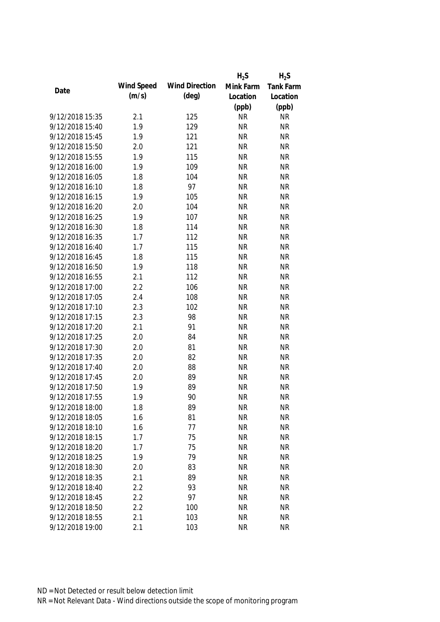|                 |            |                       | $H_2S$    | $H_2S$           |
|-----------------|------------|-----------------------|-----------|------------------|
| Date            | Wind Speed | <b>Wind Direction</b> | Mink Farm | <b>Tank Farm</b> |
|                 | (m/s)      | $(\text{deg})$        | Location  | Location         |
|                 |            |                       | (ppb)     | (ppb)            |
| 9/12/2018 15:35 | 2.1        | 125                   | <b>NR</b> | <b>NR</b>        |
| 9/12/2018 15:40 | 1.9        | 129                   | <b>NR</b> | <b>NR</b>        |
| 9/12/2018 15:45 | 1.9        | 121                   | <b>NR</b> | <b>NR</b>        |
| 9/12/2018 15:50 | 2.0        | 121                   | <b>NR</b> | <b>NR</b>        |
| 9/12/2018 15:55 | 1.9        | 115                   | <b>NR</b> | <b>NR</b>        |
| 9/12/2018 16:00 | 1.9        | 109                   | <b>NR</b> | <b>NR</b>        |
| 9/12/2018 16:05 | 1.8        | 104                   | <b>NR</b> | <b>NR</b>        |
| 9/12/2018 16:10 | 1.8        | 97                    | <b>NR</b> | <b>NR</b>        |
| 9/12/2018 16:15 | 1.9        | 105                   | <b>NR</b> | <b>NR</b>        |
| 9/12/2018 16:20 | 2.0        | 104                   | <b>NR</b> | <b>NR</b>        |
| 9/12/2018 16:25 | 1.9        | 107                   | <b>NR</b> | <b>NR</b>        |
| 9/12/2018 16:30 | 1.8        | 114                   | <b>NR</b> | <b>NR</b>        |
| 9/12/2018 16:35 | 1.7        | 112                   | <b>NR</b> | <b>NR</b>        |
| 9/12/2018 16:40 | 1.7        | 115                   | <b>NR</b> | <b>NR</b>        |
| 9/12/2018 16:45 | 1.8        | 115                   | <b>NR</b> | <b>NR</b>        |
| 9/12/2018 16:50 | 1.9        | 118                   | <b>NR</b> | <b>NR</b>        |
| 9/12/2018 16:55 | 2.1        | 112                   | <b>NR</b> | <b>NR</b>        |
| 9/12/2018 17:00 | 2.2        | 106                   | <b>NR</b> | <b>NR</b>        |
| 9/12/2018 17:05 | 2.4        | 108                   | <b>NR</b> | <b>NR</b>        |
| 9/12/2018 17:10 | 2.3        | 102                   | <b>NR</b> | <b>NR</b>        |
| 9/12/2018 17:15 | 2.3        | 98                    | <b>NR</b> | <b>NR</b>        |
| 9/12/2018 17:20 | 2.1        | 91                    | <b>NR</b> | <b>NR</b>        |
| 9/12/2018 17:25 | 2.0        | 84                    | <b>NR</b> | <b>NR</b>        |
| 9/12/2018 17:30 | 2.0        | 81                    | <b>NR</b> | <b>NR</b>        |
| 9/12/2018 17:35 | 2.0        | 82                    | <b>NR</b> | <b>NR</b>        |
| 9/12/2018 17:40 | 2.0        | 88                    | <b>NR</b> | <b>NR</b>        |
| 9/12/2018 17:45 | 2.0        | 89                    | <b>NR</b> | <b>NR</b>        |
| 9/12/2018 17:50 | 1.9        | 89                    | <b>NR</b> | <b>NR</b>        |
| 9/12/2018 17:55 | 1.9        | 90                    | <b>NR</b> | <b>NR</b>        |
| 9/12/2018 18:00 | 1.8        | 89                    | <b>NR</b> | <b>NR</b>        |
| 9/12/2018 18:05 | 1.6        | 81                    | <b>NR</b> | <b>NR</b>        |
| 9/12/2018 18:10 | 1.6        | 77                    | <b>NR</b> | <b>NR</b>        |
| 9/12/2018 18:15 | 1.7        | 75                    | <b>NR</b> | <b>NR</b>        |
| 9/12/2018 18:20 | 1.7        | 75                    | <b>NR</b> | <b>NR</b>        |
| 9/12/2018 18:25 | 1.9        | 79                    | <b>NR</b> | <b>NR</b>        |
| 9/12/2018 18:30 | 2.0        | 83                    | <b>NR</b> | <b>NR</b>        |
| 9/12/2018 18:35 | 2.1        | 89                    | <b>NR</b> | <b>NR</b>        |
| 9/12/2018 18:40 | 2.2        | 93                    | <b>NR</b> | <b>NR</b>        |
| 9/12/2018 18:45 | 2.2        | 97                    | <b>NR</b> | <b>NR</b>        |
| 9/12/2018 18:50 | 2.2        | 100                   | <b>NR</b> | <b>NR</b>        |
| 9/12/2018 18:55 | 2.1        | 103                   | <b>NR</b> | <b>NR</b>        |
| 9/12/2018 19:00 | 2.1        | 103                   | <b>NR</b> | <b>NR</b>        |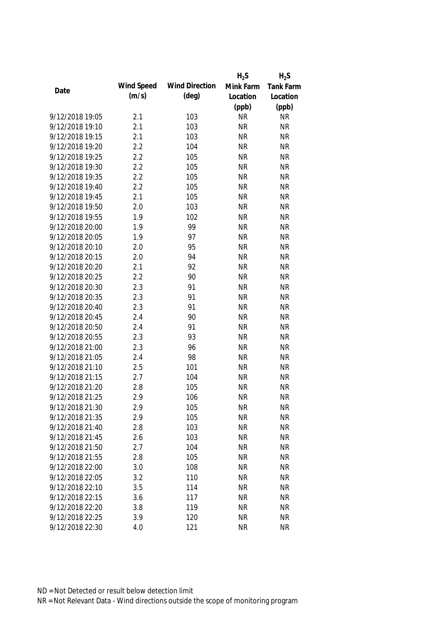|                 |            |                       | $H_2S$    | $H_2S$    |
|-----------------|------------|-----------------------|-----------|-----------|
|                 | Wind Speed | <b>Wind Direction</b> | Mink Farm | Tank Farm |
| Date            | (m/s)      | $(\text{deg})$        | Location  | Location  |
|                 |            |                       | (ppb)     | (ppb)     |
| 9/12/2018 19:05 | 2.1        | 103                   | <b>NR</b> | <b>NR</b> |
| 9/12/2018 19:10 | 2.1        | 103                   | <b>NR</b> | <b>NR</b> |
| 9/12/2018 19:15 | 2.1        | 103                   | <b>NR</b> | <b>NR</b> |
| 9/12/2018 19:20 | 2.2        | 104                   | <b>NR</b> | <b>NR</b> |
| 9/12/2018 19:25 | 2.2        | 105                   | <b>NR</b> | <b>NR</b> |
| 9/12/2018 19:30 | 2.2        | 105                   | <b>NR</b> | <b>NR</b> |
| 9/12/2018 19:35 | 2.2        | 105                   | <b>NR</b> | <b>NR</b> |
| 9/12/2018 19:40 | 2.2        | 105                   | <b>NR</b> | <b>NR</b> |
| 9/12/2018 19:45 | 2.1        | 105                   | <b>NR</b> | <b>NR</b> |
| 9/12/2018 19:50 | 2.0        | 103                   | <b>NR</b> | <b>NR</b> |
| 9/12/2018 19:55 | 1.9        | 102                   | <b>NR</b> | <b>NR</b> |
| 9/12/2018 20:00 | 1.9        | 99                    | <b>NR</b> | <b>NR</b> |
| 9/12/2018 20:05 | 1.9        | 97                    | <b>NR</b> | <b>NR</b> |
| 9/12/2018 20:10 | 2.0        | 95                    | <b>NR</b> | <b>NR</b> |
| 9/12/2018 20:15 | 2.0        | 94                    | <b>NR</b> | <b>NR</b> |
| 9/12/2018 20:20 | 2.1        | 92                    | <b>NR</b> | <b>NR</b> |
| 9/12/2018 20:25 | 2.2        | 90                    | <b>NR</b> | <b>NR</b> |
| 9/12/2018 20:30 | 2.3        | 91                    | <b>NR</b> | <b>NR</b> |
| 9/12/2018 20:35 | 2.3        | 91                    | <b>NR</b> | <b>NR</b> |
| 9/12/2018 20:40 | 2.3        | 91                    | <b>NR</b> | <b>NR</b> |
| 9/12/2018 20:45 | 2.4        | 90                    | <b>NR</b> | <b>NR</b> |
| 9/12/2018 20:50 | 2.4        | 91                    | <b>NR</b> | <b>NR</b> |
| 9/12/2018 20:55 | 2.3        | 93                    | <b>NR</b> | <b>NR</b> |
| 9/12/2018 21:00 | 2.3        | 96                    | <b>NR</b> | <b>NR</b> |
| 9/12/2018 21:05 | 2.4        | 98                    | <b>NR</b> | <b>NR</b> |
| 9/12/2018 21:10 | 2.5        | 101                   | <b>NR</b> | <b>NR</b> |
| 9/12/2018 21:15 | 2.7        | 104                   | <b>NR</b> | <b>NR</b> |
| 9/12/2018 21:20 | 2.8        | 105                   | <b>NR</b> | <b>NR</b> |
| 9/12/2018 21:25 | 2.9        | 106                   | <b>NR</b> | <b>NR</b> |
| 9/12/2018 21:30 | 2.9        | 105                   | <b>NR</b> | <b>NR</b> |
| 9/12/2018 21:35 | 2.9        | 105                   | <b>NR</b> | <b>NR</b> |
| 9/12/2018 21:40 | 2.8        | 103                   | <b>NR</b> | <b>NR</b> |
| 9/12/2018 21:45 | 2.6        | 103                   | <b>NR</b> | <b>NR</b> |
| 9/12/2018 21:50 | 2.7        | 104                   | <b>NR</b> | <b>NR</b> |
| 9/12/2018 21:55 | 2.8        | 105                   | <b>NR</b> | <b>NR</b> |
| 9/12/2018 22:00 | 3.0        | 108                   | <b>NR</b> | <b>NR</b> |
| 9/12/2018 22:05 | 3.2        | 110                   | <b>NR</b> | <b>NR</b> |
| 9/12/2018 22:10 | 3.5        | 114                   | <b>NR</b> | <b>NR</b> |
| 9/12/2018 22:15 | 3.6        | 117                   | <b>NR</b> | <b>NR</b> |
| 9/12/2018 22:20 | 3.8        | 119                   | <b>NR</b> | <b>NR</b> |
| 9/12/2018 22:25 | 3.9        | 120                   | <b>NR</b> | <b>NR</b> |
| 9/12/2018 22:30 | 4.0        | 121                   | <b>NR</b> | <b>NR</b> |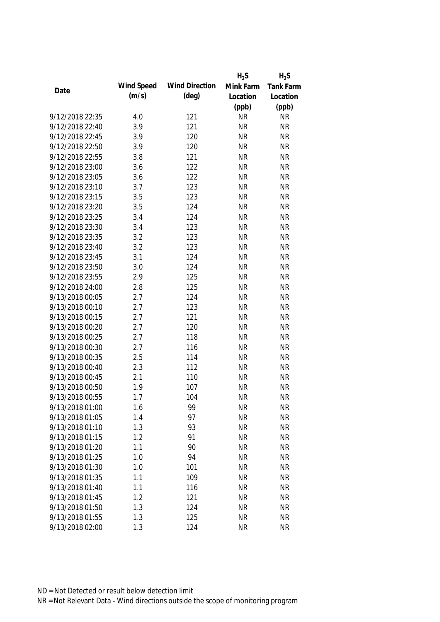|                 |            |                       | $H_2S$    | $H_2S$           |
|-----------------|------------|-----------------------|-----------|------------------|
| Date            | Wind Speed | <b>Wind Direction</b> | Mink Farm | <b>Tank Farm</b> |
|                 | (m/s)      | $(\text{deg})$        | Location  | Location         |
|                 |            |                       | (ppb)     | (ppb)            |
| 9/12/2018 22:35 | 4.0        | 121                   | <b>NR</b> | <b>NR</b>        |
| 9/12/2018 22:40 | 3.9        | 121                   | <b>NR</b> | <b>NR</b>        |
| 9/12/2018 22:45 | 3.9        | 120                   | <b>NR</b> | <b>NR</b>        |
| 9/12/2018 22:50 | 3.9        | 120                   | <b>NR</b> | <b>NR</b>        |
| 9/12/2018 22:55 | 3.8        | 121                   | <b>NR</b> | <b>NR</b>        |
| 9/12/2018 23:00 | 3.6        | 122                   | <b>NR</b> | <b>NR</b>        |
| 9/12/2018 23:05 | 3.6        | 122                   | <b>NR</b> | <b>NR</b>        |
| 9/12/2018 23:10 | 3.7        | 123                   | <b>NR</b> | <b>NR</b>        |
| 9/12/2018 23:15 | 3.5        | 123                   | <b>NR</b> | <b>NR</b>        |
| 9/12/2018 23:20 | 3.5        | 124                   | <b>NR</b> | <b>NR</b>        |
| 9/12/2018 23:25 | 3.4        | 124                   | <b>NR</b> | <b>NR</b>        |
| 9/12/2018 23:30 | 3.4        | 123                   | <b>NR</b> | <b>NR</b>        |
| 9/12/2018 23:35 | 3.2        | 123                   | <b>NR</b> | <b>NR</b>        |
| 9/12/2018 23:40 | 3.2        | 123                   | <b>NR</b> | <b>NR</b>        |
| 9/12/2018 23:45 | 3.1        | 124                   | <b>NR</b> | <b>NR</b>        |
| 9/12/2018 23:50 | 3.0        | 124                   | <b>NR</b> | <b>NR</b>        |
| 9/12/2018 23:55 | 2.9        | 125                   | <b>NR</b> | <b>NR</b>        |
| 9/12/2018 24:00 | 2.8        | 125                   | <b>NR</b> | <b>NR</b>        |
| 9/13/2018 00:05 | 2.7        | 124                   | <b>NR</b> | <b>NR</b>        |
| 9/13/2018 00:10 | 2.7        | 123                   | <b>NR</b> | <b>NR</b>        |
| 9/13/2018 00:15 | 2.7        | 121                   | <b>NR</b> | <b>NR</b>        |
| 9/13/2018 00:20 | 2.7        | 120                   | <b>NR</b> | <b>NR</b>        |
| 9/13/2018 00:25 | 2.7        | 118                   | <b>NR</b> | <b>NR</b>        |
| 9/13/2018 00:30 | 2.7        | 116                   | <b>NR</b> | <b>NR</b>        |
| 9/13/2018 00:35 | 2.5        | 114                   | <b>NR</b> | <b>NR</b>        |
| 9/13/2018 00:40 | 2.3        | 112                   | <b>NR</b> | <b>NR</b>        |
| 9/13/2018 00:45 | 2.1        | 110                   | <b>NR</b> | <b>NR</b>        |
| 9/13/2018 00:50 | 1.9        | 107                   | <b>NR</b> | <b>NR</b>        |
| 9/13/2018 00:55 | 1.7        | 104                   | <b>NR</b> | <b>NR</b>        |
| 9/13/2018 01:00 | 1.6        | 99                    | <b>NR</b> | <b>NR</b>        |
| 9/13/2018 01:05 | 1.4        | 97                    | <b>NR</b> | <b>NR</b>        |
| 9/13/2018 01:10 | 1.3        | 93                    | <b>NR</b> | <b>NR</b>        |
| 9/13/2018 01:15 | 1.2        | 91                    | <b>NR</b> | <b>NR</b>        |
| 9/13/2018 01:20 | 1.1        | 90                    | <b>NR</b> | <b>NR</b>        |
| 9/13/2018 01:25 | 1.0        | 94                    | <b>NR</b> | <b>NR</b>        |
| 9/13/2018 01:30 | 1.0        | 101                   | <b>NR</b> | <b>NR</b>        |
| 9/13/2018 01:35 | 1.1        | 109                   | <b>NR</b> | <b>NR</b>        |
| 9/13/2018 01:40 | 1.1        | 116                   | <b>NR</b> | <b>NR</b>        |
| 9/13/2018 01:45 | 1.2        | 121                   | <b>NR</b> | <b>NR</b>        |
| 9/13/2018 01:50 | 1.3        | 124                   | <b>NR</b> | <b>NR</b>        |
| 9/13/2018 01:55 | 1.3        | 125                   | <b>NR</b> | <b>NR</b>        |
| 9/13/2018 02:00 | 1.3        | 124                   | <b>NR</b> | <b>NR</b>        |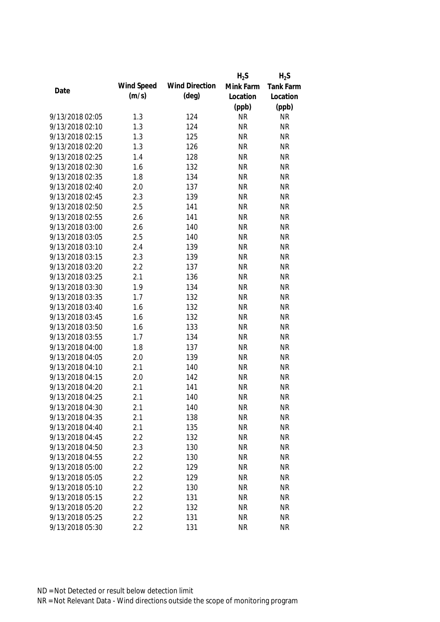|                 |            |                       | $H_2S$    | $H_2S$    |
|-----------------|------------|-----------------------|-----------|-----------|
|                 | Wind Speed | <b>Wind Direction</b> | Mink Farm | Tank Farm |
| Date            | (m/s)      | $(\text{deg})$        | Location  | Location  |
|                 |            |                       | (ppb)     | (ppb)     |
| 9/13/2018 02:05 | 1.3        | 124                   | <b>NR</b> | <b>NR</b> |
| 9/13/2018 02:10 | 1.3        | 124                   | <b>NR</b> | <b>NR</b> |
| 9/13/2018 02:15 | 1.3        | 125                   | <b>NR</b> | <b>NR</b> |
| 9/13/2018 02:20 | 1.3        | 126                   | <b>NR</b> | <b>NR</b> |
| 9/13/2018 02:25 | 1.4        | 128                   | <b>NR</b> | <b>NR</b> |
| 9/13/2018 02:30 | 1.6        | 132                   | <b>NR</b> | <b>NR</b> |
| 9/13/2018 02:35 | 1.8        | 134                   | <b>NR</b> | <b>NR</b> |
| 9/13/2018 02:40 | 2.0        | 137                   | <b>NR</b> | <b>NR</b> |
| 9/13/2018 02:45 | 2.3        | 139                   | <b>NR</b> | <b>NR</b> |
| 9/13/2018 02:50 | 2.5        | 141                   | <b>NR</b> | <b>NR</b> |
| 9/13/2018 02:55 | 2.6        | 141                   | <b>NR</b> | <b>NR</b> |
| 9/13/2018 03:00 | 2.6        | 140                   | <b>NR</b> | <b>NR</b> |
| 9/13/2018 03:05 | 2.5        | 140                   | <b>NR</b> | <b>NR</b> |
| 9/13/2018 03:10 | 2.4        | 139                   | <b>NR</b> | <b>NR</b> |
| 9/13/2018 03:15 | 2.3        | 139                   | <b>NR</b> | <b>NR</b> |
| 9/13/2018 03:20 | 2.2        | 137                   | <b>NR</b> | <b>NR</b> |
| 9/13/2018 03:25 | 2.1        | 136                   | <b>NR</b> | <b>NR</b> |
| 9/13/2018 03:30 | 1.9        | 134                   | <b>NR</b> | <b>NR</b> |
| 9/13/2018 03:35 | 1.7        | 132                   | <b>NR</b> | <b>NR</b> |
| 9/13/2018 03:40 | 1.6        | 132                   | <b>NR</b> | <b>NR</b> |
| 9/13/2018 03:45 | 1.6        | 132                   | <b>NR</b> | <b>NR</b> |
| 9/13/2018 03:50 | 1.6        | 133                   | <b>NR</b> | <b>NR</b> |
| 9/13/2018 03:55 | 1.7        | 134                   | <b>NR</b> | <b>NR</b> |
| 9/13/2018 04:00 | 1.8        | 137                   | <b>NR</b> | <b>NR</b> |
| 9/13/2018 04:05 | 2.0        | 139                   | <b>NR</b> | <b>NR</b> |
| 9/13/2018 04:10 | 2.1        | 140                   | <b>NR</b> | <b>NR</b> |
| 9/13/2018 04:15 | 2.0        | 142                   | <b>NR</b> | <b>NR</b> |
| 9/13/2018 04:20 | 2.1        | 141                   | <b>NR</b> | <b>NR</b> |
| 9/13/2018 04:25 | 2.1        | 140                   | <b>NR</b> | <b>NR</b> |
| 9/13/2018 04:30 | 2.1        | 140                   | <b>NR</b> | <b>NR</b> |
| 9/13/2018 04:35 | 2.1        | 138                   | <b>NR</b> | <b>NR</b> |
| 9/13/2018 04:40 | 2.1        | 135                   | <b>NR</b> | <b>NR</b> |
| 9/13/2018 04:45 | 2.2        | 132                   | <b>NR</b> | <b>NR</b> |
| 9/13/2018 04:50 | 2.3        | 130                   | <b>NR</b> | <b>NR</b> |
| 9/13/2018 04:55 | 2.2        | 130                   | <b>NR</b> | <b>NR</b> |
| 9/13/2018 05:00 | 2.2        | 129                   | <b>NR</b> | <b>NR</b> |
| 9/13/2018 05:05 | 2.2        | 129                   | <b>NR</b> | <b>NR</b> |
| 9/13/2018 05:10 | 2.2        | 130                   | <b>NR</b> | <b>NR</b> |
| 9/13/2018 05:15 | 2.2        | 131                   | <b>NR</b> | <b>NR</b> |
| 9/13/2018 05:20 | 2.2        | 132                   | <b>NR</b> | <b>NR</b> |
| 9/13/2018 05:25 | 2.2        | 131                   | <b>NR</b> | <b>NR</b> |
| 9/13/2018 05:30 | 2.2        | 131                   | <b>NR</b> | <b>NR</b> |
|                 |            |                       |           |           |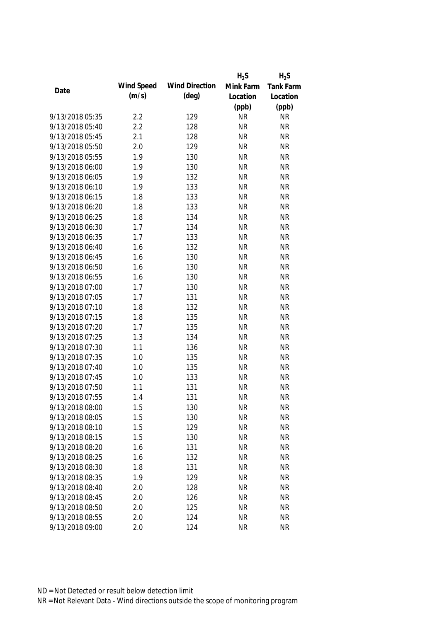|                 |            |                       | $H_2S$    | $H_2S$    |
|-----------------|------------|-----------------------|-----------|-----------|
|                 | Wind Speed | <b>Wind Direction</b> | Mink Farm | Tank Farm |
| Date            | (m/s)      | $(\text{deg})$        | Location  | Location  |
|                 |            |                       | (ppb)     | (ppb)     |
| 9/13/2018 05:35 | 2.2        | 129                   | <b>NR</b> | <b>NR</b> |
| 9/13/2018 05:40 | 2.2        | 128                   | <b>NR</b> | <b>NR</b> |
| 9/13/2018 05:45 | 2.1        | 128                   | <b>NR</b> | <b>NR</b> |
| 9/13/2018 05:50 | 2.0        | 129                   | <b>NR</b> | <b>NR</b> |
| 9/13/2018 05:55 | 1.9        | 130                   | <b>NR</b> | <b>NR</b> |
| 9/13/2018 06:00 | 1.9        | 130                   | <b>NR</b> | <b>NR</b> |
| 9/13/2018 06:05 | 1.9        | 132                   | <b>NR</b> | <b>NR</b> |
| 9/13/2018 06:10 | 1.9        | 133                   | <b>NR</b> | <b>NR</b> |
| 9/13/2018 06:15 | 1.8        | 133                   | <b>NR</b> | <b>NR</b> |
| 9/13/2018 06:20 | 1.8        | 133                   | <b>NR</b> | <b>NR</b> |
| 9/13/2018 06:25 | 1.8        | 134                   | <b>NR</b> | <b>NR</b> |
| 9/13/2018 06:30 | 1.7        | 134                   | <b>NR</b> | <b>NR</b> |
| 9/13/2018 06:35 | 1.7        | 133                   | <b>NR</b> | <b>NR</b> |
| 9/13/2018 06:40 | 1.6        | 132                   | <b>NR</b> | <b>NR</b> |
| 9/13/2018 06:45 | 1.6        | 130                   | <b>NR</b> | <b>NR</b> |
| 9/13/2018 06:50 | 1.6        | 130                   | <b>NR</b> | <b>NR</b> |
| 9/13/2018 06:55 | 1.6        | 130                   | <b>NR</b> | <b>NR</b> |
| 9/13/2018 07:00 | 1.7        | 130                   | <b>NR</b> | <b>NR</b> |
| 9/13/2018 07:05 | 1.7        | 131                   | <b>NR</b> | <b>NR</b> |
| 9/13/2018 07:10 | 1.8        | 132                   | <b>NR</b> | <b>NR</b> |
| 9/13/2018 07:15 | 1.8        | 135                   | <b>NR</b> | <b>NR</b> |
| 9/13/2018 07:20 | 1.7        | 135                   | <b>NR</b> | <b>NR</b> |
| 9/13/2018 07:25 | 1.3        | 134                   | <b>NR</b> | <b>NR</b> |
| 9/13/2018 07:30 | 1.1        | 136                   | <b>NR</b> | <b>NR</b> |
| 9/13/2018 07:35 | 1.0        | 135                   | <b>NR</b> | <b>NR</b> |
| 9/13/2018 07:40 | 1.0        | 135                   | <b>NR</b> | <b>NR</b> |
| 9/13/2018 07:45 | 1.0        | 133                   | <b>NR</b> | <b>NR</b> |
| 9/13/2018 07:50 | 1.1        | 131                   | <b>NR</b> | <b>NR</b> |
| 9/13/2018 07:55 | 1.4        | 131                   | <b>NR</b> | <b>NR</b> |
| 9/13/2018 08:00 | 1.5        | 130                   | <b>NR</b> | <b>NR</b> |
| 9/13/2018 08:05 | 1.5        | 130                   | <b>NR</b> | <b>NR</b> |
| 9/13/2018 08:10 | 1.5        | 129                   | <b>NR</b> | <b>NR</b> |
| 9/13/2018 08:15 | 1.5        | 130                   | <b>NR</b> | <b>NR</b> |
| 9/13/2018 08:20 | 1.6        | 131                   | <b>NR</b> | <b>NR</b> |
| 9/13/2018 08:25 | 1.6        | 132                   | <b>NR</b> | <b>NR</b> |
| 9/13/2018 08:30 | 1.8        | 131                   | <b>NR</b> | <b>NR</b> |
| 9/13/2018 08:35 | 1.9        | 129                   | <b>NR</b> | <b>NR</b> |
| 9/13/2018 08:40 | 2.0        | 128                   | <b>NR</b> | <b>NR</b> |
| 9/13/2018 08:45 | 2.0        | 126                   | <b>NR</b> | <b>NR</b> |
|                 |            |                       |           | <b>NR</b> |
| 9/13/2018 08:50 | 2.0        | 125                   | <b>NR</b> |           |
| 9/13/2018 08:55 | 2.0        | 124                   | <b>NR</b> | <b>NR</b> |
| 9/13/2018 09:00 | 2.0        | 124                   | <b>NR</b> | <b>NR</b> |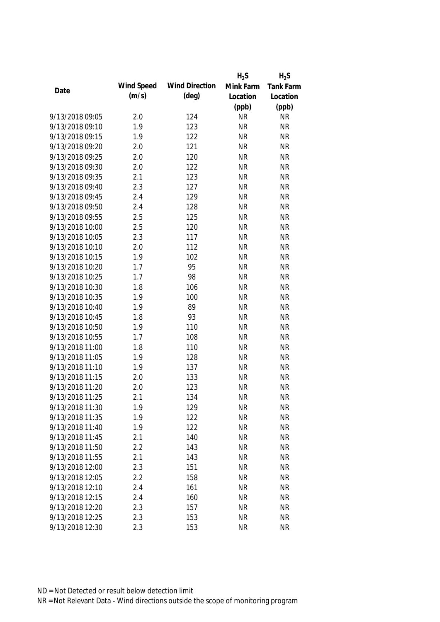|                 |            |                       | $H_2S$    | $H_2S$    |
|-----------------|------------|-----------------------|-----------|-----------|
|                 | Wind Speed | <b>Wind Direction</b> | Mink Farm | Tank Farm |
| Date            | (m/s)      | $(\text{deg})$        | Location  | Location  |
|                 |            |                       | (ppb)     | (ppb)     |
| 9/13/2018 09:05 | 2.0        | 124                   | <b>NR</b> | <b>NR</b> |
| 9/13/2018 09:10 | 1.9        | 123                   | <b>NR</b> | <b>NR</b> |
| 9/13/2018 09:15 | 1.9        | 122                   | <b>NR</b> | <b>NR</b> |
| 9/13/2018 09:20 | 2.0        | 121                   | <b>NR</b> | <b>NR</b> |
| 9/13/2018 09:25 | 2.0        | 120                   | <b>NR</b> | <b>NR</b> |
| 9/13/2018 09:30 | 2.0        | 122                   | <b>NR</b> | <b>NR</b> |
| 9/13/2018 09:35 | 2.1        | 123                   | <b>NR</b> | <b>NR</b> |
| 9/13/2018 09:40 | 2.3        | 127                   | <b>NR</b> | <b>NR</b> |
| 9/13/2018 09:45 | 2.4        | 129                   | <b>NR</b> | <b>NR</b> |
| 9/13/2018 09:50 | 2.4        | 128                   | <b>NR</b> | <b>NR</b> |
| 9/13/2018 09:55 | 2.5        | 125                   | <b>NR</b> | <b>NR</b> |
| 9/13/2018 10:00 | 2.5        | 120                   | <b>NR</b> | <b>NR</b> |
| 9/13/2018 10:05 | 2.3        | 117                   | <b>NR</b> | <b>NR</b> |
| 9/13/2018 10:10 | 2.0        | 112                   | <b>NR</b> | <b>NR</b> |
| 9/13/2018 10:15 | 1.9        | 102                   | <b>NR</b> | <b>NR</b> |
| 9/13/2018 10:20 | 1.7        | 95                    | <b>NR</b> | <b>NR</b> |
| 9/13/2018 10:25 | 1.7        | 98                    | <b>NR</b> | <b>NR</b> |
| 9/13/2018 10:30 | 1.8        | 106                   | <b>NR</b> | <b>NR</b> |
| 9/13/2018 10:35 | 1.9        | 100                   | <b>NR</b> | <b>NR</b> |
| 9/13/2018 10:40 | 1.9        | 89                    | <b>NR</b> | <b>NR</b> |
| 9/13/2018 10:45 | 1.8        | 93                    | <b>NR</b> | <b>NR</b> |
| 9/13/2018 10:50 | 1.9        | 110                   | <b>NR</b> | <b>NR</b> |
| 9/13/2018 10:55 | 1.7        | 108                   | <b>NR</b> | <b>NR</b> |
| 9/13/2018 11:00 | 1.8        | 110                   | <b>NR</b> | <b>NR</b> |
| 9/13/2018 11:05 | 1.9        | 128                   | <b>NR</b> | <b>NR</b> |
| 9/13/2018 11:10 | 1.9        | 137                   | <b>NR</b> | <b>NR</b> |
| 9/13/2018 11:15 | 2.0        | 133                   | <b>NR</b> | <b>NR</b> |
| 9/13/2018 11:20 | 2.0        | 123                   | <b>NR</b> | <b>NR</b> |
| 9/13/2018 11:25 | 2.1        | 134                   | <b>NR</b> | <b>NR</b> |
| 9/13/2018 11:30 | 1.9        | 129                   | <b>NR</b> | <b>NR</b> |
| 9/13/2018 11:35 | 1.9        | 122                   | <b>NR</b> | <b>NR</b> |
| 9/13/2018 11:40 | 1.9        | 122                   | <b>NR</b> | <b>NR</b> |
| 9/13/2018 11:45 | 2.1        | 140                   | <b>NR</b> | <b>NR</b> |
| 9/13/2018 11:50 | 2.2        | 143                   | <b>NR</b> | <b>NR</b> |
| 9/13/2018 11:55 | 2.1        | 143                   | <b>NR</b> | <b>NR</b> |
| 9/13/2018 12:00 | 2.3        | 151                   | <b>NR</b> | <b>NR</b> |
| 9/13/2018 12:05 | 2.2        | 158                   | <b>NR</b> | <b>NR</b> |
| 9/13/2018 12:10 | 2.4        | 161                   | <b>NR</b> | <b>NR</b> |
| 9/13/2018 12:15 | 2.4        | 160                   | <b>NR</b> | <b>NR</b> |
| 9/13/2018 12:20 | 2.3        | 157                   | <b>NR</b> | <b>NR</b> |
| 9/13/2018 12:25 | 2.3        | 153                   | <b>NR</b> | <b>NR</b> |
| 9/13/2018 12:30 | 2.3        | 153                   | <b>NR</b> | <b>NR</b> |
|                 |            |                       |           |           |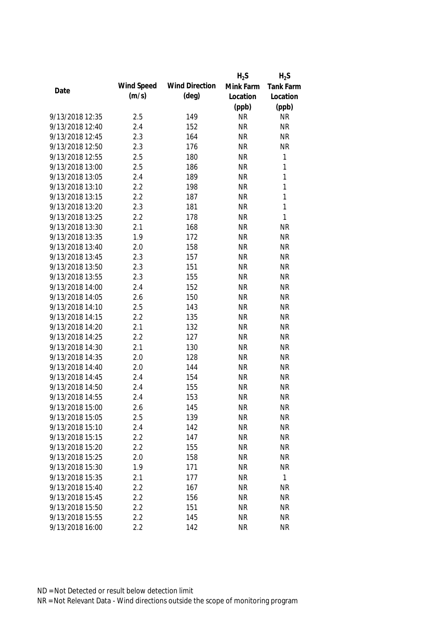|                 |            |                       | $H_2S$    | $H_2S$       |
|-----------------|------------|-----------------------|-----------|--------------|
|                 | Wind Speed | <b>Wind Direction</b> | Mink Farm | Tank Farm    |
| Date            | (m/s)      | $(\text{deg})$        | Location  | Location     |
|                 |            |                       | (ppb)     | (ppb)        |
| 9/13/2018 12:35 | 2.5        | 149                   | <b>NR</b> | <b>NR</b>    |
| 9/13/2018 12:40 | 2.4        | 152                   | <b>NR</b> | <b>NR</b>    |
| 9/13/2018 12:45 | 2.3        | 164                   | <b>NR</b> | <b>NR</b>    |
| 9/13/2018 12:50 | 2.3        | 176                   | <b>NR</b> | <b>NR</b>    |
| 9/13/2018 12:55 | 2.5        | 180                   | <b>NR</b> | 1            |
| 9/13/2018 13:00 | 2.5        | 186                   | <b>NR</b> | $\mathbf{1}$ |
| 9/13/2018 13:05 | 2.4        | 189                   | <b>NR</b> | $\mathbf{1}$ |
| 9/13/2018 13:10 | 2.2        | 198                   | <b>NR</b> | $\mathbf{1}$ |
| 9/13/2018 13:15 | 2.2        | 187                   | <b>NR</b> | 1            |
| 9/13/2018 13:20 | 2.3        | 181                   | <b>NR</b> | $\mathbf{1}$ |
| 9/13/2018 13:25 | 2.2        | 178                   | <b>NR</b> | $\mathbf{1}$ |
| 9/13/2018 13:30 | 2.1        | 168                   | <b>NR</b> | <b>NR</b>    |
| 9/13/2018 13:35 | 1.9        | 172                   | <b>NR</b> | <b>NR</b>    |
| 9/13/2018 13:40 | 2.0        | 158                   | <b>NR</b> | <b>NR</b>    |
| 9/13/2018 13:45 | 2.3        | 157                   | <b>NR</b> | <b>NR</b>    |
| 9/13/2018 13:50 | 2.3        | 151                   | <b>NR</b> | <b>NR</b>    |
| 9/13/2018 13:55 | 2.3        | 155                   | <b>NR</b> | <b>NR</b>    |
| 9/13/2018 14:00 | 2.4        | 152                   | <b>NR</b> | <b>NR</b>    |
| 9/13/2018 14:05 | 2.6        | 150                   | <b>NR</b> | <b>NR</b>    |
| 9/13/2018 14:10 | 2.5        | 143                   | <b>NR</b> | <b>NR</b>    |
| 9/13/2018 14:15 | 2.2        | 135                   | <b>NR</b> | <b>NR</b>    |
| 9/13/2018 14:20 | 2.1        | 132                   | <b>NR</b> | <b>NR</b>    |
| 9/13/2018 14:25 | 2.2        | 127                   | <b>NR</b> | <b>NR</b>    |
| 9/13/2018 14:30 | 2.1        | 130                   | <b>NR</b> | <b>NR</b>    |
| 9/13/2018 14:35 | 2.0        | 128                   | <b>NR</b> | <b>NR</b>    |
| 9/13/2018 14:40 | 2.0        | 144                   | <b>NR</b> | <b>NR</b>    |
| 9/13/2018 14:45 | 2.4        | 154                   | <b>NR</b> | <b>NR</b>    |
| 9/13/2018 14:50 | 2.4        | 155                   | <b>NR</b> | <b>NR</b>    |
| 9/13/2018 14:55 | 2.4        | 153                   | <b>NR</b> | <b>NR</b>    |
| 9/13/2018 15:00 | 2.6        | 145                   | <b>NR</b> | <b>NR</b>    |
| 9/13/2018 15:05 | 2.5        | 139                   | <b>NR</b> | <b>NR</b>    |
| 9/13/2018 15:10 | 2.4        | 142                   | <b>NR</b> | <b>NR</b>    |
| 9/13/2018 15:15 | 2.2        | 147                   | <b>NR</b> | <b>NR</b>    |
| 9/13/2018 15:20 | 2.2        | 155                   | <b>NR</b> | <b>NR</b>    |
| 9/13/2018 15:25 | 2.0        | 158                   | <b>NR</b> | <b>NR</b>    |
| 9/13/2018 15:30 | 1.9        | 171                   | <b>NR</b> | <b>NR</b>    |
| 9/13/2018 15:35 | 2.1        | 177                   | <b>NR</b> | 1            |
| 9/13/2018 15:40 | 2.2        | 167                   | <b>NR</b> | <b>NR</b>    |
| 9/13/2018 15:45 | 2.2        | 156                   | <b>NR</b> | <b>NR</b>    |
| 9/13/2018 15:50 | 2.2        | 151                   | <b>NR</b> | <b>NR</b>    |
| 9/13/2018 15:55 | 2.2        | 145                   | <b>NR</b> | <b>NR</b>    |
| 9/13/2018 16:00 | 2.2        | 142                   | <b>NR</b> | <b>NR</b>    |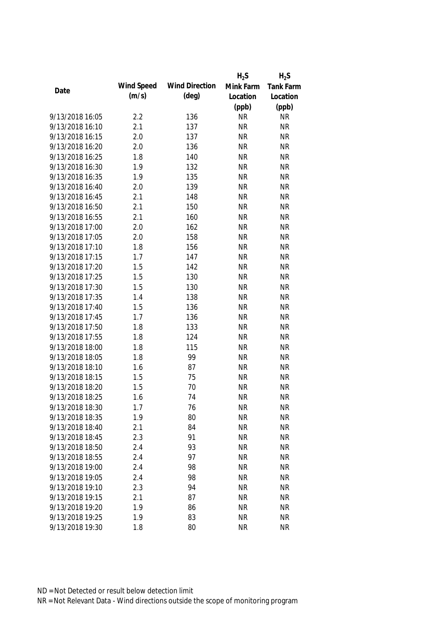|                 |            |                       | $H_2S$    | $H_2S$    |
|-----------------|------------|-----------------------|-----------|-----------|
|                 | Wind Speed | <b>Wind Direction</b> | Mink Farm | Tank Farm |
| Date            | (m/s)      | $(\text{deg})$        | Location  | Location  |
|                 |            |                       | (ppb)     | (ppb)     |
| 9/13/2018 16:05 | 2.2        | 136                   | <b>NR</b> | <b>NR</b> |
| 9/13/2018 16:10 | 2.1        | 137                   | <b>NR</b> | <b>NR</b> |
| 9/13/2018 16:15 | 2.0        | 137                   | <b>NR</b> | <b>NR</b> |
| 9/13/2018 16:20 | 2.0        | 136                   | <b>NR</b> | <b>NR</b> |
| 9/13/2018 16:25 | 1.8        | 140                   | <b>NR</b> | <b>NR</b> |
| 9/13/2018 16:30 | 1.9        | 132                   | <b>NR</b> | <b>NR</b> |
| 9/13/2018 16:35 | 1.9        | 135                   | <b>NR</b> | <b>NR</b> |
| 9/13/2018 16:40 | 2.0        | 139                   | <b>NR</b> | <b>NR</b> |
| 9/13/2018 16:45 | 2.1        | 148                   | <b>NR</b> | <b>NR</b> |
| 9/13/2018 16:50 | 2.1        | 150                   | <b>NR</b> | <b>NR</b> |
| 9/13/2018 16:55 | 2.1        | 160                   | <b>NR</b> | <b>NR</b> |
| 9/13/2018 17:00 | 2.0        | 162                   | <b>NR</b> | <b>NR</b> |
| 9/13/2018 17:05 | 2.0        | 158                   | <b>NR</b> | <b>NR</b> |
| 9/13/2018 17:10 | 1.8        | 156                   | <b>NR</b> | <b>NR</b> |
| 9/13/2018 17:15 | 1.7        | 147                   | <b>NR</b> | <b>NR</b> |
| 9/13/2018 17:20 | 1.5        | 142                   | <b>NR</b> | <b>NR</b> |
| 9/13/2018 17:25 | 1.5        | 130                   | <b>NR</b> | <b>NR</b> |
| 9/13/2018 17:30 | 1.5        | 130                   | <b>NR</b> | <b>NR</b> |
| 9/13/2018 17:35 | 1.4        | 138                   | <b>NR</b> | <b>NR</b> |
| 9/13/2018 17:40 | 1.5        | 136                   | <b>NR</b> | <b>NR</b> |
| 9/13/2018 17:45 | 1.7        | 136                   | <b>NR</b> | <b>NR</b> |
| 9/13/2018 17:50 | 1.8        | 133                   | <b>NR</b> | <b>NR</b> |
| 9/13/2018 17:55 | 1.8        | 124                   | <b>NR</b> | <b>NR</b> |
| 9/13/2018 18:00 | 1.8        | 115                   | <b>NR</b> | <b>NR</b> |
| 9/13/2018 18:05 | 1.8        | 99                    | <b>NR</b> | <b>NR</b> |
| 9/13/2018 18:10 | 1.6        | 87                    | <b>NR</b> | <b>NR</b> |
| 9/13/2018 18:15 | 1.5        | 75                    | <b>NR</b> | <b>NR</b> |
| 9/13/2018 18:20 | 1.5        | 70                    | <b>NR</b> | <b>NR</b> |
| 9/13/2018 18:25 | 1.6        | 74                    | <b>NR</b> | <b>NR</b> |
| 9/13/2018 18:30 | 1.7        | 76                    | <b>NR</b> | <b>NR</b> |
| 9/13/2018 18:35 | 1.9        | 80                    | <b>NR</b> | <b>NR</b> |
| 9/13/2018 18:40 | 2.1        | 84                    | <b>NR</b> | <b>NR</b> |
| 9/13/2018 18:45 | 2.3        | 91                    | <b>NR</b> | <b>NR</b> |
| 9/13/2018 18:50 | 2.4        | 93                    | <b>NR</b> | <b>NR</b> |
| 9/13/2018 18:55 | 2.4        | 97                    | <b>NR</b> | <b>NR</b> |
| 9/13/2018 19:00 | 2.4        | 98                    | <b>NR</b> | <b>NR</b> |
| 9/13/2018 19:05 | 2.4        | 98                    | <b>NR</b> | <b>NR</b> |
| 9/13/2018 19:10 | 2.3        | 94                    | <b>NR</b> | <b>NR</b> |
| 9/13/2018 19:15 | 2.1        | 87                    | <b>NR</b> | <b>NR</b> |
| 9/13/2018 19:20 | 1.9        | 86                    | <b>NR</b> | <b>NR</b> |
| 9/13/2018 19:25 | 1.9        | 83                    | <b>NR</b> | <b>NR</b> |
|                 |            |                       |           |           |
| 9/13/2018 19:30 | 1.8        | 80                    | <b>NR</b> | <b>NR</b> |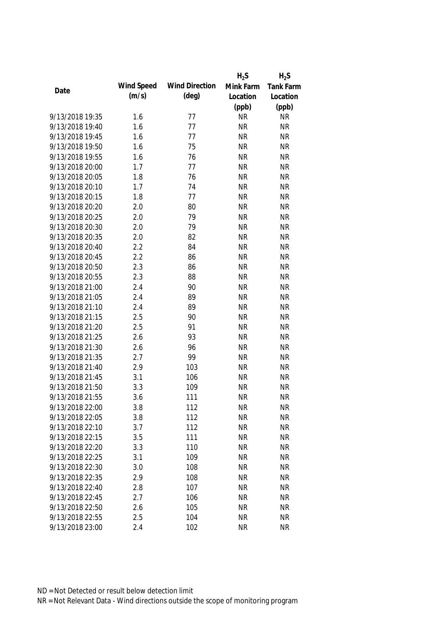|                 |            |                       | $H_2S$    | $H_2S$    |
|-----------------|------------|-----------------------|-----------|-----------|
| Date            | Wind Speed | <b>Wind Direction</b> | Mink Farm | Tank Farm |
|                 | (m/s)      | $(\text{deg})$        | Location  | Location  |
|                 |            |                       | (ppb)     | (ppb)     |
| 9/13/2018 19:35 | 1.6        | 77                    | <b>NR</b> | <b>NR</b> |
| 9/13/2018 19:40 | 1.6        | 77                    | <b>NR</b> | <b>NR</b> |
| 9/13/2018 19:45 | 1.6        | 77                    | <b>NR</b> | <b>NR</b> |
| 9/13/2018 19:50 | 1.6        | 75                    | <b>NR</b> | <b>NR</b> |
| 9/13/2018 19:55 | 1.6        | 76                    | <b>NR</b> | <b>NR</b> |
| 9/13/2018 20:00 | 1.7        | 77                    | <b>NR</b> | <b>NR</b> |
| 9/13/2018 20:05 | 1.8        | 76                    | <b>NR</b> | <b>NR</b> |
| 9/13/2018 20:10 | 1.7        | 74                    | <b>NR</b> | <b>NR</b> |
| 9/13/2018 20:15 | 1.8        | 77                    | <b>NR</b> | <b>NR</b> |
| 9/13/2018 20:20 | 2.0        | 80                    | <b>NR</b> | <b>NR</b> |
| 9/13/2018 20:25 | 2.0        | 79                    | <b>NR</b> | <b>NR</b> |
| 9/13/2018 20:30 | 2.0        | 79                    | <b>NR</b> | <b>NR</b> |
| 9/13/2018 20:35 | 2.0        | 82                    | <b>NR</b> | <b>NR</b> |
| 9/13/2018 20:40 | 2.2        | 84                    | <b>NR</b> | <b>NR</b> |
| 9/13/2018 20:45 | 2.2        | 86                    | <b>NR</b> | <b>NR</b> |
| 9/13/2018 20:50 | 2.3        | 86                    | <b>NR</b> | <b>NR</b> |
| 9/13/2018 20:55 | 2.3        | 88                    | <b>NR</b> | <b>NR</b> |
| 9/13/2018 21:00 | 2.4        | 90                    | <b>NR</b> | <b>NR</b> |
| 9/13/2018 21:05 | 2.4        | 89                    | <b>NR</b> | <b>NR</b> |
| 9/13/2018 21:10 | 2.4        | 89                    | <b>NR</b> | <b>NR</b> |
| 9/13/2018 21:15 | 2.5        | 90                    | <b>NR</b> | <b>NR</b> |
| 9/13/2018 21:20 | 2.5        | 91                    | <b>NR</b> | <b>NR</b> |
| 9/13/2018 21:25 | 2.6        | 93                    | <b>NR</b> | <b>NR</b> |
| 9/13/2018 21:30 | 2.6        | 96                    | <b>NR</b> | <b>NR</b> |
| 9/13/2018 21:35 | 2.7        | 99                    | <b>NR</b> | <b>NR</b> |
| 9/13/2018 21:40 | 2.9        | 103                   | <b>NR</b> | <b>NR</b> |
| 9/13/2018 21:45 | 3.1        | 106                   | <b>NR</b> | <b>NR</b> |
| 9/13/2018 21:50 | 3.3        | 109                   | <b>NR</b> | <b>NR</b> |
| 9/13/2018 21:55 | 3.6        | 111                   | <b>NR</b> | <b>NR</b> |
| 9/13/2018 22:00 | 3.8        | 112                   | <b>NR</b> | <b>NR</b> |
| 9/13/2018 22:05 | 3.8        | 112                   | <b>NR</b> | <b>NR</b> |
| 9/13/2018 22:10 | 3.7        | 112                   | <b>NR</b> | <b>NR</b> |
| 9/13/2018 22:15 | 3.5        | 111                   | <b>NR</b> | <b>NR</b> |
| 9/13/2018 22:20 | 3.3        | 110                   | <b>NR</b> | <b>NR</b> |
| 9/13/2018 22:25 | 3.1        | 109                   | <b>NR</b> | <b>NR</b> |
| 9/13/2018 22:30 | 3.0        | 108                   | <b>NR</b> | <b>NR</b> |
| 9/13/2018 22:35 | 2.9        | 108                   | <b>NR</b> | <b>NR</b> |
| 9/13/2018 22:40 | 2.8        | 107                   | <b>NR</b> | <b>NR</b> |
| 9/13/2018 22:45 | 2.7        | 106                   | <b>NR</b> | <b>NR</b> |
| 9/13/2018 22:50 | 2.6        | 105                   | <b>NR</b> | <b>NR</b> |
| 9/13/2018 22:55 | 2.5        | 104                   | <b>NR</b> | <b>NR</b> |
| 9/13/2018 23:00 | 2.4        | 102                   | <b>NR</b> | <b>NR</b> |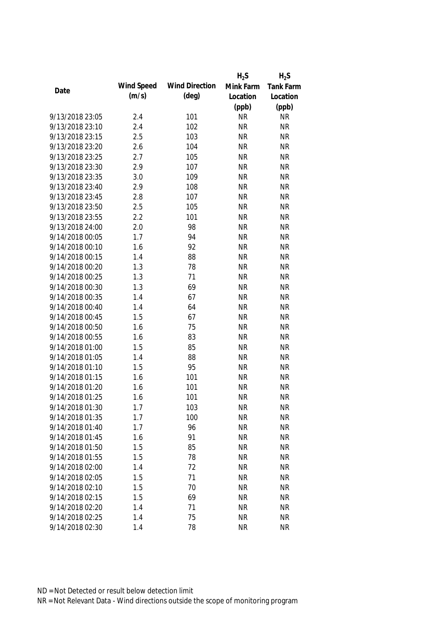|                 |            |                       | $H_2S$    | $H_2S$    |
|-----------------|------------|-----------------------|-----------|-----------|
|                 | Wind Speed | <b>Wind Direction</b> | Mink Farm | Tank Farm |
| Date            | (m/s)      | $(\text{deg})$        | Location  | Location  |
|                 |            |                       | (ppb)     | (ppb)     |
| 9/13/2018 23:05 | 2.4        | 101                   | <b>NR</b> | <b>NR</b> |
| 9/13/2018 23:10 | 2.4        | 102                   | <b>NR</b> | <b>NR</b> |
| 9/13/2018 23:15 | 2.5        | 103                   | <b>NR</b> | <b>NR</b> |
| 9/13/2018 23:20 | 2.6        | 104                   | <b>NR</b> | <b>NR</b> |
| 9/13/2018 23:25 | 2.7        | 105                   | <b>NR</b> | <b>NR</b> |
| 9/13/2018 23:30 | 2.9        | 107                   | <b>NR</b> | <b>NR</b> |
| 9/13/2018 23:35 | 3.0        | 109                   | <b>NR</b> | <b>NR</b> |
| 9/13/2018 23:40 | 2.9        | 108                   | <b>NR</b> | <b>NR</b> |
| 9/13/2018 23:45 | 2.8        | 107                   | <b>NR</b> | <b>NR</b> |
| 9/13/2018 23:50 | 2.5        | 105                   | <b>NR</b> | <b>NR</b> |
| 9/13/2018 23:55 | 2.2        | 101                   | <b>NR</b> | <b>NR</b> |
| 9/13/2018 24:00 | 2.0        | 98                    | <b>NR</b> | <b>NR</b> |
| 9/14/2018 00:05 | 1.7        | 94                    | <b>NR</b> | <b>NR</b> |
| 9/14/2018 00:10 | 1.6        | 92                    | <b>NR</b> | <b>NR</b> |
| 9/14/2018 00:15 | 1.4        | 88                    | <b>NR</b> | <b>NR</b> |
| 9/14/2018 00:20 | 1.3        | 78                    | <b>NR</b> | <b>NR</b> |
| 9/14/2018 00:25 | 1.3        | 71                    | <b>NR</b> | <b>NR</b> |
| 9/14/2018 00:30 | 1.3        | 69                    | <b>NR</b> | <b>NR</b> |
| 9/14/2018 00:35 | 1.4        | 67                    | <b>NR</b> | <b>NR</b> |
| 9/14/2018 00:40 | 1.4        | 64                    | <b>NR</b> | <b>NR</b> |
| 9/14/2018 00:45 | 1.5        | 67                    | <b>NR</b> | <b>NR</b> |
| 9/14/2018 00:50 | 1.6        | 75                    | <b>NR</b> | <b>NR</b> |
| 9/14/2018 00:55 | 1.6        | 83                    | <b>NR</b> | <b>NR</b> |
| 9/14/2018 01:00 | 1.5        | 85                    | <b>NR</b> | <b>NR</b> |
| 9/14/2018 01:05 | 1.4        | 88                    | <b>NR</b> | <b>NR</b> |
| 9/14/2018 01:10 | 1.5        | 95                    | <b>NR</b> | <b>NR</b> |
| 9/14/2018 01:15 | 1.6        | 101                   | <b>NR</b> | <b>NR</b> |
| 9/14/2018 01:20 | 1.6        | 101                   | <b>NR</b> | <b>NR</b> |
| 9/14/2018 01:25 | 1.6        | 101                   | <b>NR</b> | <b>NR</b> |
| 9/14/2018 01:30 | 1.7        | 103                   | <b>NR</b> | <b>NR</b> |
| 9/14/2018 01:35 | 1.7        | 100                   | <b>NR</b> | <b>NR</b> |
| 9/14/2018 01:40 | 1.7        | 96                    | <b>NR</b> | <b>NR</b> |
| 9/14/2018 01:45 | 1.6        | 91                    | <b>NR</b> | <b>NR</b> |
| 9/14/2018 01:50 | 1.5        | 85                    | <b>NR</b> | <b>NR</b> |
| 9/14/2018 01:55 | 1.5        | 78                    | <b>NR</b> | <b>NR</b> |
| 9/14/2018 02:00 | 1.4        | 72                    | <b>NR</b> | <b>NR</b> |
| 9/14/2018 02:05 | 1.5        | 71                    | <b>NR</b> | <b>NR</b> |
| 9/14/2018 02:10 | 1.5        | 70                    | <b>NR</b> | <b>NR</b> |
| 9/14/2018 02:15 | 1.5        | 69                    | <b>NR</b> | <b>NR</b> |
| 9/14/2018 02:20 | 1.4        | 71                    | <b>NR</b> | <b>NR</b> |
| 9/14/2018 02:25 | 1.4        | 75                    | <b>NR</b> | <b>NR</b> |
| 9/14/2018 02:30 | 1.4        | 78                    | <b>NR</b> | <b>NR</b> |
|                 |            |                       |           |           |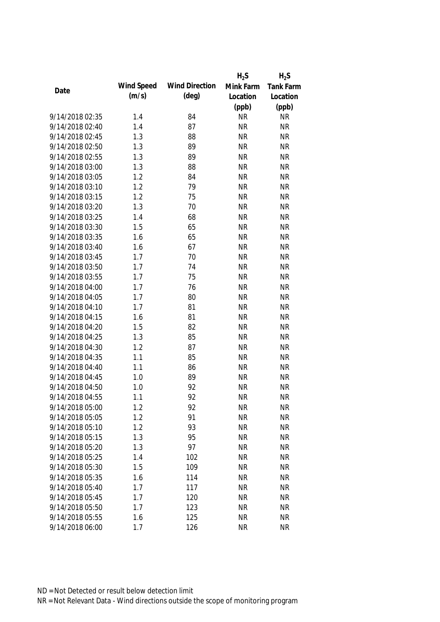|                 |            |                       | $H_2S$    | $H_2S$    |
|-----------------|------------|-----------------------|-----------|-----------|
|                 | Wind Speed | <b>Wind Direction</b> | Mink Farm | Tank Farm |
| Date            | (m/s)      | $(\text{deg})$        | Location  | Location  |
|                 |            |                       | (ppb)     | (ppb)     |
| 9/14/2018 02:35 | 1.4        | 84                    | <b>NR</b> | <b>NR</b> |
| 9/14/2018 02:40 | 1.4        | 87                    | <b>NR</b> | <b>NR</b> |
| 9/14/2018 02:45 | 1.3        | 88                    | <b>NR</b> | <b>NR</b> |
| 9/14/2018 02:50 | 1.3        | 89                    | <b>NR</b> | <b>NR</b> |
| 9/14/2018 02:55 | 1.3        | 89                    | <b>NR</b> | <b>NR</b> |
| 9/14/2018 03:00 | 1.3        | 88                    | <b>NR</b> | <b>NR</b> |
| 9/14/2018 03:05 | 1.2        | 84                    | <b>NR</b> | <b>NR</b> |
| 9/14/2018 03:10 | 1.2        | 79                    | <b>NR</b> | <b>NR</b> |
| 9/14/2018 03:15 | 1.2        | 75                    | <b>NR</b> | <b>NR</b> |
| 9/14/2018 03:20 | 1.3        | 70                    | <b>NR</b> | <b>NR</b> |
| 9/14/2018 03:25 | 1.4        | 68                    | <b>NR</b> | <b>NR</b> |
| 9/14/2018 03:30 | 1.5        | 65                    | <b>NR</b> | <b>NR</b> |
| 9/14/2018 03:35 | 1.6        | 65                    | <b>NR</b> | <b>NR</b> |
| 9/14/2018 03:40 | 1.6        | 67                    | <b>NR</b> | <b>NR</b> |
| 9/14/2018 03:45 | 1.7        | 70                    | <b>NR</b> | <b>NR</b> |
| 9/14/2018 03:50 | 1.7        | 74                    | <b>NR</b> | <b>NR</b> |
| 9/14/2018 03:55 | 1.7        | 75                    | <b>NR</b> | <b>NR</b> |
| 9/14/2018 04:00 | 1.7        | 76                    | <b>NR</b> | <b>NR</b> |
| 9/14/2018 04:05 | 1.7        | 80                    | <b>NR</b> | <b>NR</b> |
| 9/14/2018 04:10 | 1.7        | 81                    | <b>NR</b> | <b>NR</b> |
| 9/14/2018 04:15 | 1.6        | 81                    | <b>NR</b> | <b>NR</b> |
| 9/14/2018 04:20 | 1.5        | 82                    | <b>NR</b> | <b>NR</b> |
| 9/14/2018 04:25 | 1.3        | 85                    | <b>NR</b> | <b>NR</b> |
| 9/14/2018 04:30 | 1.2        | 87                    | <b>NR</b> | <b>NR</b> |
| 9/14/2018 04:35 | 1.1        | 85                    | <b>NR</b> | <b>NR</b> |
| 9/14/2018 04:40 | 1.1        | 86                    | <b>NR</b> | <b>NR</b> |
| 9/14/2018 04:45 | 1.0        | 89                    | <b>NR</b> | <b>NR</b> |
| 9/14/2018 04:50 | 1.0        | 92                    | <b>NR</b> | <b>NR</b> |
| 9/14/2018 04:55 | 1.1        | 92                    | <b>NR</b> | <b>NR</b> |
| 9/14/2018 05:00 | 1.2        | 92                    | <b>NR</b> | <b>NR</b> |
| 9/14/2018 05:05 | 1.2        | 91                    | <b>NR</b> | <b>NR</b> |
| 9/14/2018 05:10 | 1.2        | 93                    | <b>NR</b> | <b>NR</b> |
| 9/14/2018 05:15 | 1.3        | 95                    | <b>NR</b> | <b>NR</b> |
| 9/14/2018 05:20 | 1.3        | 97                    | <b>NR</b> | <b>NR</b> |
| 9/14/2018 05:25 | 1.4        | 102                   | <b>NR</b> | <b>NR</b> |
| 9/14/2018 05:30 | 1.5        | 109                   | <b>NR</b> | <b>NR</b> |
| 9/14/2018 05:35 | 1.6        | 114                   | <b>NR</b> | <b>NR</b> |
| 9/14/2018 05:40 | 1.7        | 117                   | <b>NR</b> | <b>NR</b> |
| 9/14/2018 05:45 | 1.7        | 120                   | <b>NR</b> | <b>NR</b> |
| 9/14/2018 05:50 | 1.7        | 123                   | <b>NR</b> | <b>NR</b> |
| 9/14/2018 05:55 | 1.6        | 125                   | <b>NR</b> | <b>NR</b> |
| 9/14/2018 06:00 | 1.7        | 126                   | <b>NR</b> | <b>NR</b> |
|                 |            |                       |           |           |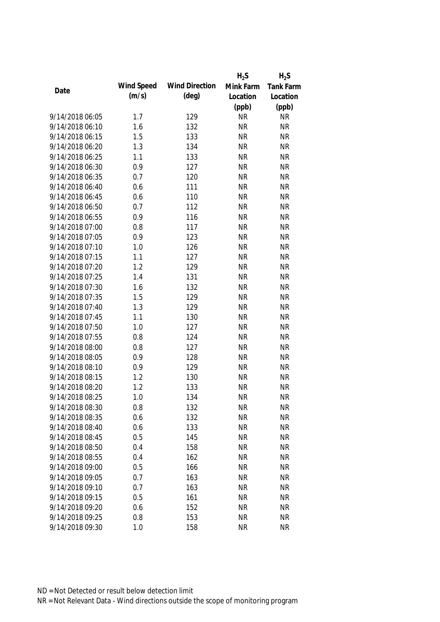|                 |            |                       | $H_2S$    | $H_2S$           |
|-----------------|------------|-----------------------|-----------|------------------|
| Date            | Wind Speed | <b>Wind Direction</b> | Mink Farm | <b>Tank Farm</b> |
|                 | (m/s)      | $(\text{deg})$        | Location  | Location         |
|                 |            |                       | (ppb)     | (ppb)            |
| 9/14/2018 06:05 | 1.7        | 129                   | <b>NR</b> | <b>NR</b>        |
| 9/14/2018 06:10 | 1.6        | 132                   | <b>NR</b> | <b>NR</b>        |
| 9/14/2018 06:15 | 1.5        | 133                   | <b>NR</b> | <b>NR</b>        |
| 9/14/2018 06:20 | 1.3        | 134                   | <b>NR</b> | <b>NR</b>        |
| 9/14/2018 06:25 | 1.1        | 133                   | <b>NR</b> | <b>NR</b>        |
| 9/14/2018 06:30 | 0.9        | 127                   | <b>NR</b> | <b>NR</b>        |
| 9/14/2018 06:35 | 0.7        | 120                   | <b>NR</b> | <b>NR</b>        |
| 9/14/2018 06:40 | 0.6        | 111                   | <b>NR</b> | <b>NR</b>        |
| 9/14/2018 06:45 | 0.6        | 110                   | <b>NR</b> | <b>NR</b>        |
| 9/14/2018 06:50 | 0.7        | 112                   | <b>NR</b> | <b>NR</b>        |
| 9/14/2018 06:55 | 0.9        | 116                   | <b>NR</b> | <b>NR</b>        |
| 9/14/2018 07:00 | 0.8        | 117                   | <b>NR</b> | <b>NR</b>        |
| 9/14/2018 07:05 | 0.9        | 123                   | <b>NR</b> | <b>NR</b>        |
| 9/14/2018 07:10 | 1.0        | 126                   | <b>NR</b> | <b>NR</b>        |
| 9/14/2018 07:15 | 1.1        | 127                   | <b>NR</b> | <b>NR</b>        |
| 9/14/2018 07:20 | 1.2        | 129                   | <b>NR</b> | <b>NR</b>        |
| 9/14/2018 07:25 | 1.4        | 131                   | <b>NR</b> | <b>NR</b>        |
| 9/14/2018 07:30 | 1.6        | 132                   | <b>NR</b> | <b>NR</b>        |
| 9/14/2018 07:35 | 1.5        | 129                   | <b>NR</b> | <b>NR</b>        |
| 9/14/2018 07:40 | 1.3        | 129                   | <b>NR</b> | <b>NR</b>        |
| 9/14/2018 07:45 | 1.1        | 130                   | <b>NR</b> | <b>NR</b>        |
| 9/14/2018 07:50 | 1.0        | 127                   | <b>NR</b> | <b>NR</b>        |
| 9/14/2018 07:55 | 0.8        | 124                   | <b>NR</b> | <b>NR</b>        |
| 9/14/2018 08:00 | 0.8        | 127                   | <b>NR</b> | <b>NR</b>        |
| 9/14/2018 08:05 | 0.9        | 128                   | <b>NR</b> | <b>NR</b>        |
| 9/14/2018 08:10 | 0.9        | 129                   | <b>NR</b> | <b>NR</b>        |
| 9/14/2018 08:15 | 1.2        | 130                   | <b>NR</b> | <b>NR</b>        |
| 9/14/2018 08:20 | 1.2        | 133                   | <b>NR</b> | <b>NR</b>        |
| 9/14/2018 08:25 | 1.0        | 134                   | <b>NR</b> | <b>NR</b>        |
| 9/14/2018 08:30 | 0.8        | 132                   | <b>NR</b> | <b>NR</b>        |
| 9/14/2018 08:35 | 0.6        | 132                   | <b>NR</b> | <b>NR</b>        |
| 9/14/2018 08:40 | 0.6        | 133                   | <b>NR</b> | <b>NR</b>        |
| 9/14/2018 08:45 | 0.5        | 145                   | <b>NR</b> | <b>NR</b>        |
| 9/14/2018 08:50 | 0.4        | 158                   | <b>NR</b> | <b>NR</b>        |
| 9/14/2018 08:55 | 0.4        | 162                   | <b>NR</b> | <b>NR</b>        |
| 9/14/2018 09:00 | 0.5        | 166                   | <b>NR</b> | <b>NR</b>        |
| 9/14/2018 09:05 | 0.7        | 163                   | <b>NR</b> | <b>NR</b>        |
| 9/14/2018 09:10 | 0.7        | 163                   | <b>NR</b> | <b>NR</b>        |
| 9/14/2018 09:15 | 0.5        | 161                   | <b>NR</b> | <b>NR</b>        |
| 9/14/2018 09:20 | 0.6        | 152                   | <b>NR</b> | <b>NR</b>        |
| 9/14/2018 09:25 | 0.8        | 153                   | <b>NR</b> | <b>NR</b>        |
| 9/14/2018 09:30 | 1.0        | 158                   | <b>NR</b> | <b>NR</b>        |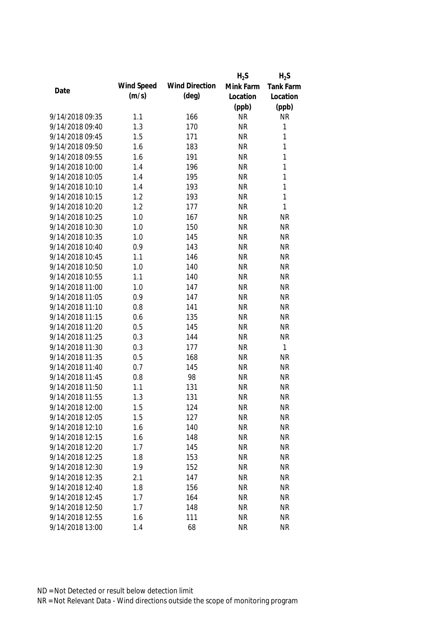|                 |            |                       | $H_2S$    | $H_2S$           |
|-----------------|------------|-----------------------|-----------|------------------|
| Date            | Wind Speed | <b>Wind Direction</b> | Mink Farm | <b>Tank Farm</b> |
|                 | (m/s)      | $(\text{deg})$        | Location  | Location         |
|                 |            |                       | (ppb)     | (ppb)            |
| 9/14/2018 09:35 | 1.1        | 166                   | <b>NR</b> | <b>NR</b>        |
| 9/14/2018 09:40 | 1.3        | 170                   | <b>NR</b> | $\mathbf 1$      |
| 9/14/2018 09:45 | 1.5        | 171                   | <b>NR</b> | $\mathbf{1}$     |
| 9/14/2018 09:50 | 1.6        | 183                   | <b>NR</b> | $\mathbf{1}$     |
| 9/14/2018 09:55 | 1.6        | 191                   | <b>NR</b> | $\mathbf{1}$     |
| 9/14/2018 10:00 | 1.4        | 196                   | <b>NR</b> | $\mathbf{1}$     |
| 9/14/2018 10:05 | 1.4        | 195                   | <b>NR</b> | $\mathbf{1}$     |
| 9/14/2018 10:10 | 1.4        | 193                   | <b>NR</b> | $\mathbf{1}$     |
| 9/14/2018 10:15 | 1.2        | 193                   | <b>NR</b> | $\mathbf{1}$     |
| 9/14/2018 10:20 | 1.2        | 177                   | <b>NR</b> | $\mathbf{1}$     |
| 9/14/2018 10:25 | 1.0        | 167                   | <b>NR</b> | <b>NR</b>        |
| 9/14/2018 10:30 | 1.0        | 150                   | <b>NR</b> | <b>NR</b>        |
| 9/14/2018 10:35 | 1.0        | 145                   | <b>NR</b> | <b>NR</b>        |
| 9/14/2018 10:40 | 0.9        | 143                   | <b>NR</b> | <b>NR</b>        |
| 9/14/2018 10:45 | 1.1        | 146                   | <b>NR</b> | <b>NR</b>        |
| 9/14/2018 10:50 | 1.0        | 140                   | <b>NR</b> | <b>NR</b>        |
| 9/14/2018 10:55 | 1.1        | 140                   | <b>NR</b> | <b>NR</b>        |
| 9/14/2018 11:00 | 1.0        | 147                   | <b>NR</b> | <b>NR</b>        |
| 9/14/2018 11:05 | 0.9        | 147                   | <b>NR</b> | <b>NR</b>        |
| 9/14/2018 11:10 | 0.8        | 141                   | <b>NR</b> | <b>NR</b>        |
| 9/14/2018 11:15 | 0.6        | 135                   | <b>NR</b> | <b>NR</b>        |
| 9/14/2018 11:20 | 0.5        | 145                   | <b>NR</b> | <b>NR</b>        |
| 9/14/2018 11:25 | 0.3        | 144                   | <b>NR</b> | <b>NR</b>        |
| 9/14/2018 11:30 | 0.3        | 177                   | <b>NR</b> | $\mathbf 1$      |
| 9/14/2018 11:35 | 0.5        | 168                   | <b>NR</b> | <b>NR</b>        |
| 9/14/2018 11:40 | 0.7        | 145                   | <b>NR</b> | <b>NR</b>        |
| 9/14/2018 11:45 | 0.8        | 98                    | <b>NR</b> | <b>NR</b>        |
| 9/14/2018 11:50 | 1.1        | 131                   | <b>NR</b> | <b>NR</b>        |
| 9/14/2018 11:55 | 1.3        | 131                   | <b>NR</b> | <b>NR</b>        |
| 9/14/2018 12:00 | 1.5        | 124                   | <b>NR</b> | <b>NR</b>        |
| 9/14/2018 12:05 | 1.5        | 127                   | <b>NR</b> | <b>NR</b>        |
| 9/14/2018 12:10 | 1.6        | 140                   | <b>NR</b> | <b>NR</b>        |
| 9/14/2018 12:15 | 1.6        | 148                   | <b>NR</b> | <b>NR</b>        |
| 9/14/2018 12:20 | 1.7        | 145                   | <b>NR</b> | <b>NR</b>        |
| 9/14/2018 12:25 | 1.8        | 153                   | <b>NR</b> | <b>NR</b>        |
| 9/14/2018 12:30 | 1.9        | 152                   | <b>NR</b> | <b>NR</b>        |
| 9/14/2018 12:35 | 2.1        | 147                   | <b>NR</b> | <b>NR</b>        |
| 9/14/2018 12:40 | 1.8        | 156                   | <b>NR</b> | <b>NR</b>        |
| 9/14/2018 12:45 | 1.7        | 164                   | <b>NR</b> | <b>NR</b>        |
| 9/14/2018 12:50 | 1.7        | 148                   | <b>NR</b> | <b>NR</b>        |
| 9/14/2018 12:55 | 1.6        | 111                   | <b>NR</b> | <b>NR</b>        |
| 9/14/2018 13:00 | 1.4        | 68                    | <b>NR</b> | <b>NR</b>        |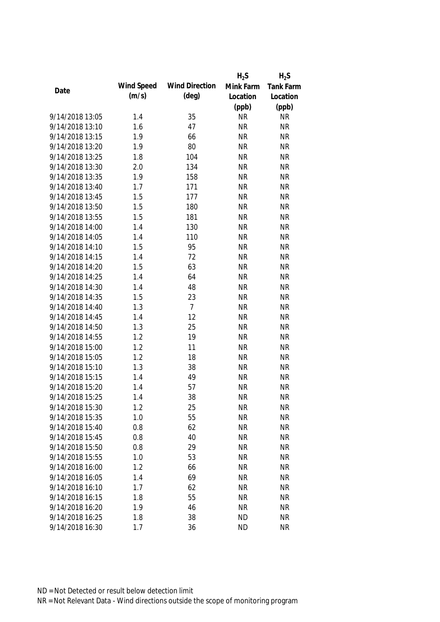|                 |            |                       | $H_2S$    | $H_2S$           |
|-----------------|------------|-----------------------|-----------|------------------|
| Date            | Wind Speed | <b>Wind Direction</b> | Mink Farm | <b>Tank Farm</b> |
|                 | (m/s)      | $(\text{deg})$        | Location  | Location         |
|                 |            |                       | (ppb)     | (ppb)            |
| 9/14/2018 13:05 | 1.4        | 35                    | <b>NR</b> | <b>NR</b>        |
| 9/14/2018 13:10 | 1.6        | 47                    | <b>NR</b> | <b>NR</b>        |
| 9/14/2018 13:15 | 1.9        | 66                    | <b>NR</b> | <b>NR</b>        |
| 9/14/2018 13:20 | 1.9        | 80                    | <b>NR</b> | <b>NR</b>        |
| 9/14/2018 13:25 | 1.8        | 104                   | <b>NR</b> | <b>NR</b>        |
| 9/14/2018 13:30 | 2.0        | 134                   | <b>NR</b> | <b>NR</b>        |
| 9/14/2018 13:35 | 1.9        | 158                   | <b>NR</b> | <b>NR</b>        |
| 9/14/2018 13:40 | 1.7        | 171                   | <b>NR</b> | <b>NR</b>        |
| 9/14/2018 13:45 | 1.5        | 177                   | <b>NR</b> | <b>NR</b>        |
| 9/14/2018 13:50 | 1.5        | 180                   | <b>NR</b> | <b>NR</b>        |
| 9/14/2018 13:55 | 1.5        | 181                   | <b>NR</b> | <b>NR</b>        |
| 9/14/2018 14:00 | 1.4        | 130                   | <b>NR</b> | <b>NR</b>        |
| 9/14/2018 14:05 | 1.4        | 110                   | <b>NR</b> | <b>NR</b>        |
| 9/14/2018 14:10 | 1.5        | 95                    | <b>NR</b> | <b>NR</b>        |
| 9/14/2018 14:15 | 1.4        | 72                    | <b>NR</b> | <b>NR</b>        |
| 9/14/2018 14:20 | 1.5        | 63                    | <b>NR</b> | <b>NR</b>        |
| 9/14/2018 14:25 | 1.4        | 64                    | <b>NR</b> | <b>NR</b>        |
| 9/14/2018 14:30 | 1.4        | 48                    | <b>NR</b> | <b>NR</b>        |
| 9/14/2018 14:35 | 1.5        | 23                    | <b>NR</b> | <b>NR</b>        |
| 9/14/2018 14:40 | 1.3        | $\overline{7}$        | <b>NR</b> | <b>NR</b>        |
| 9/14/2018 14:45 | 1.4        | 12                    | <b>NR</b> | <b>NR</b>        |
| 9/14/2018 14:50 | 1.3        | 25                    | <b>NR</b> | <b>NR</b>        |
| 9/14/2018 14:55 | 1.2        | 19                    | <b>NR</b> | <b>NR</b>        |
| 9/14/2018 15:00 | 1.2        | 11                    | <b>NR</b> | <b>NR</b>        |
| 9/14/2018 15:05 | 1.2        | 18                    | <b>NR</b> | <b>NR</b>        |
| 9/14/2018 15:10 | 1.3        | 38                    | <b>NR</b> | <b>NR</b>        |
| 9/14/2018 15:15 | 1.4        | 49                    | <b>NR</b> | <b>NR</b>        |
| 9/14/2018 15:20 | 1.4        | 57                    | <b>NR</b> | <b>NR</b>        |
| 9/14/2018 15:25 | 1.4        | 38                    | <b>NR</b> | <b>NR</b>        |
| 9/14/2018 15:30 | 1.2        | 25                    | <b>NR</b> | <b>NR</b>        |
| 9/14/2018 15:35 | 1.0        | 55                    | <b>NR</b> | <b>NR</b>        |
| 9/14/2018 15:40 | 0.8        | 62                    | <b>NR</b> | <b>NR</b>        |
| 9/14/2018 15:45 | 0.8        | 40                    | <b>NR</b> | <b>NR</b>        |
| 9/14/2018 15:50 | 0.8        | 29                    | <b>NR</b> | <b>NR</b>        |
| 9/14/2018 15:55 | 1.0        | 53                    | <b>NR</b> | <b>NR</b>        |
| 9/14/2018 16:00 | 1.2        | 66                    | <b>NR</b> | <b>NR</b>        |
| 9/14/2018 16:05 | 1.4        | 69                    | <b>NR</b> | <b>NR</b>        |
| 9/14/2018 16:10 | 1.7        | 62                    | <b>NR</b> | <b>NR</b>        |
| 9/14/2018 16:15 | 1.8        | 55                    | <b>NR</b> | <b>NR</b>        |
| 9/14/2018 16:20 | 1.9        | 46                    | <b>NR</b> | <b>NR</b>        |
| 9/14/2018 16:25 | 1.8        | 38                    | <b>ND</b> | <b>NR</b>        |
| 9/14/2018 16:30 | 1.7        | 36                    | <b>ND</b> | <b>NR</b>        |
|                 |            |                       |           |                  |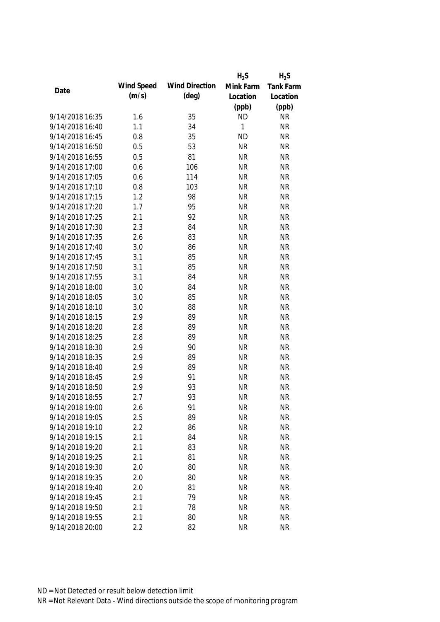|                 |            |                       | $H_2S$    | $H_2S$           |
|-----------------|------------|-----------------------|-----------|------------------|
|                 | Wind Speed | <b>Wind Direction</b> | Mink Farm | <b>Tank Farm</b> |
| Date            | (m/s)      | $(\text{deg})$        | Location  | Location         |
|                 |            |                       | (ppb)     | (ppb)            |
| 9/14/2018 16:35 | 1.6        | 35                    | <b>ND</b> | <b>NR</b>        |
| 9/14/2018 16:40 | 1.1        | 34                    | 1         | <b>NR</b>        |
| 9/14/2018 16:45 | 0.8        | 35                    | <b>ND</b> | <b>NR</b>        |
| 9/14/2018 16:50 | 0.5        | 53                    | <b>NR</b> | <b>NR</b>        |
| 9/14/2018 16:55 | 0.5        | 81                    | <b>NR</b> | <b>NR</b>        |
| 9/14/2018 17:00 | 0.6        | 106                   | <b>NR</b> | <b>NR</b>        |
| 9/14/2018 17:05 | 0.6        | 114                   | <b>NR</b> | <b>NR</b>        |
| 9/14/2018 17:10 | 0.8        | 103                   | <b>NR</b> | <b>NR</b>        |
| 9/14/2018 17:15 | 1.2        | 98                    | <b>NR</b> | <b>NR</b>        |
| 9/14/2018 17:20 | 1.7        | 95                    | <b>NR</b> | <b>NR</b>        |
| 9/14/2018 17:25 | 2.1        | 92                    | <b>NR</b> | <b>NR</b>        |
| 9/14/2018 17:30 | 2.3        | 84                    | <b>NR</b> | <b>NR</b>        |
| 9/14/2018 17:35 | 2.6        | 83                    | <b>NR</b> | <b>NR</b>        |
| 9/14/2018 17:40 | 3.0        | 86                    | <b>NR</b> | <b>NR</b>        |
| 9/14/2018 17:45 | 3.1        | 85                    | <b>NR</b> | <b>NR</b>        |
| 9/14/2018 17:50 | 3.1        | 85                    | <b>NR</b> | <b>NR</b>        |
| 9/14/2018 17:55 | 3.1        | 84                    | <b>NR</b> | <b>NR</b>        |
| 9/14/2018 18:00 | 3.0        | 84                    | <b>NR</b> | <b>NR</b>        |
| 9/14/2018 18:05 | 3.0        | 85                    | <b>NR</b> | <b>NR</b>        |
| 9/14/2018 18:10 | 3.0        | 88                    | <b>NR</b> | <b>NR</b>        |
| 9/14/2018 18:15 | 2.9        | 89                    | <b>NR</b> | <b>NR</b>        |
| 9/14/2018 18:20 | 2.8        | 89                    | <b>NR</b> | <b>NR</b>        |
| 9/14/2018 18:25 | 2.8        | 89                    | <b>NR</b> | <b>NR</b>        |
| 9/14/2018 18:30 | 2.9        | 90                    | <b>NR</b> | <b>NR</b>        |
| 9/14/2018 18:35 | 2.9        | 89                    | <b>NR</b> | <b>NR</b>        |
| 9/14/2018 18:40 | 2.9        | 89                    | <b>NR</b> | <b>NR</b>        |
| 9/14/2018 18:45 | 2.9        | 91                    | <b>NR</b> | <b>NR</b>        |
| 9/14/2018 18:50 | 2.9        | 93                    | <b>NR</b> | <b>NR</b>        |
| 9/14/2018 18:55 | 2.7        | 93                    | <b>NR</b> | <b>NR</b>        |
| 9/14/2018 19:00 | 2.6        | 91                    | <b>NR</b> | <b>NR</b>        |
| 9/14/2018 19:05 | 2.5        | 89                    | <b>NR</b> | <b>NR</b>        |
| 9/14/2018 19:10 | 2.2        | 86                    | <b>NR</b> | <b>NR</b>        |
| 9/14/2018 19:15 | 2.1        | 84                    | <b>NR</b> | <b>NR</b>        |
| 9/14/2018 19:20 | 2.1        | 83                    | <b>NR</b> | <b>NR</b>        |
| 9/14/2018 19:25 | 2.1        | 81                    | <b>NR</b> | <b>NR</b>        |
| 9/14/2018 19:30 | 2.0        | 80                    | <b>NR</b> | <b>NR</b>        |
| 9/14/2018 19:35 | 2.0        | 80                    | <b>NR</b> | <b>NR</b>        |
| 9/14/2018 19:40 | 2.0        | 81                    | <b>NR</b> | <b>NR</b>        |
| 9/14/2018 19:45 | 2.1        | 79                    | <b>NR</b> | <b>NR</b>        |
| 9/14/2018 19:50 | 2.1        | 78                    | <b>NR</b> | <b>NR</b>        |
| 9/14/2018 19:55 | 2.1        | 80                    | <b>NR</b> | <b>NR</b>        |
| 9/14/2018 20:00 | 2.2        | 82                    | <b>NR</b> | <b>NR</b>        |
|                 |            |                       |           |                  |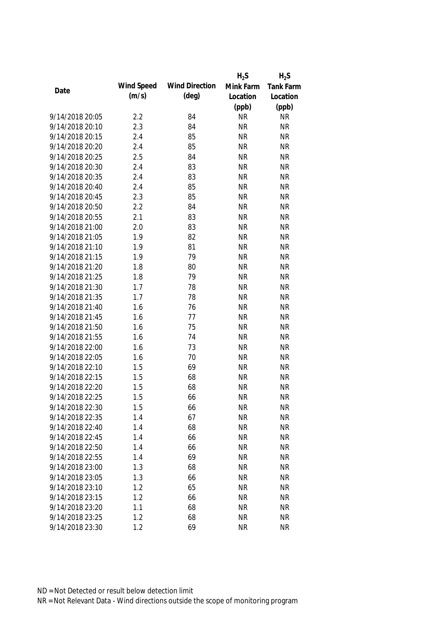|                 |            |                       | $H_2S$    | $H_2S$    |
|-----------------|------------|-----------------------|-----------|-----------|
|                 | Wind Speed | <b>Wind Direction</b> | Mink Farm | Tank Farm |
| Date            | (m/s)      | $(\text{deg})$        | Location  | Location  |
|                 |            |                       | (ppb)     | (ppb)     |
| 9/14/2018 20:05 | 2.2        | 84                    | <b>NR</b> | <b>NR</b> |
| 9/14/2018 20:10 | 2.3        | 84                    | <b>NR</b> | <b>NR</b> |
| 9/14/2018 20:15 | 2.4        | 85                    | <b>NR</b> | <b>NR</b> |
| 9/14/2018 20:20 | 2.4        | 85                    | <b>NR</b> | <b>NR</b> |
| 9/14/2018 20:25 | 2.5        | 84                    | <b>NR</b> | <b>NR</b> |
| 9/14/2018 20:30 | 2.4        | 83                    | <b>NR</b> | <b>NR</b> |
| 9/14/2018 20:35 | 2.4        | 83                    | <b>NR</b> | <b>NR</b> |
| 9/14/2018 20:40 | 2.4        | 85                    | <b>NR</b> | <b>NR</b> |
| 9/14/2018 20:45 | 2.3        | 85                    | <b>NR</b> | <b>NR</b> |
| 9/14/2018 20:50 | 2.2        | 84                    | <b>NR</b> | <b>NR</b> |
| 9/14/2018 20:55 | 2.1        | 83                    | <b>NR</b> | <b>NR</b> |
| 9/14/2018 21:00 | 2.0        | 83                    | <b>NR</b> | <b>NR</b> |
| 9/14/2018 21:05 | 1.9        | 82                    | <b>NR</b> | <b>NR</b> |
| 9/14/2018 21:10 | 1.9        | 81                    | <b>NR</b> | <b>NR</b> |
| 9/14/2018 21:15 | 1.9        | 79                    | <b>NR</b> | <b>NR</b> |
| 9/14/2018 21:20 | 1.8        | 80                    | <b>NR</b> | <b>NR</b> |
| 9/14/2018 21:25 | 1.8        | 79                    | <b>NR</b> | <b>NR</b> |
| 9/14/2018 21:30 | 1.7        | 78                    | <b>NR</b> | <b>NR</b> |
| 9/14/2018 21:35 | 1.7        | 78                    | <b>NR</b> | <b>NR</b> |
| 9/14/2018 21:40 | 1.6        | 76                    | <b>NR</b> | <b>NR</b> |
| 9/14/2018 21:45 | 1.6        | 77                    | <b>NR</b> | <b>NR</b> |
| 9/14/2018 21:50 | 1.6        | 75                    | <b>NR</b> | <b>NR</b> |
| 9/14/2018 21:55 | 1.6        | 74                    | <b>NR</b> | <b>NR</b> |
| 9/14/2018 22:00 | 1.6        | 73                    | <b>NR</b> | <b>NR</b> |
| 9/14/2018 22:05 | 1.6        | 70                    | <b>NR</b> | <b>NR</b> |
| 9/14/2018 22:10 | 1.5        | 69                    | <b>NR</b> | <b>NR</b> |
| 9/14/2018 22:15 | 1.5        | 68                    | <b>NR</b> | <b>NR</b> |
| 9/14/2018 22:20 | 1.5        | 68                    | <b>NR</b> | <b>NR</b> |
| 9/14/2018 22:25 | 1.5        | 66                    | <b>NR</b> | <b>NR</b> |
| 9/14/2018 22:30 | 1.5        | 66                    | <b>NR</b> | <b>NR</b> |
| 9/14/2018 22:35 | 1.4        | 67                    | <b>NR</b> | <b>NR</b> |
| 9/14/2018 22:40 | 1.4        | 68                    | <b>NR</b> | <b>NR</b> |
| 9/14/2018 22:45 | 1.4        | 66                    | <b>NR</b> | <b>NR</b> |
| 9/14/2018 22:50 | 1.4        | 66                    | <b>NR</b> | <b>NR</b> |
| 9/14/2018 22:55 | 1.4        | 69                    | <b>NR</b> | <b>NR</b> |
| 9/14/2018 23:00 | 1.3        | 68                    | <b>NR</b> | <b>NR</b> |
| 9/14/2018 23:05 | 1.3        | 66                    | <b>NR</b> | <b>NR</b> |
| 9/14/2018 23:10 | 1.2        | 65                    | <b>NR</b> | <b>NR</b> |
| 9/14/2018 23:15 | 1.2        | 66                    | <b>NR</b> | <b>NR</b> |
| 9/14/2018 23:20 |            |                       |           |           |
|                 | 1.1        | 68                    | <b>NR</b> | <b>NR</b> |
| 9/14/2018 23:25 | 1.2        | 68                    | <b>NR</b> | <b>NR</b> |
| 9/14/2018 23:30 | 1.2        | 69                    | <b>NR</b> | <b>NR</b> |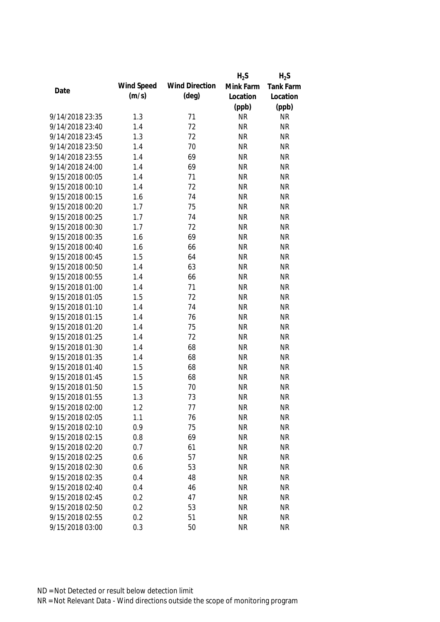|                 |            |                       | $H_2S$    | $H_2S$    |
|-----------------|------------|-----------------------|-----------|-----------|
|                 | Wind Speed | <b>Wind Direction</b> | Mink Farm | Tank Farm |
| Date            | (m/s)      | $(\text{deg})$        | Location  | Location  |
|                 |            |                       | (ppb)     | (ppb)     |
| 9/14/2018 23:35 | 1.3        | 71                    | <b>NR</b> | <b>NR</b> |
| 9/14/2018 23:40 | 1.4        | 72                    | <b>NR</b> | <b>NR</b> |
| 9/14/2018 23:45 | 1.3        | 72                    | <b>NR</b> | <b>NR</b> |
| 9/14/2018 23:50 | 1.4        | 70                    | <b>NR</b> | <b>NR</b> |
| 9/14/2018 23:55 | 1.4        | 69                    | <b>NR</b> | <b>NR</b> |
| 9/14/2018 24:00 | 1.4        | 69                    | <b>NR</b> | <b>NR</b> |
| 9/15/2018 00:05 | 1.4        | 71                    | <b>NR</b> | <b>NR</b> |
| 9/15/2018 00:10 | 1.4        | 72                    | <b>NR</b> | <b>NR</b> |
| 9/15/2018 00:15 | 1.6        | 74                    | <b>NR</b> | <b>NR</b> |
| 9/15/2018 00:20 | 1.7        | 75                    | <b>NR</b> | <b>NR</b> |
| 9/15/2018 00:25 | 1.7        | 74                    | <b>NR</b> | <b>NR</b> |
| 9/15/2018 00:30 | 1.7        | 72                    | <b>NR</b> | <b>NR</b> |
| 9/15/2018 00:35 | 1.6        | 69                    | <b>NR</b> | <b>NR</b> |
| 9/15/2018 00:40 | 1.6        | 66                    | <b>NR</b> | <b>NR</b> |
| 9/15/2018 00:45 | 1.5        | 64                    | <b>NR</b> | <b>NR</b> |
| 9/15/2018 00:50 | 1.4        | 63                    | <b>NR</b> | <b>NR</b> |
| 9/15/2018 00:55 | 1.4        | 66                    | <b>NR</b> | <b>NR</b> |
| 9/15/2018 01:00 | 1.4        | 71                    | <b>NR</b> | <b>NR</b> |
| 9/15/2018 01:05 | 1.5        | 72                    | <b>NR</b> | <b>NR</b> |
| 9/15/2018 01:10 | 1.4        | 74                    | <b>NR</b> | <b>NR</b> |
| 9/15/2018 01:15 | 1.4        | 76                    | <b>NR</b> | <b>NR</b> |
| 9/15/2018 01:20 | 1.4        | 75                    | <b>NR</b> | <b>NR</b> |
| 9/15/2018 01:25 | 1.4        | 72                    | <b>NR</b> | <b>NR</b> |
| 9/15/2018 01:30 | 1.4        | 68                    | <b>NR</b> | <b>NR</b> |
| 9/15/2018 01:35 | 1.4        | 68                    | <b>NR</b> | <b>NR</b> |
| 9/15/2018 01:40 | 1.5        | 68                    | <b>NR</b> | <b>NR</b> |
| 9/15/2018 01:45 | 1.5        | 68                    | <b>NR</b> | <b>NR</b> |
| 9/15/2018 01:50 | 1.5        | 70                    | <b>NR</b> | <b>NR</b> |
| 9/15/2018 01:55 | 1.3        | 73                    | <b>NR</b> | <b>NR</b> |
| 9/15/2018 02:00 | 1.2        | 77                    | <b>NR</b> | <b>NR</b> |
| 9/15/2018 02:05 | 1.1        | 76                    | <b>NR</b> | <b>NR</b> |
| 9/15/2018 02:10 | 0.9        | 75                    | <b>NR</b> | <b>NR</b> |
| 9/15/2018 02:15 | 0.8        | 69                    | <b>NR</b> | <b>NR</b> |
| 9/15/2018 02:20 | 0.7        | 61                    | <b>NR</b> | <b>NR</b> |
| 9/15/2018 02:25 | 0.6        | 57                    | <b>NR</b> | <b>NR</b> |
| 9/15/2018 02:30 | 0.6        | 53                    | <b>NR</b> | <b>NR</b> |
| 9/15/2018 02:35 | 0.4        | 48                    | <b>NR</b> | <b>NR</b> |
| 9/15/2018 02:40 | 0.4        | 46                    | <b>NR</b> | <b>NR</b> |
| 9/15/2018 02:45 | 0.2        | 47                    | <b>NR</b> | <b>NR</b> |
| 9/15/2018 02:50 | 0.2        | 53                    | <b>NR</b> | <b>NR</b> |
| 9/15/2018 02:55 | 0.2        | 51                    | <b>NR</b> | <b>NR</b> |
| 9/15/2018 03:00 | 0.3        | 50                    | <b>NR</b> | <b>NR</b> |
|                 |            |                       |           |           |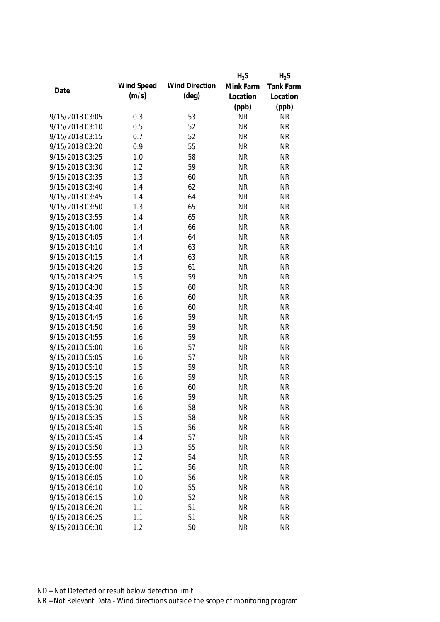|                 |            |                       | $H_2S$    | $H_2S$    |
|-----------------|------------|-----------------------|-----------|-----------|
|                 | Wind Speed | <b>Wind Direction</b> | Mink Farm | Tank Farm |
| Date            | (m/s)      | $(\text{deg})$        | Location  | Location  |
|                 |            |                       | (ppb)     | (ppb)     |
| 9/15/2018 03:05 | 0.3        | 53                    | <b>NR</b> | <b>NR</b> |
| 9/15/2018 03:10 | 0.5        | 52                    | <b>NR</b> | <b>NR</b> |
| 9/15/2018 03:15 | 0.7        | 52                    | <b>NR</b> | <b>NR</b> |
| 9/15/2018 03:20 | 0.9        | 55                    | <b>NR</b> | <b>NR</b> |
| 9/15/2018 03:25 | 1.0        | 58                    | <b>NR</b> | <b>NR</b> |
| 9/15/2018 03:30 | 1.2        | 59                    | <b>NR</b> | <b>NR</b> |
| 9/15/2018 03:35 | 1.3        | 60                    | <b>NR</b> | <b>NR</b> |
| 9/15/2018 03:40 | 1.4        | 62                    | <b>NR</b> | <b>NR</b> |
| 9/15/2018 03:45 | 1.4        | 64                    | <b>NR</b> | <b>NR</b> |
| 9/15/2018 03:50 | 1.3        | 65                    | <b>NR</b> | <b>NR</b> |
| 9/15/2018 03:55 | 1.4        | 65                    | <b>NR</b> | <b>NR</b> |
| 9/15/2018 04:00 | 1.4        | 66                    | <b>NR</b> | <b>NR</b> |
| 9/15/2018 04:05 | 1.4        | 64                    | <b>NR</b> | <b>NR</b> |
| 9/15/2018 04:10 | 1.4        | 63                    | <b>NR</b> | <b>NR</b> |
| 9/15/2018 04:15 | 1.4        | 63                    | <b>NR</b> | <b>NR</b> |
| 9/15/2018 04:20 | 1.5        | 61                    | <b>NR</b> | <b>NR</b> |
| 9/15/2018 04:25 | 1.5        | 59                    | <b>NR</b> | <b>NR</b> |
| 9/15/2018 04:30 | 1.5        | 60                    | <b>NR</b> | <b>NR</b> |
| 9/15/2018 04:35 | 1.6        | 60                    | <b>NR</b> | <b>NR</b> |
| 9/15/2018 04:40 | 1.6        | 60                    | <b>NR</b> | <b>NR</b> |
| 9/15/2018 04:45 | 1.6        | 59                    | <b>NR</b> | <b>NR</b> |
| 9/15/2018 04:50 | 1.6        | 59                    | <b>NR</b> | <b>NR</b> |
| 9/15/2018 04:55 | 1.6        | 59                    | <b>NR</b> | <b>NR</b> |
| 9/15/2018 05:00 | 1.6        | 57                    | <b>NR</b> | <b>NR</b> |
| 9/15/2018 05:05 | 1.6        | 57                    | <b>NR</b> | <b>NR</b> |
| 9/15/2018 05:10 | 1.5        | 59                    | <b>NR</b> | <b>NR</b> |
| 9/15/2018 05:15 | 1.6        | 59                    | <b>NR</b> | <b>NR</b> |
| 9/15/2018 05:20 | 1.6        | 60                    | <b>NR</b> | <b>NR</b> |
| 9/15/2018 05:25 | 1.6        | 59                    | <b>NR</b> | <b>NR</b> |
| 9/15/2018 05:30 | 1.6        | 58                    | <b>NR</b> | <b>NR</b> |
| 9/15/2018 05:35 | 1.5        | 58                    | <b>NR</b> | <b>NR</b> |
| 9/15/2018 05:40 | 1.5        | 56                    | <b>NR</b> | <b>NR</b> |
| 9/15/2018 05:45 | 1.4        | 57                    | <b>NR</b> | <b>NR</b> |
| 9/15/2018 05:50 | 1.3        | 55                    | <b>NR</b> | <b>NR</b> |
| 9/15/2018 05:55 | 1.2        | 54                    | <b>NR</b> | <b>NR</b> |
| 9/15/2018 06:00 | 1.1        | 56                    | <b>NR</b> | <b>NR</b> |
| 9/15/2018 06:05 | 1.0        | 56                    | <b>NR</b> | <b>NR</b> |
| 9/15/2018 06:10 | 1.0        | 55                    | <b>NR</b> | <b>NR</b> |
| 9/15/2018 06:15 | 1.0        | 52                    | <b>NR</b> | <b>NR</b> |
| 9/15/2018 06:20 | 1.1        | 51                    | <b>NR</b> | <b>NR</b> |
| 9/15/2018 06:25 | 1.1        | 51                    | <b>NR</b> | <b>NR</b> |
| 9/15/2018 06:30 | 1.2        | 50                    | <b>NR</b> | <b>NR</b> |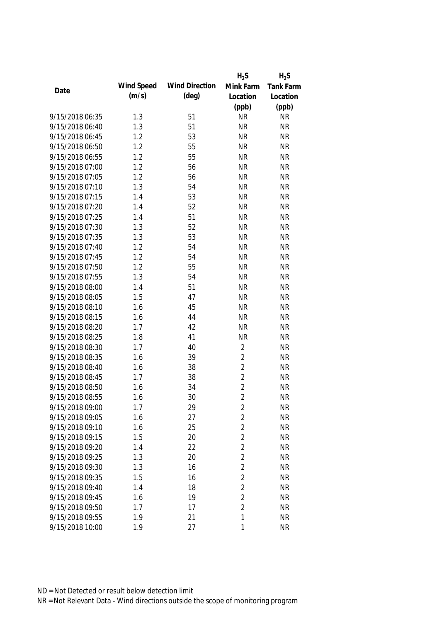|                 |            |                       | $H_2S$         | $H_2S$    |
|-----------------|------------|-----------------------|----------------|-----------|
| Date            | Wind Speed | <b>Wind Direction</b> | Mink Farm      | Tank Farm |
|                 | (m/s)      | (deg)                 | Location       | Location  |
|                 |            |                       | (ppb)          | (ppb)     |
| 9/15/2018 06:35 | 1.3        | 51                    | <b>NR</b>      | <b>NR</b> |
| 9/15/2018 06:40 | 1.3        | 51                    | <b>NR</b>      | <b>NR</b> |
| 9/15/2018 06:45 | 1.2        | 53                    | <b>NR</b>      | <b>NR</b> |
| 9/15/2018 06:50 | 1.2        | 55                    | <b>NR</b>      | <b>NR</b> |
| 9/15/2018 06:55 | 1.2        | 55                    | <b>NR</b>      | <b>NR</b> |
| 9/15/2018 07:00 | 1.2        | 56                    | <b>NR</b>      | <b>NR</b> |
| 9/15/2018 07:05 | 1.2        | 56                    | <b>NR</b>      | <b>NR</b> |
| 9/15/2018 07:10 | 1.3        | 54                    | <b>NR</b>      | <b>NR</b> |
| 9/15/2018 07:15 | 1.4        | 53                    | <b>NR</b>      | <b>NR</b> |
| 9/15/2018 07:20 | 1.4        | 52                    | <b>NR</b>      | <b>NR</b> |
| 9/15/2018 07:25 | 1.4        | 51                    | <b>NR</b>      | <b>NR</b> |
| 9/15/2018 07:30 | 1.3        | 52                    | <b>NR</b>      | <b>NR</b> |
| 9/15/2018 07:35 | 1.3        | 53                    | <b>NR</b>      | <b>NR</b> |
| 9/15/2018 07:40 | 1.2        | 54                    | <b>NR</b>      | <b>NR</b> |
| 9/15/2018 07:45 | 1.2        | 54                    | <b>NR</b>      | <b>NR</b> |
| 9/15/2018 07:50 | 1.2        | 55                    | <b>NR</b>      | <b>NR</b> |
| 9/15/2018 07:55 | 1.3        | 54                    | <b>NR</b>      | <b>NR</b> |
| 9/15/2018 08:00 | 1.4        | 51                    | <b>NR</b>      | <b>NR</b> |
| 9/15/2018 08:05 | 1.5        | 47                    | <b>NR</b>      | <b>NR</b> |
| 9/15/2018 08:10 | 1.6        | 45                    | <b>NR</b>      | <b>NR</b> |
| 9/15/2018 08:15 | 1.6        | 44                    | <b>NR</b>      | <b>NR</b> |
| 9/15/2018 08:20 | 1.7        | 42                    | <b>NR</b>      | <b>NR</b> |
| 9/15/2018 08:25 | 1.8        | 41                    | <b>NR</b>      | <b>NR</b> |
| 9/15/2018 08:30 | 1.7        | 40                    | $\overline{2}$ | <b>NR</b> |
| 9/15/2018 08:35 | 1.6        | 39                    | $\overline{2}$ | <b>NR</b> |
| 9/15/2018 08:40 | 1.6        | 38                    | $\overline{2}$ | <b>NR</b> |
| 9/15/2018 08:45 | 1.7        | 38                    | $\overline{2}$ | <b>NR</b> |
| 9/15/2018 08:50 | 1.6        | 34                    | $\overline{2}$ | <b>NR</b> |
| 9/15/2018 08:55 | 1.6        | 30                    | $\overline{2}$ | <b>NR</b> |
| 9/15/2018 09:00 | 1.7        | 29                    | 2              | <b>NR</b> |
| 9/15/2018 09:05 | 1.6        | 27                    | $\overline{2}$ | <b>NR</b> |
| 9/15/2018 09:10 | 1.6        | 25                    | $\overline{2}$ | <b>NR</b> |
| 9/15/2018 09:15 | 1.5        | 20                    | $\overline{2}$ | <b>NR</b> |
| 9/15/2018 09:20 | 1.4        | 22                    | $\overline{2}$ | <b>NR</b> |
| 9/15/2018 09:25 | 1.3        | 20                    | $\overline{2}$ | <b>NR</b> |
| 9/15/2018 09:30 | 1.3        | 16                    | $\overline{2}$ | <b>NR</b> |
| 9/15/2018 09:35 | 1.5        | 16                    | $\overline{2}$ | <b>NR</b> |
| 9/15/2018 09:40 | 1.4        | 18                    | $\overline{2}$ | <b>NR</b> |
| 9/15/2018 09:45 | 1.6        | 19                    | $\overline{2}$ | <b>NR</b> |
| 9/15/2018 09:50 | 1.7        | 17                    | $\overline{2}$ | <b>NR</b> |
| 9/15/2018 09:55 | 1.9        | 21                    | 1              | <b>NR</b> |
| 9/15/2018 10:00 | 1.9        | 27                    | 1              | <b>NR</b> |
|                 |            |                       |                |           |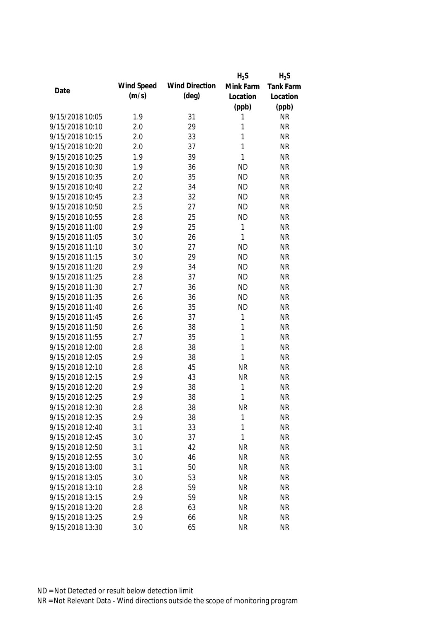|                 |            |                       | $H_2S$       | $H_2S$           |
|-----------------|------------|-----------------------|--------------|------------------|
|                 | Wind Speed | <b>Wind Direction</b> | Mink Farm    | <b>Tank Farm</b> |
| Date            | (m/s)      | $(\text{deg})$        | Location     | Location         |
|                 |            |                       | (ppb)        | (ppb)            |
| 9/15/2018 10:05 | 1.9        | 31                    | 1            | <b>NR</b>        |
| 9/15/2018 10:10 | 2.0        | 29                    | 1            | <b>NR</b>        |
| 9/15/2018 10:15 | 2.0        | 33                    | 1            | <b>NR</b>        |
| 9/15/2018 10:20 | 2.0        | 37                    | 1            | <b>NR</b>        |
| 9/15/2018 10:25 | 1.9        | 39                    | 1            | <b>NR</b>        |
| 9/15/2018 10:30 | 1.9        | 36                    | <b>ND</b>    | <b>NR</b>        |
| 9/15/2018 10:35 | 2.0        | 35                    | <b>ND</b>    | <b>NR</b>        |
| 9/15/2018 10:40 | 2.2        | 34                    | <b>ND</b>    | <b>NR</b>        |
| 9/15/2018 10:45 | 2.3        | 32                    | <b>ND</b>    | <b>NR</b>        |
| 9/15/2018 10:50 | 2.5        | 27                    | <b>ND</b>    | <b>NR</b>        |
| 9/15/2018 10:55 | 2.8        | 25                    | <b>ND</b>    | <b>NR</b>        |
| 9/15/2018 11:00 | 2.9        | 25                    | 1            | <b>NR</b>        |
| 9/15/2018 11:05 | 3.0        | 26                    | $\mathbf{1}$ | <b>NR</b>        |
| 9/15/2018 11:10 | 3.0        | 27                    | <b>ND</b>    | <b>NR</b>        |
| 9/15/2018 11:15 | 3.0        | 29                    | <b>ND</b>    | <b>NR</b>        |
| 9/15/2018 11:20 | 2.9        | 34                    | <b>ND</b>    | <b>NR</b>        |
| 9/15/2018 11:25 | 2.8        | 37                    | <b>ND</b>    | <b>NR</b>        |
| 9/15/2018 11:30 | 2.7        | 36                    | <b>ND</b>    | <b>NR</b>        |
| 9/15/2018 11:35 | 2.6        | 36                    | <b>ND</b>    | <b>NR</b>        |
| 9/15/2018 11:40 | 2.6        | 35                    | <b>ND</b>    | <b>NR</b>        |
| 9/15/2018 11:45 | 2.6        | 37                    | $\mathbf 1$  | <b>NR</b>        |
| 9/15/2018 11:50 | 2.6        | 38                    | 1            | <b>NR</b>        |
| 9/15/2018 11:55 | 2.7        | 35                    | 1            | <b>NR</b>        |
| 9/15/2018 12:00 | 2.8        | 38                    | $\mathbf{1}$ | <b>NR</b>        |
| 9/15/2018 12:05 | 2.9        | 38                    | 1            | <b>NR</b>        |
| 9/15/2018 12:10 | 2.8        | 45                    | <b>NR</b>    | <b>NR</b>        |
| 9/15/2018 12:15 | 2.9        | 43                    | <b>NR</b>    | <b>NR</b>        |
| 9/15/2018 12:20 | 2.9        | 38                    | 1            | <b>NR</b>        |
| 9/15/2018 12:25 | 2.9        | 38                    | $\mathbf{1}$ | <b>NR</b>        |
| 9/15/2018 12:30 | 2.8        | 38                    | <b>NR</b>    | <b>NR</b>        |
| 9/15/2018 12:35 | 2.9        | 38                    | $\mathbf{1}$ | <b>NR</b>        |
| 9/15/2018 12:40 | 3.1        | 33                    | 1            | <b>NR</b>        |
| 9/15/2018 12:45 | 3.0        | 37                    | 1            | <b>NR</b>        |
| 9/15/2018 12:50 | 3.1        | 42                    | <b>NR</b>    | <b>NR</b>        |
| 9/15/2018 12:55 | 3.0        | 46                    | <b>NR</b>    | <b>NR</b>        |
| 9/15/2018 13:00 | 3.1        | 50                    | <b>NR</b>    | <b>NR</b>        |
| 9/15/2018 13:05 | 3.0        | 53                    | <b>NR</b>    | <b>NR</b>        |
| 9/15/2018 13:10 | 2.8        | 59                    | <b>NR</b>    | <b>NR</b>        |
| 9/15/2018 13:15 | 2.9        | 59                    | <b>NR</b>    | <b>NR</b>        |
| 9/15/2018 13:20 | 2.8        | 63                    | <b>NR</b>    | <b>NR</b>        |
| 9/15/2018 13:25 | 2.9        | 66                    | <b>NR</b>    | <b>NR</b>        |
| 9/15/2018 13:30 | 3.0        | 65                    | <b>NR</b>    | <b>NR</b>        |
|                 |            |                       |              |                  |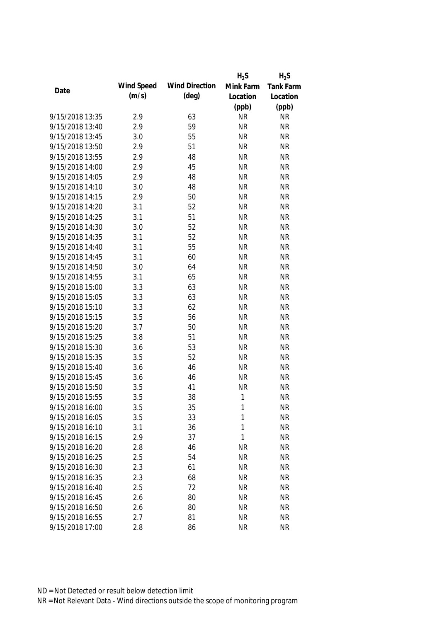|                 |            |                       | $H_2S$      | $H_2S$           |
|-----------------|------------|-----------------------|-------------|------------------|
| Date            | Wind Speed | <b>Wind Direction</b> | Mink Farm   | <b>Tank Farm</b> |
|                 | (m/s)      | $(\text{deg})$        | Location    | Location         |
|                 |            |                       | (ppb)       | (ppb)            |
| 9/15/2018 13:35 | 2.9        | 63                    | <b>NR</b>   | <b>NR</b>        |
| 9/15/2018 13:40 | 2.9        | 59                    | <b>NR</b>   | <b>NR</b>        |
| 9/15/2018 13:45 | 3.0        | 55                    | <b>NR</b>   | <b>NR</b>        |
| 9/15/2018 13:50 | 2.9        | 51                    | <b>NR</b>   | <b>NR</b>        |
| 9/15/2018 13:55 | 2.9        | 48                    | <b>NR</b>   | <b>NR</b>        |
| 9/15/2018 14:00 | 2.9        | 45                    | <b>NR</b>   | <b>NR</b>        |
| 9/15/2018 14:05 | 2.9        | 48                    | <b>NR</b>   | <b>NR</b>        |
| 9/15/2018 14:10 | 3.0        | 48                    | <b>NR</b>   | <b>NR</b>        |
| 9/15/2018 14:15 | 2.9        | 50                    | <b>NR</b>   | <b>NR</b>        |
| 9/15/2018 14:20 | 3.1        | 52                    | <b>NR</b>   | <b>NR</b>        |
| 9/15/2018 14:25 | 3.1        | 51                    | <b>NR</b>   | <b>NR</b>        |
| 9/15/2018 14:30 | 3.0        | 52                    | <b>NR</b>   | <b>NR</b>        |
| 9/15/2018 14:35 | 3.1        | 52                    | <b>NR</b>   | <b>NR</b>        |
| 9/15/2018 14:40 | 3.1        | 55                    | <b>NR</b>   | <b>NR</b>        |
| 9/15/2018 14:45 | 3.1        | 60                    | <b>NR</b>   | <b>NR</b>        |
| 9/15/2018 14:50 | 3.0        | 64                    | <b>NR</b>   | <b>NR</b>        |
| 9/15/2018 14:55 | 3.1        | 65                    | <b>NR</b>   | <b>NR</b>        |
| 9/15/2018 15:00 | 3.3        | 63                    | <b>NR</b>   | <b>NR</b>        |
| 9/15/2018 15:05 | 3.3        | 63                    | <b>NR</b>   | <b>NR</b>        |
| 9/15/2018 15:10 | 3.3        | 62                    | <b>NR</b>   | <b>NR</b>        |
| 9/15/2018 15:15 | 3.5        | 56                    | <b>NR</b>   | <b>NR</b>        |
| 9/15/2018 15:20 | 3.7        | 50                    | <b>NR</b>   | <b>NR</b>        |
| 9/15/2018 15:25 | 3.8        | 51                    | <b>NR</b>   | <b>NR</b>        |
| 9/15/2018 15:30 | 3.6        | 53                    | <b>NR</b>   | <b>NR</b>        |
| 9/15/2018 15:35 | 3.5        | 52                    | <b>NR</b>   | <b>NR</b>        |
| 9/15/2018 15:40 | 3.6        | 46                    | <b>NR</b>   | <b>NR</b>        |
| 9/15/2018 15:45 | 3.6        | 46                    | <b>NR</b>   | <b>NR</b>        |
| 9/15/2018 15:50 | 3.5        | 41                    | <b>NR</b>   | <b>NR</b>        |
| 9/15/2018 15:55 | 3.5        | 38                    | $\mathbf 1$ | <b>NR</b>        |
| 9/15/2018 16:00 | 3.5        | 35                    | 1           | <b>NR</b>        |
| 9/15/2018 16:05 | 3.5        | 33                    | 1           | <b>NR</b>        |
| 9/15/2018 16:10 | 3.1        | 36                    | 1           | <b>NR</b>        |
| 9/15/2018 16:15 | 2.9        | 37                    | 1           | <b>NR</b>        |
| 9/15/2018 16:20 | 2.8        | 46                    | <b>NR</b>   | <b>NR</b>        |
| 9/15/2018 16:25 | 2.5        | 54                    | <b>NR</b>   | <b>NR</b>        |
| 9/15/2018 16:30 | 2.3        | 61                    | <b>NR</b>   | <b>NR</b>        |
| 9/15/2018 16:35 | 2.3        | 68                    | <b>NR</b>   | <b>NR</b>        |
| 9/15/2018 16:40 | 2.5        | 72                    | <b>NR</b>   | <b>NR</b>        |
| 9/15/2018 16:45 | 2.6        | 80                    | <b>NR</b>   | <b>NR</b>        |
| 9/15/2018 16:50 | 2.6        | 80                    | <b>NR</b>   | <b>NR</b>        |
| 9/15/2018 16:55 | 2.7        | 81                    | <b>NR</b>   | <b>NR</b>        |
| 9/15/2018 17:00 | 2.8        | 86                    | <b>NR</b>   | <b>NR</b>        |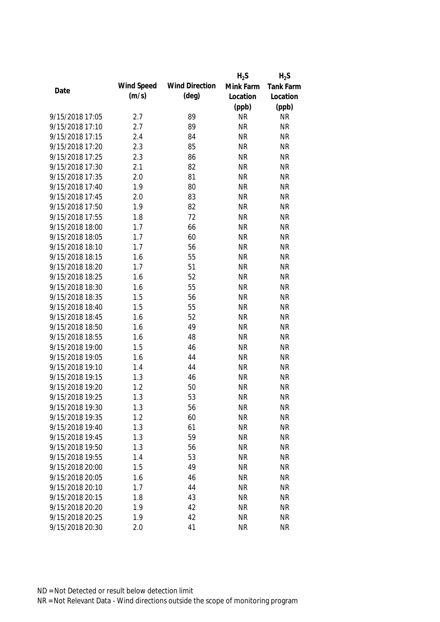|                 |            |                       | $H_2S$    | $H_2S$    |
|-----------------|------------|-----------------------|-----------|-----------|
|                 | Wind Speed | <b>Wind Direction</b> | Mink Farm | Tank Farm |
| Date            | (m/s)      | $(\text{deg})$        | Location  | Location  |
|                 |            |                       | (ppb)     | (ppb)     |
| 9/15/2018 17:05 | 2.7        | 89                    | <b>NR</b> | <b>NR</b> |
| 9/15/2018 17:10 | 2.7        | 89                    | <b>NR</b> | <b>NR</b> |
| 9/15/2018 17:15 | 2.4        | 84                    | <b>NR</b> | <b>NR</b> |
| 9/15/2018 17:20 | 2.3        | 85                    | <b>NR</b> | <b>NR</b> |
| 9/15/2018 17:25 | 2.3        | 86                    | <b>NR</b> | <b>NR</b> |
| 9/15/2018 17:30 | 2.1        | 82                    | <b>NR</b> | <b>NR</b> |
| 9/15/2018 17:35 | 2.0        | 81                    | <b>NR</b> | <b>NR</b> |
| 9/15/2018 17:40 | 1.9        | 80                    | <b>NR</b> | <b>NR</b> |
| 9/15/2018 17:45 | 2.0        | 83                    | <b>NR</b> | <b>NR</b> |
| 9/15/2018 17:50 | 1.9        | 82                    | <b>NR</b> | <b>NR</b> |
| 9/15/2018 17:55 | 1.8        | 72                    | <b>NR</b> | <b>NR</b> |
| 9/15/2018 18:00 | 1.7        | 66                    | <b>NR</b> | <b>NR</b> |
| 9/15/2018 18:05 | 1.7        | 60                    | <b>NR</b> | <b>NR</b> |
| 9/15/2018 18:10 | 1.7        | 56                    | <b>NR</b> | <b>NR</b> |
| 9/15/2018 18:15 | 1.6        | 55                    | <b>NR</b> | <b>NR</b> |
| 9/15/2018 18:20 | 1.7        | 51                    | <b>NR</b> | <b>NR</b> |
| 9/15/2018 18:25 | 1.6        | 52                    | <b>NR</b> | <b>NR</b> |
| 9/15/2018 18:30 | 1.6        | 55                    | <b>NR</b> | <b>NR</b> |
| 9/15/2018 18:35 | 1.5        | 56                    | <b>NR</b> | <b>NR</b> |
| 9/15/2018 18:40 | 1.5        | 55                    | <b>NR</b> | <b>NR</b> |
| 9/15/2018 18:45 | 1.6        | 52                    | <b>NR</b> | <b>NR</b> |
| 9/15/2018 18:50 | 1.6        | 49                    | <b>NR</b> | <b>NR</b> |
| 9/15/2018 18:55 | 1.6        | 48                    | <b>NR</b> | <b>NR</b> |
| 9/15/2018 19:00 | 1.5        | 46                    | <b>NR</b> | <b>NR</b> |
| 9/15/2018 19:05 | 1.6        | 44                    | <b>NR</b> | <b>NR</b> |
| 9/15/2018 19:10 | 1.4        | 44                    | <b>NR</b> | <b>NR</b> |
| 9/15/2018 19:15 | 1.3        | 46                    | <b>NR</b> | <b>NR</b> |
| 9/15/2018 19:20 | 1.2        | 50                    | <b>NR</b> | <b>NR</b> |
| 9/15/2018 19:25 | 1.3        | 53                    | <b>NR</b> | <b>NR</b> |
| 9/15/2018 19:30 | 1.3        | 56                    | <b>NR</b> | <b>NR</b> |
| 9/15/2018 19:35 | 1.2        | 60                    | <b>NR</b> | <b>NR</b> |
| 9/15/2018 19:40 | 1.3        | 61                    | <b>NR</b> | <b>NR</b> |
| 9/15/2018 19:45 | 1.3        | 59                    | <b>NR</b> | <b>NR</b> |
| 9/15/2018 19:50 | 1.3        | 56                    | <b>NR</b> | <b>NR</b> |
| 9/15/2018 19:55 | 1.4        | 53                    | <b>NR</b> | <b>NR</b> |
| 9/15/2018 20:00 | 1.5        | 49                    | <b>NR</b> | <b>NR</b> |
| 9/15/2018 20:05 | 1.6        | 46                    | <b>NR</b> | <b>NR</b> |
| 9/15/2018 20:10 | 1.7        |                       | <b>NR</b> | <b>NR</b> |
| 9/15/2018 20:15 |            | 44                    |           |           |
|                 | 1.8        | 43                    | <b>NR</b> | <b>NR</b> |
| 9/15/2018 20:20 | 1.9        | 42                    | <b>NR</b> | <b>NR</b> |
| 9/15/2018 20:25 | 1.9        | 42                    | <b>NR</b> | <b>NR</b> |
| 9/15/2018 20:30 | 2.0        | 41                    | <b>NR</b> | <b>NR</b> |